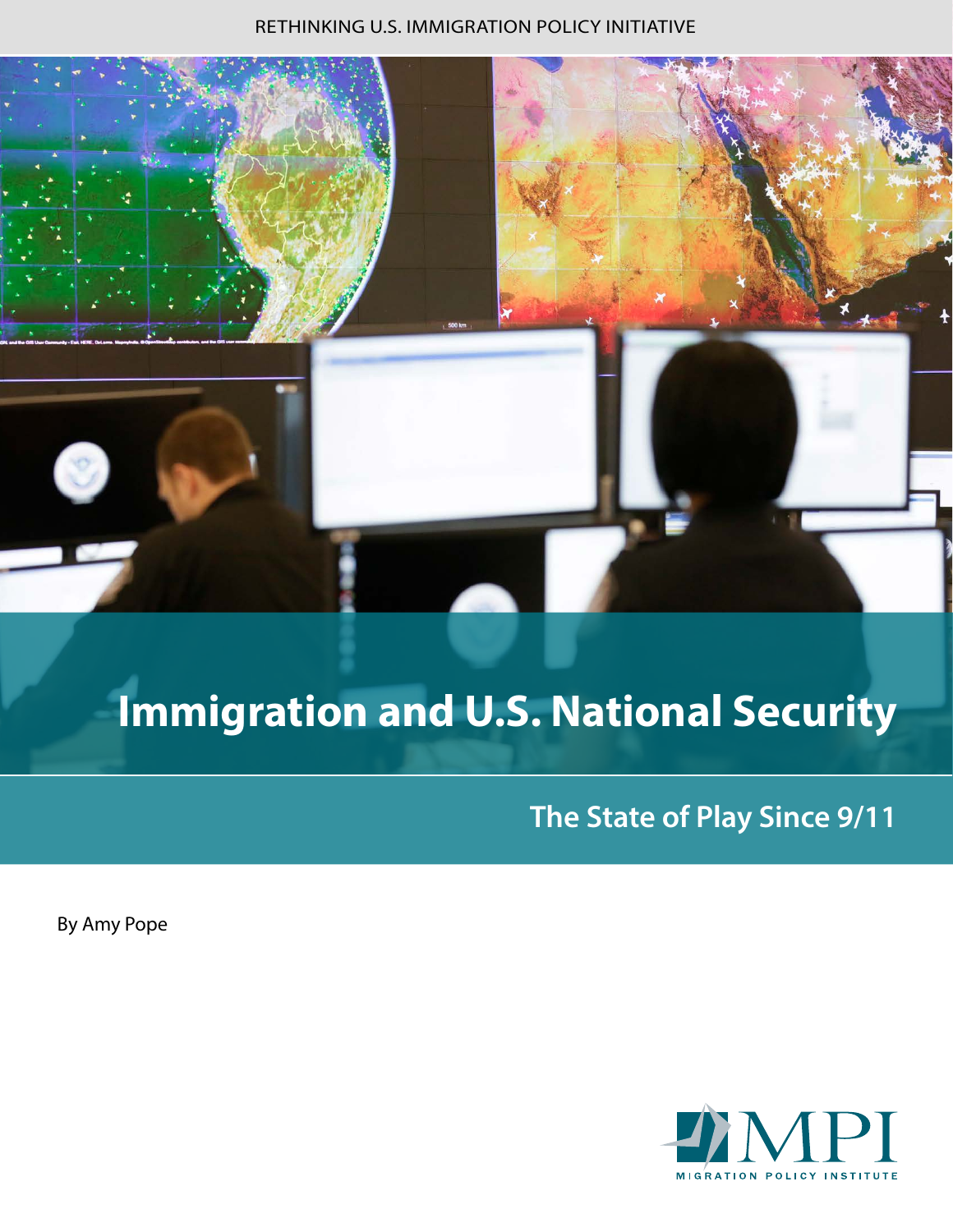#### RETHINKING U.S. IMMIGRATION POLICY INITIATIVE



# **Immigration and U.S. National Security**

**The State of Play Since 9/11**

By Amy Pope

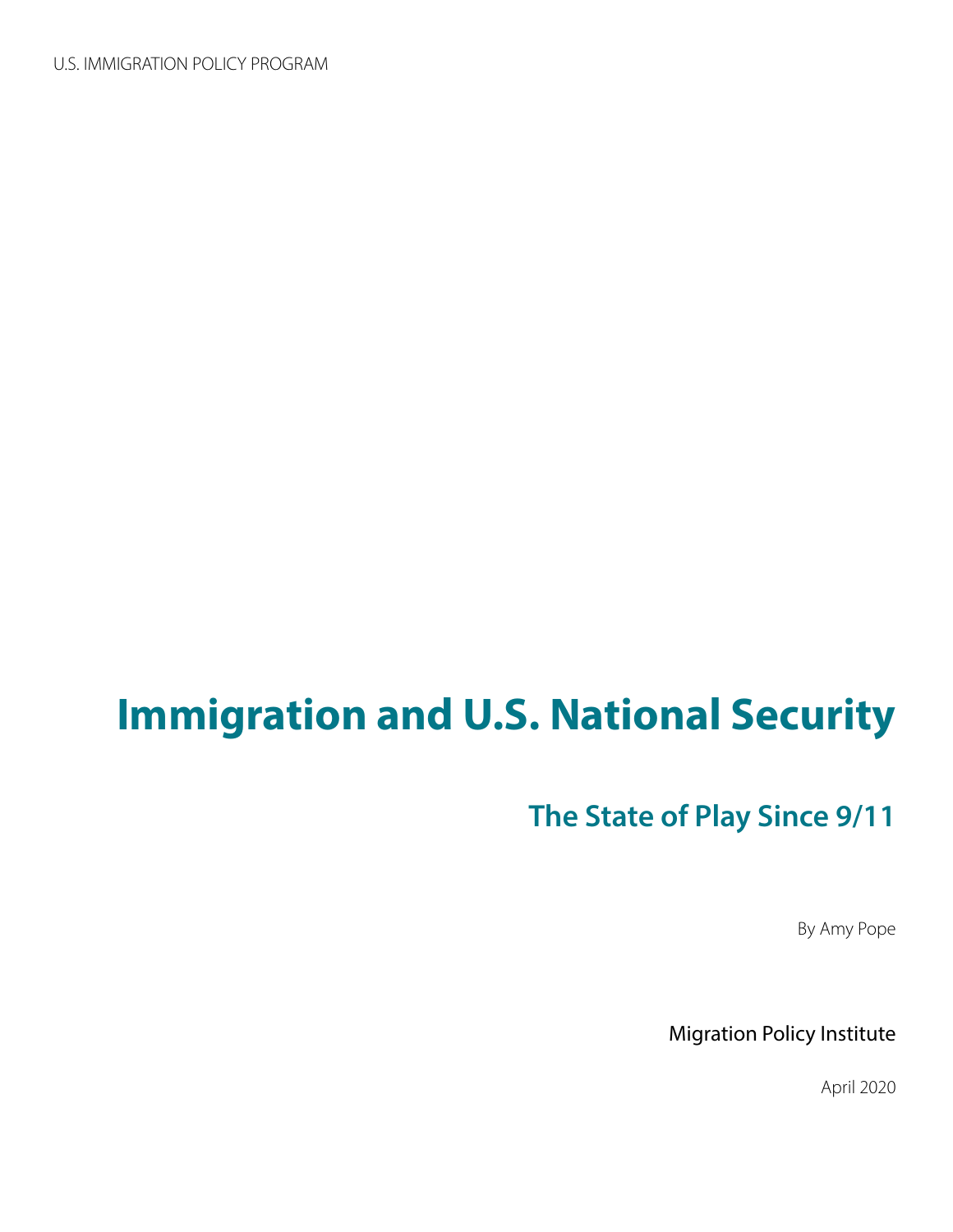# **Immigration and U.S. National Security**

# **The State of Play Since 9/11**

By Amy Pope

Migration Policy Institute

April 2020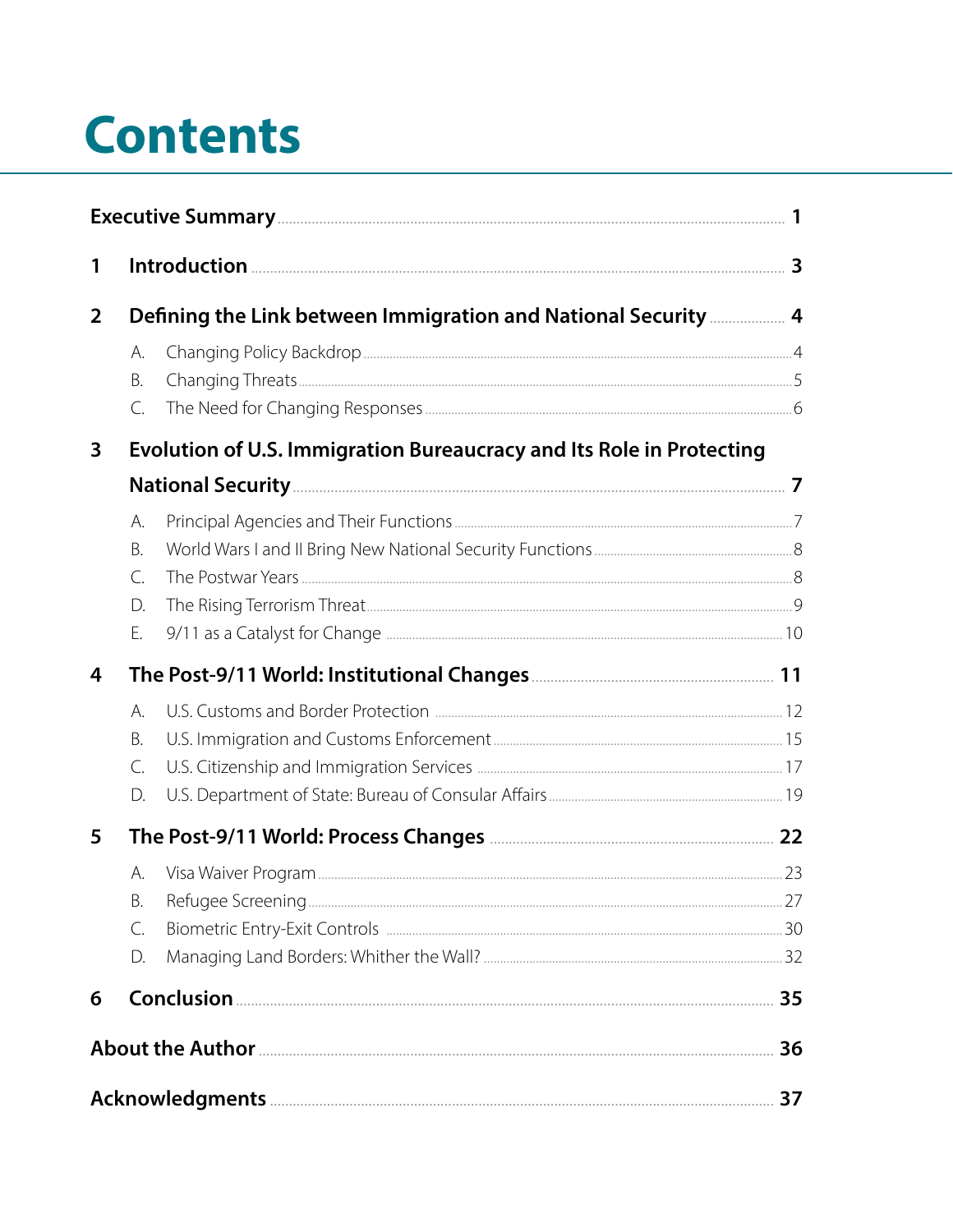# **Contents**

| 1              |                                                                      |                                                                                |  |
|----------------|----------------------------------------------------------------------|--------------------------------------------------------------------------------|--|
| $\overline{2}$ |                                                                      | Defining the Link between Immigration and National Security <b>Marrie 20</b> 4 |  |
|                | А.<br>Β.<br>C.                                                       |                                                                                |  |
| 3              | Evolution of U.S. Immigration Bureaucracy and Its Role in Protecting |                                                                                |  |
|                |                                                                      |                                                                                |  |
|                | А.<br><b>B.</b><br>$\mathsf{C}$ .<br>D.<br>Ε.                        |                                                                                |  |
| 4              |                                                                      |                                                                                |  |
|                | А.<br>B.<br>C.<br>D.                                                 |                                                                                |  |
| 5              |                                                                      |                                                                                |  |
|                | А.<br>В.<br>C.<br>D.                                                 |                                                                                |  |
| 6              |                                                                      |                                                                                |  |
|                |                                                                      |                                                                                |  |
|                |                                                                      |                                                                                |  |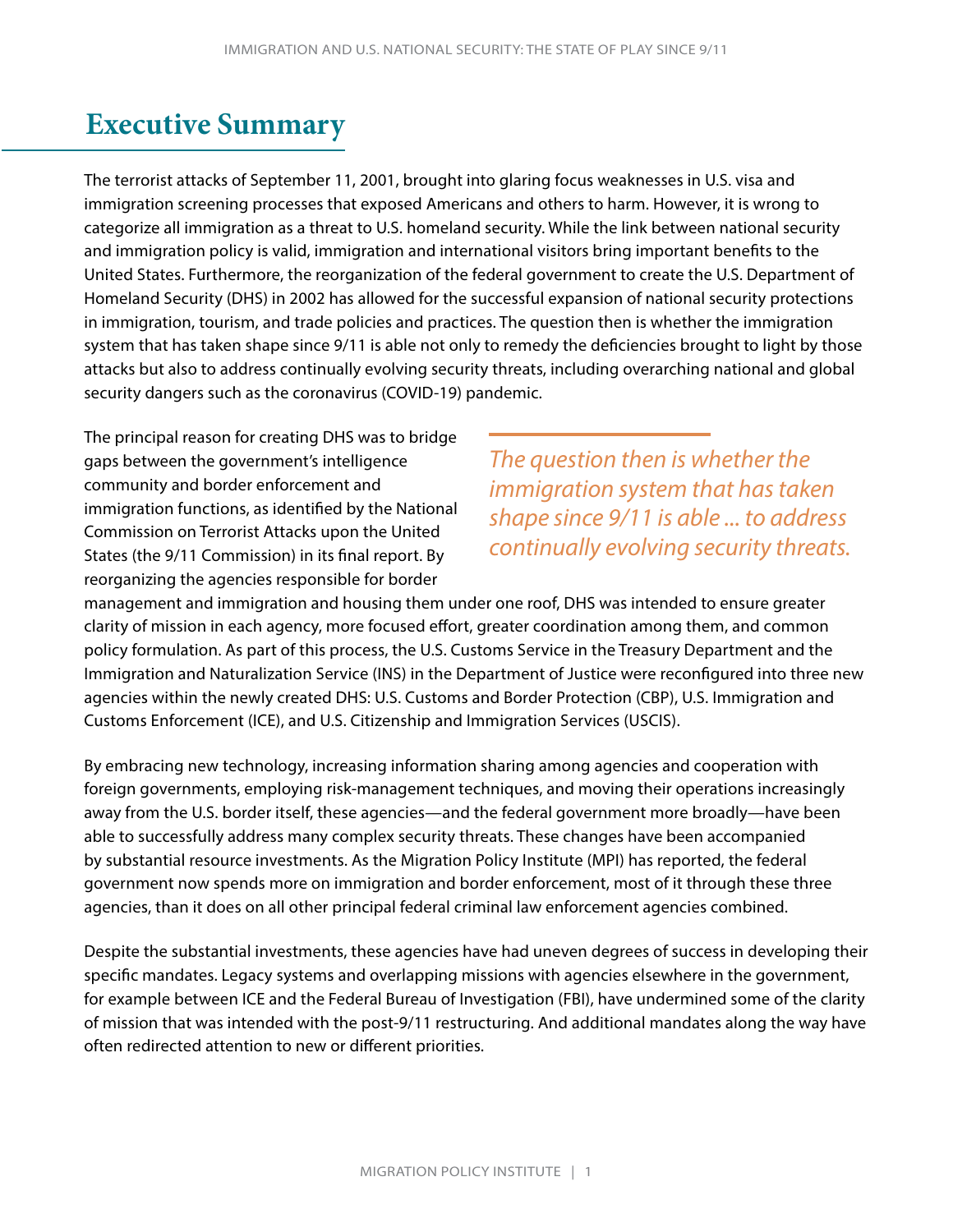# <span id="page-3-0"></span>**Executive Summary**

The terrorist attacks of September 11, 2001, brought into glaring focus weaknesses in U.S. visa and immigration screening processes that exposed Americans and others to harm. However, it is wrong to categorize all immigration as a threat to U.S. homeland security. While the link between national security and immigration policy is valid, immigration and international visitors bring important benefits to the United States. Furthermore, the reorganization of the federal government to create the U.S. Department of Homeland Security (DHS) in 2002 has allowed for the successful expansion of national security protections in immigration, tourism, and trade policies and practices. The question then is whether the immigration system that has taken shape since 9/11 is able not only to remedy the deficiencies brought to light by those attacks but also to address continually evolving security threats, including overarching national and global security dangers such as the coronavirus (COVID-19) pandemic.

The principal reason for creating DHS was to bridge gaps between the government's intelligence community and border enforcement and immigration functions, as identified by the National Commission on Terrorist Attacks upon the United States (the 9/11 Commission) in its final report. By reorganizing the agencies responsible for border

*The question then is whether the immigration system that has taken shape since 9/11 is able ... to address continually evolving security threats.*

management and immigration and housing them under one roof, DHS was intended to ensure greater clarity of mission in each agency, more focused effort, greater coordination among them, and common policy formulation. As part of this process, the U.S. Customs Service in the Treasury Department and the Immigration and Naturalization Service (INS) in the Department of Justice were reconfigured into three new agencies within the newly created DHS: U.S. Customs and Border Protection (CBP), U.S. Immigration and Customs Enforcement (ICE), and U.S. Citizenship and Immigration Services (USCIS).

By embracing new technology, increasing information sharing among agencies and cooperation with foreign governments, employing risk-management techniques, and moving their operations increasingly away from the U.S. border itself, these agencies—and the federal government more broadly—have been able to successfully address many complex security threats. These changes have been accompanied by substantial resource investments. As the Migration Policy Institute (MPI) has reported, the federal government now spends more on immigration and border enforcement, most of it through these three agencies, than it does on all other principal federal criminal law enforcement agencies combined.

Despite the substantial investments, these agencies have had uneven degrees of success in developing their specific mandates. Legacy systems and overlapping missions with agencies elsewhere in the government, for example between ICE and the Federal Bureau of Investigation (FBI), have undermined some of the clarity of mission that was intended with the post-9/11 restructuring. And additional mandates along the way have often redirected attention to new or different priorities.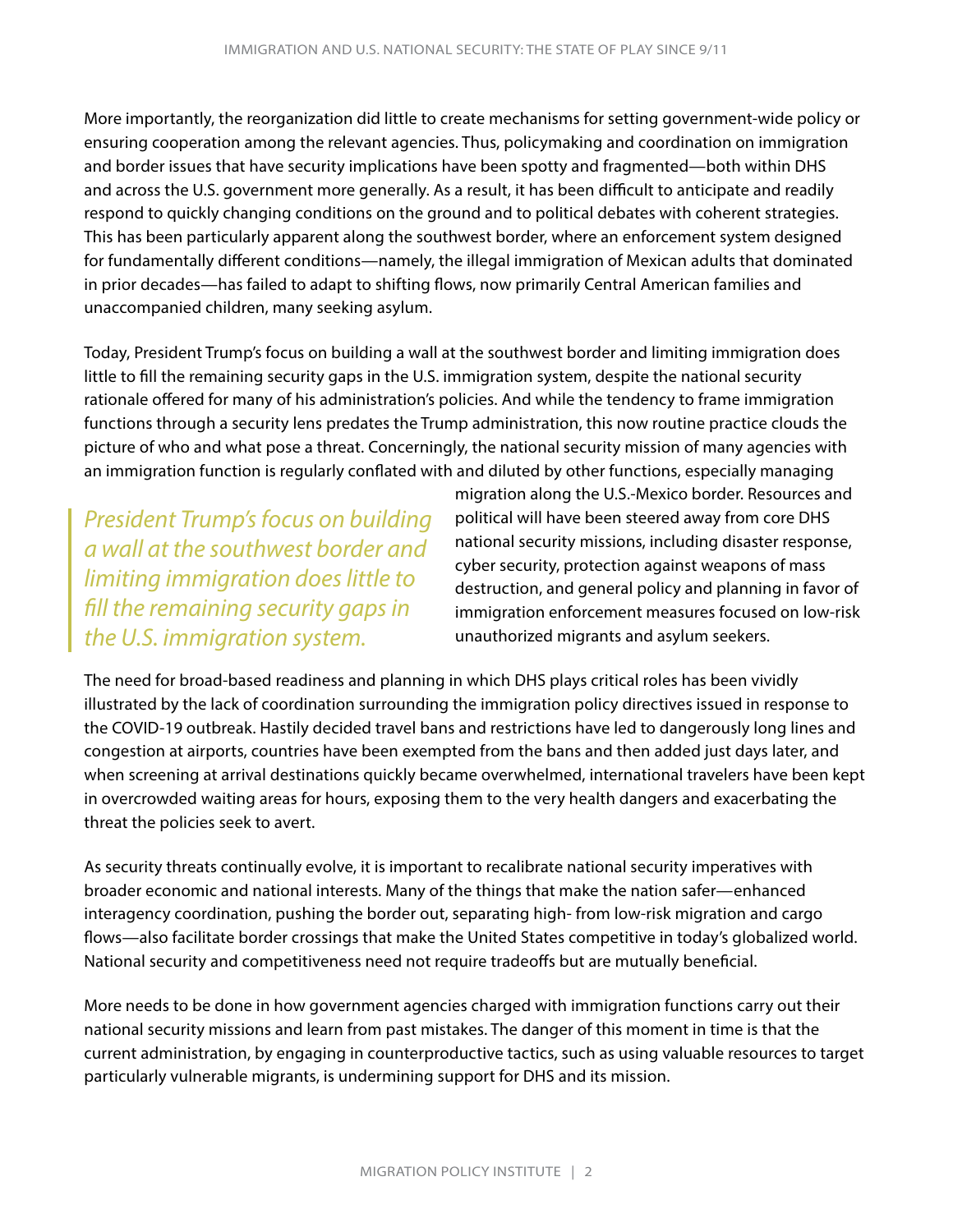More importantly, the reorganization did little to create mechanisms for setting government-wide policy or ensuring cooperation among the relevant agencies. Thus, policymaking and coordination on immigration and border issues that have security implications have been spotty and fragmented—both within DHS and across the U.S. government more generally. As a result, it has been difficult to anticipate and readily respond to quickly changing conditions on the ground and to political debates with coherent strategies. This has been particularly apparent along the southwest border, where an enforcement system designed for fundamentally different conditions—namely, the illegal immigration of Mexican adults that dominated in prior decades—has failed to adapt to shifting flows, now primarily Central American families and unaccompanied children, many seeking asylum.

Today, President Trump's focus on building a wall at the southwest border and limiting immigration does little to fill the remaining security gaps in the U.S. immigration system, despite the national security rationale offered for many of his administration's policies. And while the tendency to frame immigration functions through a security lens predates the Trump administration, this now routine practice clouds the picture of who and what pose a threat. Concerningly, the national security mission of many agencies with an immigration function is regularly conflated with and diluted by other functions, especially managing

*President Trump's focus on building a wall at the southwest border and limiting immigration does little to fill the remaining security gaps in the U.S. immigration system.*

migration along the U.S.-Mexico border. Resources and political will have been steered away from core DHS national security missions, including disaster response, cyber security, protection against weapons of mass destruction, and general policy and planning in favor of immigration enforcement measures focused on low-risk unauthorized migrants and asylum seekers.

The need for broad-based readiness and planning in which DHS plays critical roles has been vividly illustrated by the lack of coordination surrounding the immigration policy directives issued in response to the COVID-19 outbreak. Hastily decided travel bans and restrictions have led to dangerously long lines and congestion at airports, countries have been exempted from the bans and then added just days later, and when screening at arrival destinations quickly became overwhelmed, international travelers have been kept in overcrowded waiting areas for hours, exposing them to the very health dangers and exacerbating the threat the policies seek to avert.

As security threats continually evolve, it is important to recalibrate national security imperatives with broader economic and national interests. Many of the things that make the nation safer—enhanced interagency coordination, pushing the border out, separating high- from low-risk migration and cargo flows—also facilitate border crossings that make the United States competitive in today's globalized world. National security and competitiveness need not require tradeoffs but are mutually beneficial.

More needs to be done in how government agencies charged with immigration functions carry out their national security missions and learn from past mistakes. The danger of this moment in time is that the current administration, by engaging in counterproductive tactics, such as using valuable resources to target particularly vulnerable migrants, is undermining support for DHS and its mission.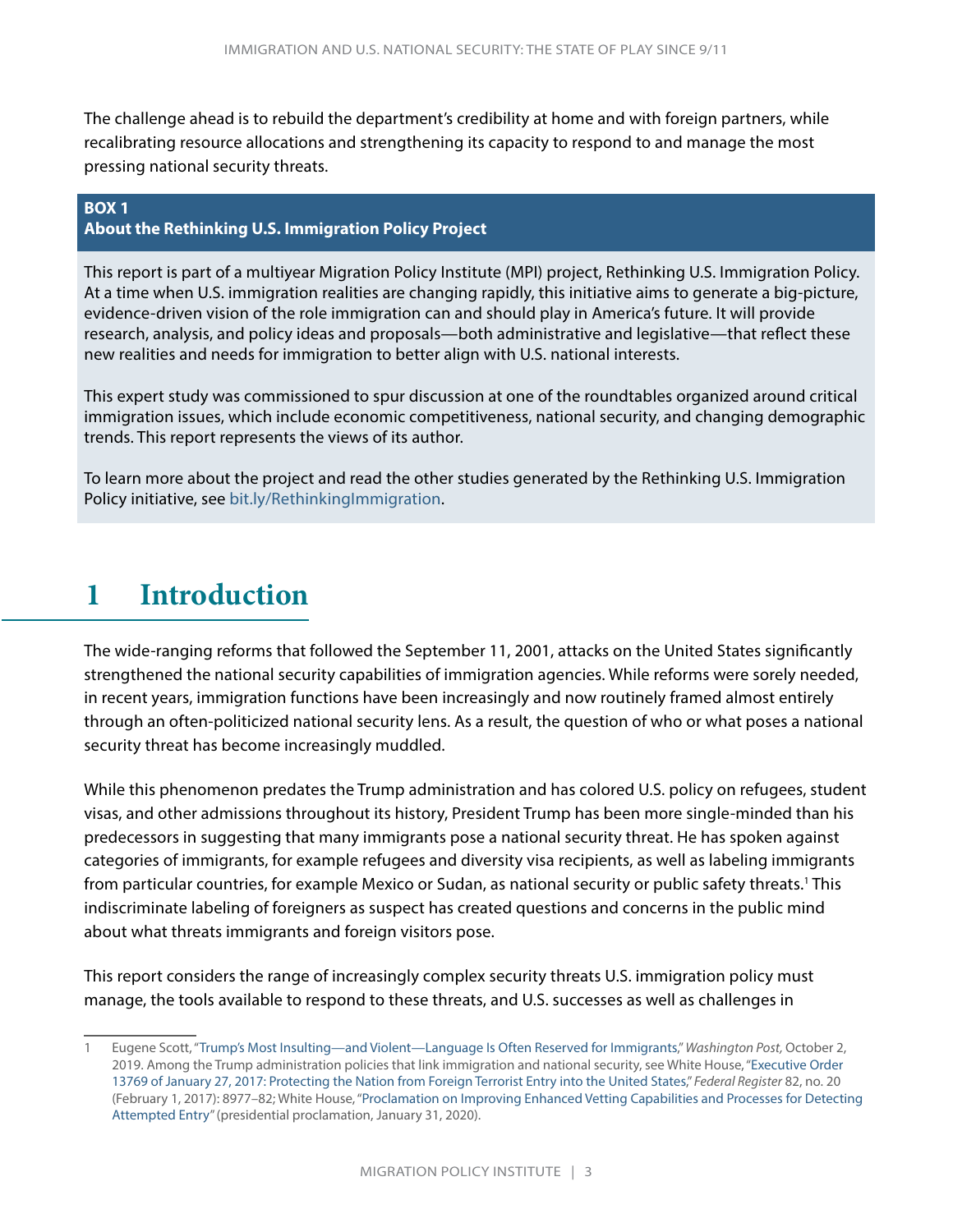<span id="page-5-0"></span>The challenge ahead is to rebuild the department's credibility at home and with foreign partners, while recalibrating resource allocations and strengthening its capacity to respond to and manage the most pressing national security threats.

#### **BOX 1**

#### **About the Rethinking U.S. Immigration Policy Project**

This report is part of a multiyear Migration Policy Institute (MPI) project, Rethinking U.S. Immigration Policy. At a time when U.S. immigration realities are changing rapidly, this initiative aims to generate a big-picture, evidence-driven vision of the role immigration can and should play in America's future. It will provide research, analysis, and policy ideas and proposals—both administrative and legislative—that reflect these new realities and needs for immigration to better align with U.S. national interests.

This expert study was commissioned to spur discussion at one of the roundtables organized around critical immigration issues, which include economic competitiveness, national security, and changing demographic trends. This report represents the views of its author.

To learn more about the project and read the other studies generated by the Rethinking U.S. Immigration Policy initiative, see [bit.ly/RethinkingImmigration.](http://bit.ly/RethinkingImmigration)

# **1 Introduction**

The wide-ranging reforms that followed the September 11, 2001, attacks on the United States significantly strengthened the national security capabilities of immigration agencies. While reforms were sorely needed, in recent years, immigration functions have been increasingly and now routinely framed almost entirely through an often-politicized national security lens. As a result, the question of who or what poses a national security threat has become increasingly muddled.

While this phenomenon predates the Trump administration and has colored U.S. policy on refugees, student visas, and other admissions throughout its history, President Trump has been more single-minded than his predecessors in suggesting that many immigrants pose a national security threat. He has spoken against categories of immigrants, for example refugees and diversity visa recipients, as well as labeling immigrants from particular countries, for example Mexico or Sudan, as national security or public safety threats.<sup>1</sup> This indiscriminate labeling of foreigners as suspect has created questions and concerns in the public mind about what threats immigrants and foreign visitors pose.

This report considers the range of increasingly complex security threats U.S. immigration policy must manage, the tools available to respond to these threats, and U.S. successes as well as challenges in

<sup>1</sup> Eugene Scott, "[Trump's Most Insulting—and Violent—Language Is Often Reserved for Immigrants](https://www.washingtonpost.com/politics/2019/10/02/trumps-most-insulting-violent-language-is-often-reserved-immigrants/)," *Washington Post,* October 2, 2019. Among the Trump administration policies that link immigration and national security, see White House, "[Executive Order](https://www.govinfo.gov/content/pkg/FR-2017-02-01/pdf/2017-02281.pdf)  [13769 of January 27, 2017: Protecting the Nation from Foreign Terrorist Entry into the United States,](https://www.govinfo.gov/content/pkg/FR-2017-02-01/pdf/2017-02281.pdf)" *Federal Register* 82, no. 20 (February 1, 2017): 8977–82; White House, "[Proclamation on Improving Enhanced Vetting Capabilities and Processes for Detecting](https://www.whitehouse.gov/presidential-actions/proclamation-improving-enhanced-vetting-capabilities-processes-detecting-attempted-entry/)  [Attempted Entry"](https://www.whitehouse.gov/presidential-actions/proclamation-improving-enhanced-vetting-capabilities-processes-detecting-attempted-entry/) (presidential proclamation, January 31, 2020).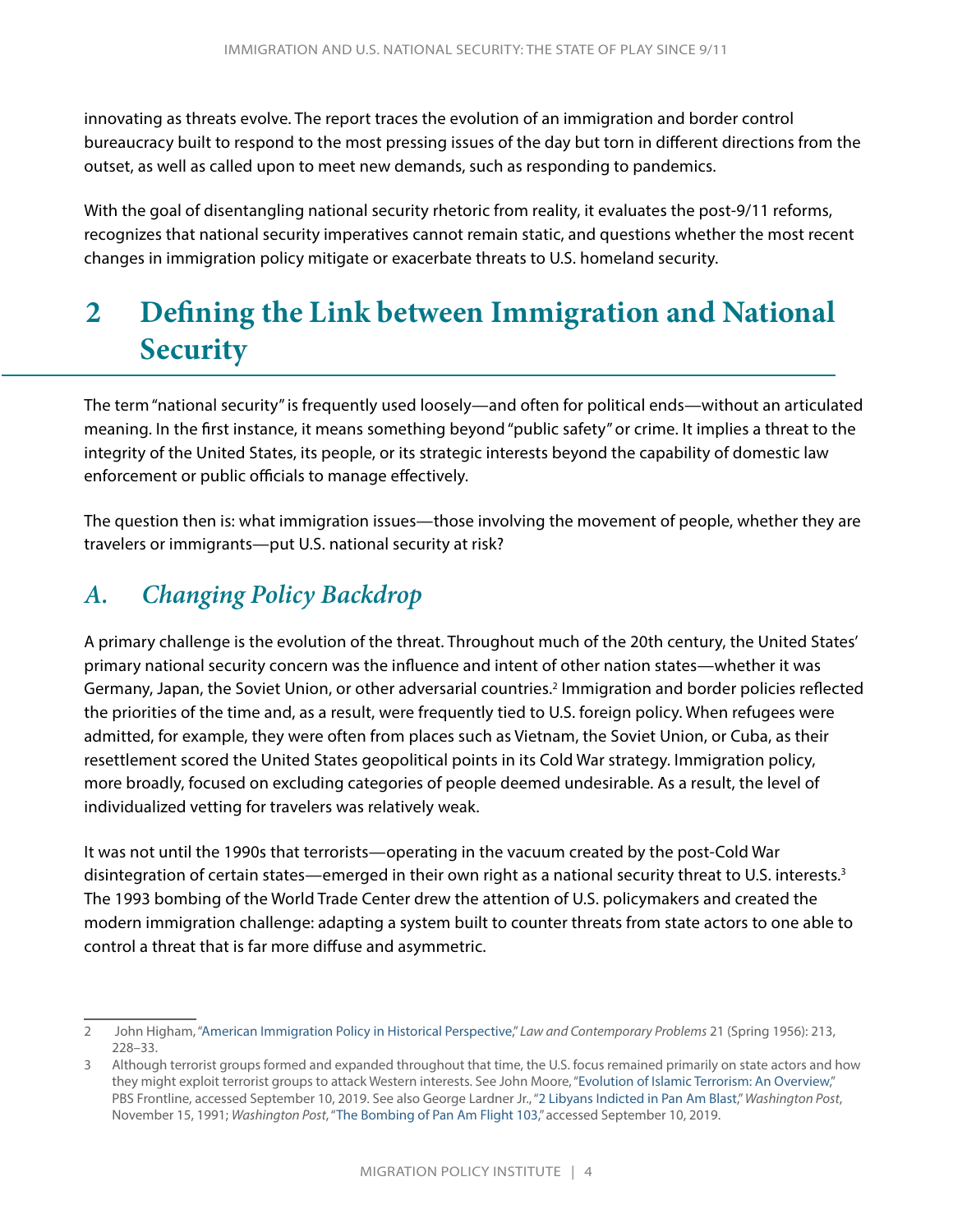<span id="page-6-0"></span>innovating as threats evolve. The report traces the evolution of an immigration and border control bureaucracy built to respond to the most pressing issues of the day but torn in different directions from the outset, as well as called upon to meet new demands, such as responding to pandemics.

With the goal of disentangling national security rhetoric from reality, it evaluates the post-9/11 reforms, recognizes that national security imperatives cannot remain static, and questions whether the most recent changes in immigration policy mitigate or exacerbate threats to U.S. homeland security.

# **2 Defining the Link between Immigration and National Security**

The term "national security" is frequently used loosely—and often for political ends—without an articulated meaning. In the first instance, it means something beyond "public safety" or crime. It implies a threat to the integrity of the United States, its people, or its strategic interests beyond the capability of domestic law enforcement or public officials to manage effectively.

The question then is: what immigration issues—those involving the movement of people, whether they are travelers or immigrants—put U.S. national security at risk?

## *A. Changing Policy Backdrop*

A primary challenge is the evolution of the threat. Throughout much of the 20th century, the United States' primary national security concern was the influence and intent of other nation states—whether it was Germany, Japan, the Soviet Union, or other adversarial countries.<sup>2</sup> Immigration and border policies reflected the priorities of the time and, as a result, were frequently tied to U.S. foreign policy. When refugees were admitted, for example, they were often from places such as Vietnam, the Soviet Union, or Cuba, as their resettlement scored the United States geopolitical points in its Cold War strategy. Immigration policy, more broadly, focused on excluding categories of people deemed undesirable. As a result, the level of individualized vetting for travelers was relatively weak.

It was not until the 1990s that terrorists—operating in the vacuum created by the post-Cold War disintegration of certain states—emerged in their own right as a national security threat to U.S. interests.3 The 1993 bombing of the World Trade Center drew the attention of U.S. policymakers and created the modern immigration challenge: adapting a system built to counter threats from state actors to one able to control a threat that is far more diffuse and asymmetric.

<sup>2</sup> John Higham, ["American Immigration Policy in Historical Perspective](https://scholarship.law.duke.edu/lcp/vol21/iss2/2/)," *Law and Contemporary Problems* 21 (Spring 1956): 213, 228–33.

<sup>3</sup> Although terrorist groups formed and expanded throughout that time, the U.S. focus remained primarily on state actors and how they might exploit terrorist groups to attack Western interests. See John Moore, "[Evolution of Islamic Terrorism: An Overview](https://www.pbs.org/wgbh/pages/frontline/shows/target/etc/modern.html)," PBS Frontline, accessed September 10, 2019. See also George Lardner Jr., ["2 Libyans Indicted in Pan Am Blast,](https://www.washingtonpost.com/wp-srv/inatl/longterm/panam103/stories/libyans111591.htm)" *Washington Post*, November 15, 1991; *Washington Post*, "[The Bombing of Pan Am Flight 103,](https://www.washingtonpost.com/wp-srv/inatl/longterm/panam103/timeline.htm)" accessed September 10, 2019.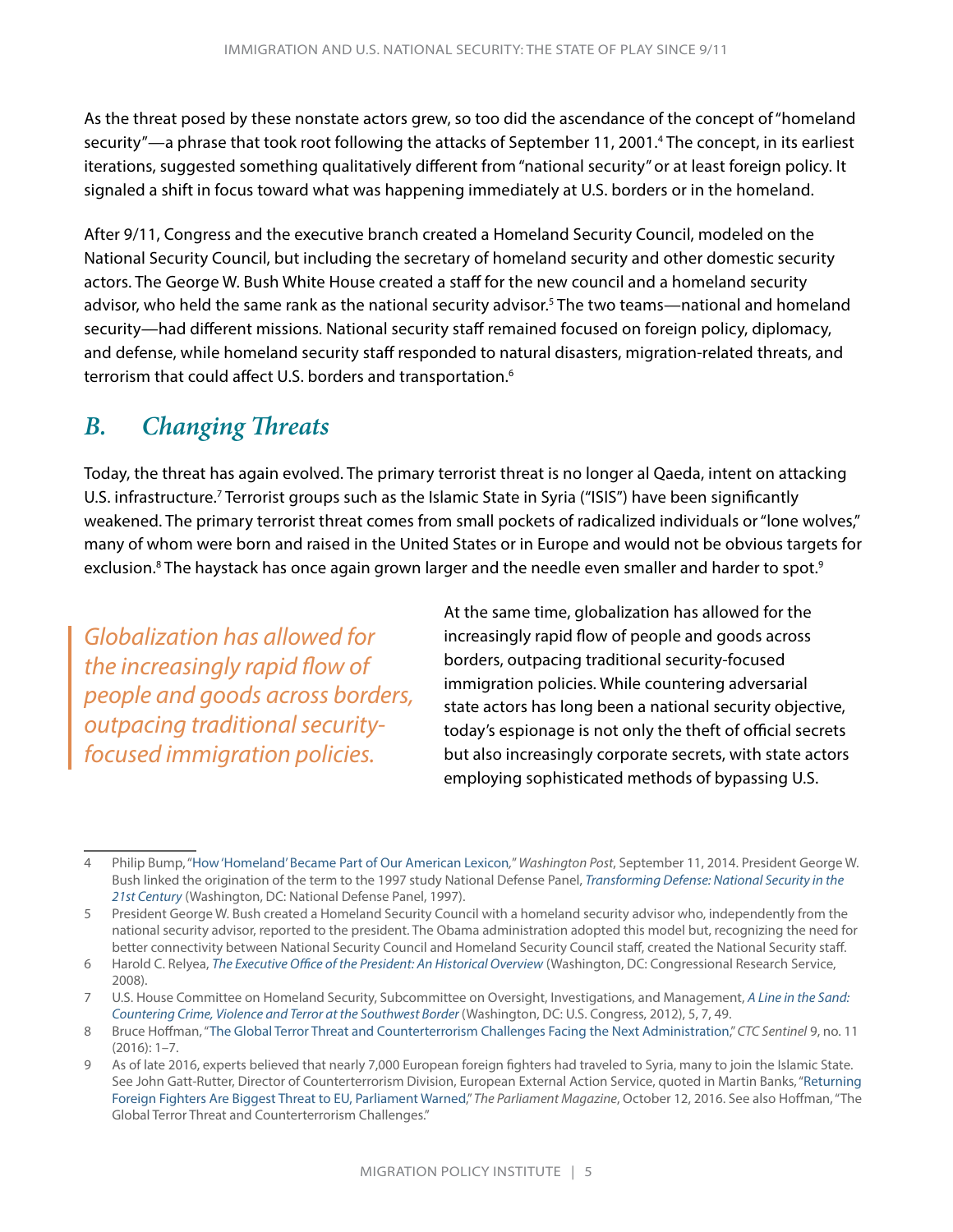<span id="page-7-0"></span>As the threat posed by these nonstate actors grew, so too did the ascendance of the concept of "homeland security"—a phrase that took root following the attacks of September 11, 2001.4 The concept, in its earliest iterations, suggested something qualitatively different from "national security" or at least foreign policy. It signaled a shift in focus toward what was happening immediately at U.S. borders or in the homeland.

After 9/11, Congress and the executive branch created a Homeland Security Council, modeled on the National Security Council, but including the secretary of homeland security and other domestic security actors. The George W. Bush White House created a staff for the new council and a homeland security advisor, who held the same rank as the national security advisor.<sup>5</sup> The two teams—national and homeland security—had different missions. National security staff remained focused on foreign policy, diplomacy, and defense, while homeland security staff responded to natural disasters, migration-related threats, and terrorism that could affect U.S. borders and transportation.<sup>6</sup>

### *B. Changing Threats*

Today, the threat has again evolved. The primary terrorist threat is no longer al Qaeda, intent on attacking U.S. infrastructure.<sup>7</sup> Terrorist groups such as the Islamic State in Syria ("ISIS") have been significantly weakened. The primary terrorist threat comes from small pockets of radicalized individuals or "lone wolves," many of whom were born and raised in the United States or in Europe and would not be obvious targets for exclusion.<sup>8</sup> The haystack has once again grown larger and the needle even smaller and harder to spot.<sup>9</sup>

*Globalization has allowed for the increasingly rapid flow of people and goods across borders, outpacing traditional securityfocused immigration policies.*

At the same time, globalization has allowed for the increasingly rapid flow of people and goods across borders, outpacing traditional security-focused immigration policies. While countering adversarial state actors has long been a national security objective, today's espionage is not only the theft of official secrets but also increasingly corporate secrets, with state actors employing sophisticated methods of bypassing U.S.

<sup>4</sup> Philip Bump, "[How 'Homeland' Became Part of Our American Lexicon](https://www.washingtonpost.com/news/the-fix/wp/2014/09/11/how-homeland-became-part-of-our-american-lexicon/)*,*" *Washington Post*, September 11, 2014. President George W. Bush linked the origination of the term to the 1997 study National Defense Panel, *[Transforming Defense: National Security in the](https://www.hsdl.org/?abstract&did=1834)  [21st Century](https://www.hsdl.org/?abstract&did=1834)* (Washington, DC: National Defense Panel, 1997).

<sup>5</sup> President George W. Bush created a Homeland Security Council with a homeland security advisor who, independently from the national security advisor, reported to the president. The Obama administration adopted this model but, recognizing the need for better connectivity between National Security Council and Homeland Security Council staff, created the National Security staff.

<sup>6</sup> Harold C. Relyea, *[The Executive Office of the President: An Historical Overview](https://fas.org/sgp/crs/misc/98-606.pdf)* (Washington, DC: Congressional Research Service, 2008).

<sup>7</sup> U.S. House Committee on Homeland Security, Subcommittee on Oversight, Investigations, and Management, *[A Line in the Sand:](https://www.hsdl.org/c/line-in-the-sand-countering-crime-violence-and-terror-at-the-southwest-border/)  [Countering Crime, Violence and Terror at the Southwest Border](https://www.hsdl.org/c/line-in-the-sand-countering-crime-violence-and-terror-at-the-southwest-border/)* (Washington, DC: U.S. Congress, 2012), 5, 7, 49.

<sup>8</sup> Bruce Hoffman, "[The Global Terror Threat and Counterterrorism Challenges Facing the Next Administration,](https://ctc.usma.edu/the-global-terror-threat-and-counterterrorism-challenges-facing-the-next-administration/)" *CTC Sentinel* 9, no. 11 (2016): 1–7.

<sup>9</sup> As of late 2016, experts believed that nearly 7,000 European foreign fighters had traveled to Syria, many to join the Islamic State. See John Gatt-Rutter, Director of Counterterrorism Division, European External Action Service, quoted in Martin Banks, ["Returning](http://www.theparliamentmagazine.eu/articles/news/returning-foreign-fighters-are-biggest-threat-eu-parliament-warned)  [Foreign Fighters Are Biggest Threat to EU, Parliament Warned](http://www.theparliamentmagazine.eu/articles/news/returning-foreign-fighters-are-biggest-threat-eu-parliament-warned)," *The Parliament Magazine*, October 12, 2016. See also Hoffman, "The Global Terror Threat and Counterterrorism Challenges."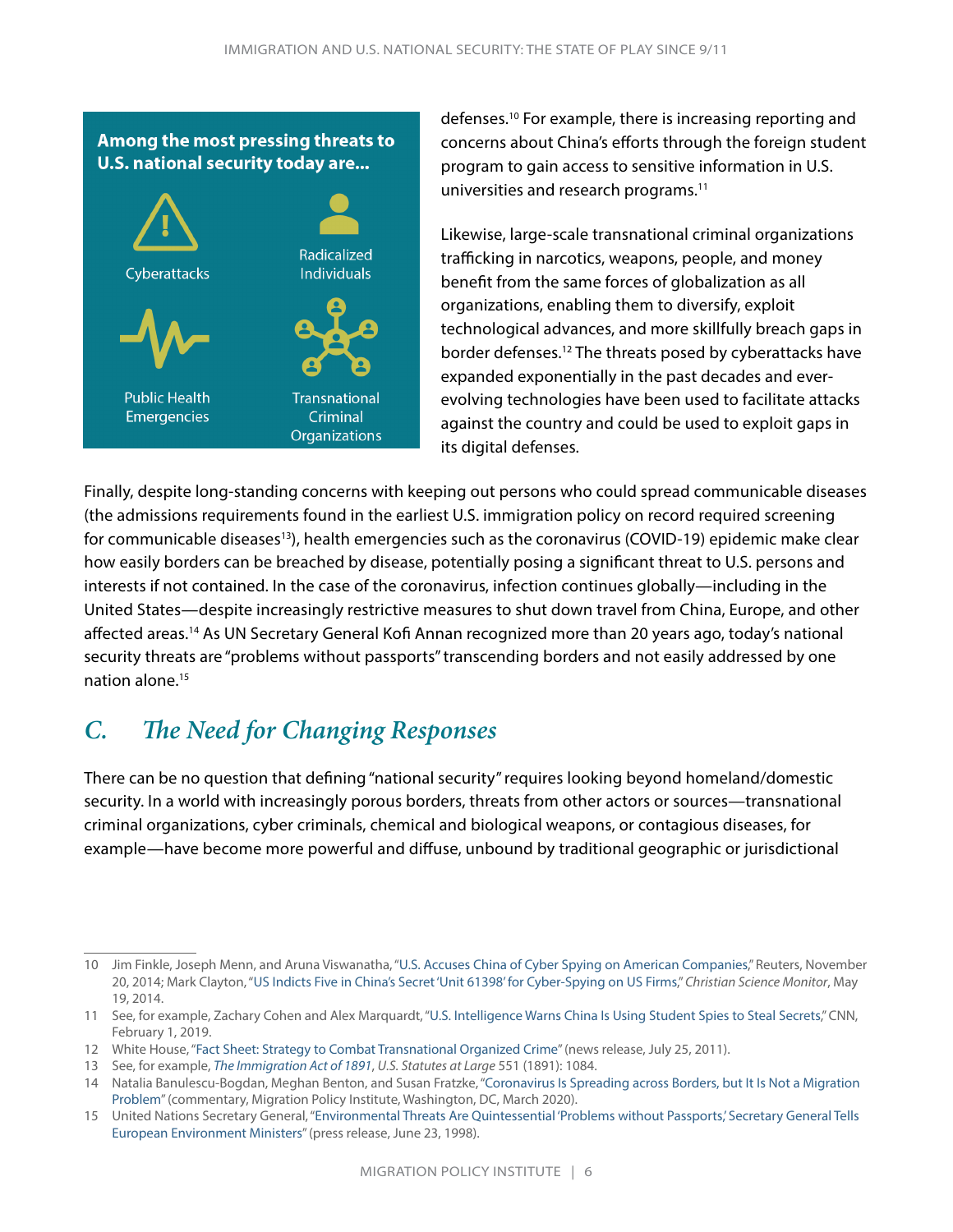#### <span id="page-8-0"></span>Among the most pressing threats to U.S. national security today are...



defenses.<sup>10</sup> For example, there is increasing reporting and concerns about China's efforts through the foreign student program to gain access to sensitive information in U.S. universities and research programs.11

Likewise, large-scale transnational criminal organizations trafficking in narcotics, weapons, people, and money benefit from the same forces of globalization as all organizations, enabling them to diversify, exploit technological advances, and more skillfully breach gaps in border defenses.12 The threats posed by cyberattacks have expanded exponentially in the past decades and everevolving technologies have been used to facilitate attacks against the country and could be used to exploit gaps in its digital defenses.

Finally, despite long-standing concerns with keeping out persons who could spread communicable diseases (the admissions requirements found in the earliest U.S. immigration policy on record required screening for communicable diseases<sup>13</sup>), health emergencies such as the coronavirus (COVID-19) epidemic make clear how easily borders can be breached by disease, potentially posing a significant threat to U.S. persons and interests if not contained. In the case of the coronavirus, infection continues globally—including in the United States—despite increasingly restrictive measures to shut down travel from China, Europe, and other affected areas.14 As UN Secretary General Kofi Annan recognized more than 20 years ago, today's national security threats are "problems without passports" transcending borders and not easily addressed by one nation alone.15

# *C. The Need for Changing Responses*

There can be no question that defining "national security" requires looking beyond homeland/domestic security. In a world with increasingly porous borders, threats from other actors or sources—transnational criminal organizations, cyber criminals, chemical and biological weapons, or contagious diseases, for example—have become more powerful and diffuse, unbound by traditional geographic or jurisdictional

<sup>10</sup> Jim Finkle, Joseph Menn, and Aruna Viswanatha, "[U.S. Accuses China of Cyber Spying on American Companies,](https://www.reuters.com/article/us-cybercrime-usa-china/u-s-accuses-china-of-cyber-spying-on-american-companies-idUSKCN0J42M520141120)" Reuters, November 20, 2014; Mark Clayton, "[US Indicts Five in China's Secret 'Unit 61398' for Cyber-Spying on US Firms](https://www.csmonitor.com/World/Passcode/2014/0519/US-indicts-five-in-China-s-secret-Unit-61398-for-cyber-spying-on-US-firms)," *Christian Science Monitor*, May 19, 2014.

<sup>11</sup> See, for example, Zachary Cohen and Alex Marquardt, ["U.S. Intelligence Warns China Is Using Student Spies to Steal Secrets](https://www.cnn.com/2019/02/01/politics/us-intelligence-chinese-student-espionage/index.html)," CNN, February 1, 2019.

<sup>12</sup> White House, "[Fact Sheet: Strategy to Combat Transnational Organized Crime](https://obamawhitehouse.archives.gov/the-press-office/2011/07/25/fact-sheet-strategy-combat-transnational-organized-crime)" (news release, July 25, 2011).

<sup>13</sup> See, for example, *[The Immigration Act of 1891](https://govtrackus.s3.amazonaws.com/legislink/pdf/stat/26/STATUTE-26-Pg1084a.pdf)*, *U.S. Statutes at Large* 551 (1891): 1084.

<sup>14</sup> Natalia Banulescu-Bogdan, Meghan Benton, and Susan Fratzke, "[Coronavirus Is Spreading across Borders, but It Is Not a Migration](https://www.migrationpolicy.org/news/coronavirus-not-a-migration-problem)  [Problem](https://www.migrationpolicy.org/news/coronavirus-not-a-migration-problem)" (commentary, Migration Policy Institute, Washington, DC, March 2020).

<sup>15</sup> United Nations Secretary General, ["Environmental Threats Are Quintessential 'Problems without Passports,' Secretary General Tells](https://www.un.org/press/en/1998/19980623.sgsm6609.html)  [European Environment Ministers](https://www.un.org/press/en/1998/19980623.sgsm6609.html)" (press release, June 23, 1998).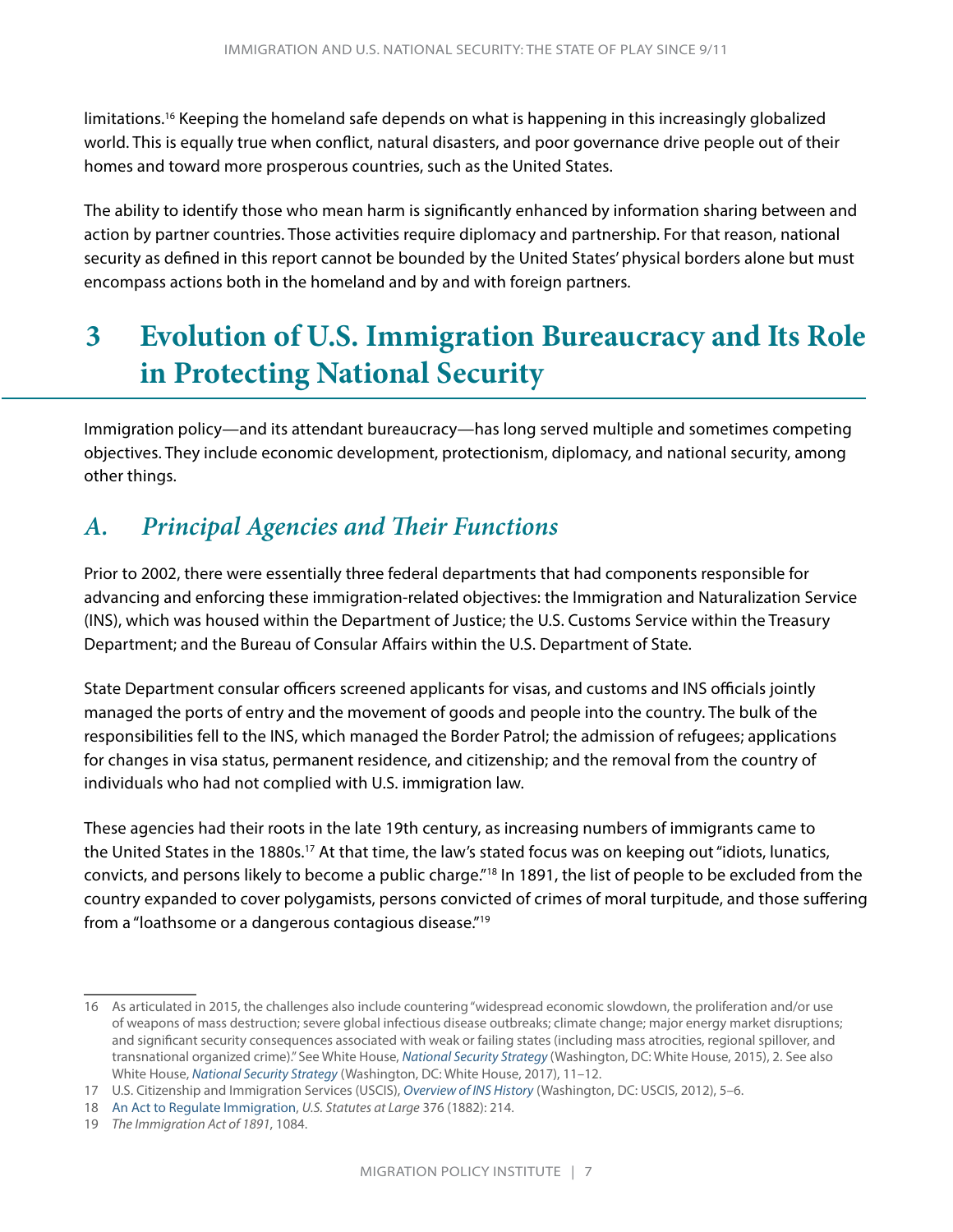<span id="page-9-0"></span>limitations.<sup>16</sup> Keeping the homeland safe depends on what is happening in this increasingly globalized world. This is equally true when conflict, natural disasters, and poor governance drive people out of their homes and toward more prosperous countries, such as the United States.

The ability to identify those who mean harm is significantly enhanced by information sharing between and action by partner countries. Those activities require diplomacy and partnership. For that reason, national security as defined in this report cannot be bounded by the United States' physical borders alone but must encompass actions both in the homeland and by and with foreign partners.

# **3 Evolution of U.S. Immigration Bureaucracy and Its Role in Protecting National Security**

Immigration policy—and its attendant bureaucracy—has long served multiple and sometimes competing objectives. They include economic development, protectionism, diplomacy, and national security, among other things.

# *A. Principal Agencies and Their Functions*

Prior to 2002, there were essentially three federal departments that had components responsible for advancing and enforcing these immigration-related objectives: the Immigration and Naturalization Service (INS), which was housed within the Department of Justice; the U.S. Customs Service within the Treasury Department; and the Bureau of Consular Affairs within the U.S. Department of State.

State Department consular officers screened applicants for visas, and customs and INS officials jointly managed the ports of entry and the movement of goods and people into the country. The bulk of the responsibilities fell to the INS, which managed the Border Patrol; the admission of refugees; applications for changes in visa status, permanent residence, and citizenship; and the removal from the country of individuals who had not complied with U.S. immigration law.

These agencies had their roots in the late 19th century, as increasing numbers of immigrants came to the United States in the 1880s.17 At that time, the law's stated focus was on keeping out "idiots, lunatics, convicts, and persons likely to become a public charge."18 In 1891, the list of people to be excluded from the country expanded to cover polygamists, persons convicted of crimes of moral turpitude, and those suffering from a "loathsome or a dangerous contagious disease."19

<sup>16</sup> As articulated in 2015, the challenges also include countering "widespread economic slowdown, the proliferation and/or use of weapons of mass destruction; severe global infectious disease outbreaks; climate change; major energy market disruptions; and significant security consequences associated with weak or failing states (including mass atrocities, regional spillover, and transnational organized crime)." See White House, *[National Security Strategy](https://obamawhitehouse.archives.gov/sites/default/files/docs/2015_national_security_strategy_2.pdf)* (Washington, DC: White House, 2015), 2. See also White House, *[National Security Strategy](https://www.whitehouse.gov/wp-content/uploads/2017/12/NSS-Final-12-18-2017-0905-2.pdf)* (Washington, DC: White House, 2017), 11–12.

<sup>17</sup> U.S. Citizenship and Immigration Services (USCIS), *[Overview of INS History](https://www.uscis.gov/sites/default/files/USCIS/History and Genealogy/Our History/INS History/INSHistory.pdf)* (Washington, DC: USCIS, 2012), 5–6.

<sup>18</sup> [An Act to Regulate Immigration](http://www.loc.gov/law/help/statutes-at-large/47th-congress/session-1/c47s1ch376.pdf), *U.S. Statutes at Large* 376 (1882): 214.

<sup>19</sup> *The Immigration Act of 1891*, 1084.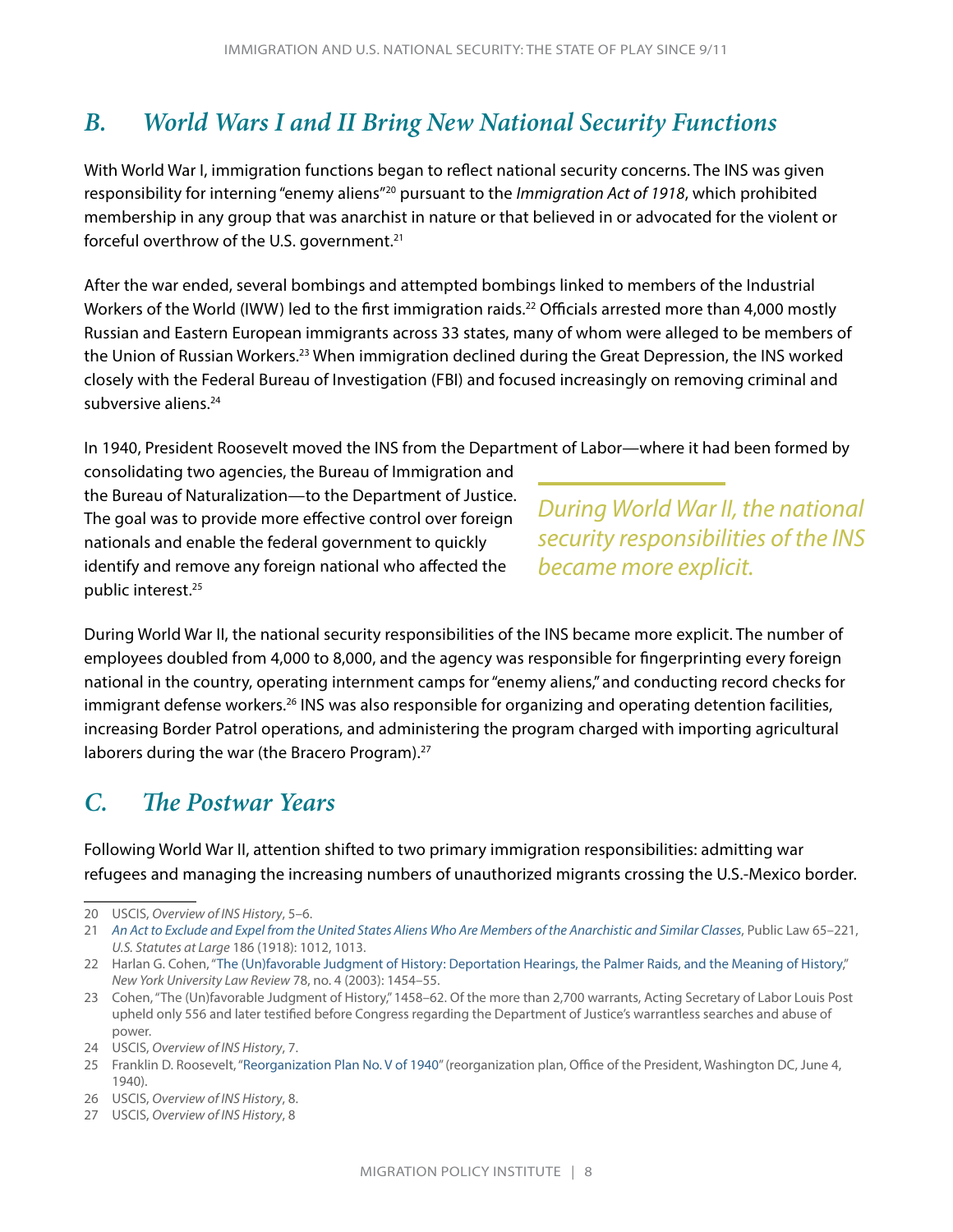## <span id="page-10-0"></span>*B. World Wars I and II Bring New National Security Functions*

With World War I, immigration functions began to reflect national security concerns. The INS was given responsibility for interning "enemy aliens"20 pursuant to the *Immigration Act of 1918*, which prohibited membership in any group that was anarchist in nature or that believed in or advocated for the violent or forceful overthrow of the U.S. government.21

After the war ended, several bombings and attempted bombings linked to members of the Industrial Workers of the World (IWW) led to the first immigration raids.<sup>22</sup> Officials arrested more than 4,000 mostly Russian and Eastern European immigrants across 33 states, many of whom were alleged to be members of the Union of Russian Workers.23 When immigration declined during the Great Depression, the INS worked closely with the Federal Bureau of Investigation (FBI) and focused increasingly on removing criminal and subversive aliens.<sup>24</sup>

In 1940, President Roosevelt moved the INS from the Department of Labor—where it had been formed by

consolidating two agencies, the Bureau of Immigration and the Bureau of Naturalization—to the Department of Justice. The goal was to provide more effective control over foreign nationals and enable the federal government to quickly identify and remove any foreign national who affected the public interest.<sup>25</sup>

*During World War II, the national security responsibilities of the INS became more explicit.*

During World War II, the national security responsibilities of the INS became more explicit. The number of employees doubled from 4,000 to 8,000, and the agency was responsible for fingerprinting every foreign national in the country, operating internment camps for "enemy aliens," and conducting record checks for immigrant defense workers.<sup>26</sup> INS was also responsible for organizing and operating detention facilities, increasing Border Patrol operations, and administering the program charged with importing agricultural laborers during the war (the Bracero Program).<sup>27</sup>

## *C. The Postwar Years*

Following World War II, attention shifted to two primary immigration responsibilities: admitting war refugees and managing the increasing numbers of unauthorized migrants crossing the U.S.-Mexico border.

<sup>20</sup> USCIS, *Overview of INS History*, 5–6.

<sup>21</sup> *[An Act to Exclude and Expel from the United States Aliens Who Are Members of the Anarchistic and Similar Classes](http://www.loc.gov/law/help/statutes-at-large/65th-congress/session-2/c65s2ch186.pdf)*, Public Law 65–221, *U.S. Statutes at Large* 186 (1918): 1012, 1013.

<sup>22</sup> Harlan G. Cohen, "[The \(Un\)favorable Judgment of History: Deportation Hearings, the Palmer Raids, and the Meaning of History](https://digitalcommons.law.uga.edu/cgi/viewcontent.cgi?article=1846&context=fac_artchop)," *New York University Law Review* 78, no. 4 (2003): 1454–55.

<sup>23</sup> Cohen, "The (Un)favorable Judgment of History," 1458–62. Of the more than 2,700 warrants, Acting Secretary of Labor Louis Post upheld only 556 and later testified before Congress regarding the Department of Justice's warrantless searches and abuse of power.

<sup>24</sup> USCIS, *Overview of INS History*, 7.

<sup>25</sup> Franklin D. Roosevelt, ["Reorganization Plan No. V of 1940](https://uscode.house.gov/view.xhtml?req=granuleid:USC-prelim-title5a-node84-leaf90&num=0&edition=prelim)" (reorganization plan, Office of the President, Washington DC, June 4, 1940).

<sup>26</sup> USCIS, *Overview of INS History*, 8.

<sup>27</sup> USCIS, *Overview of INS History*, 8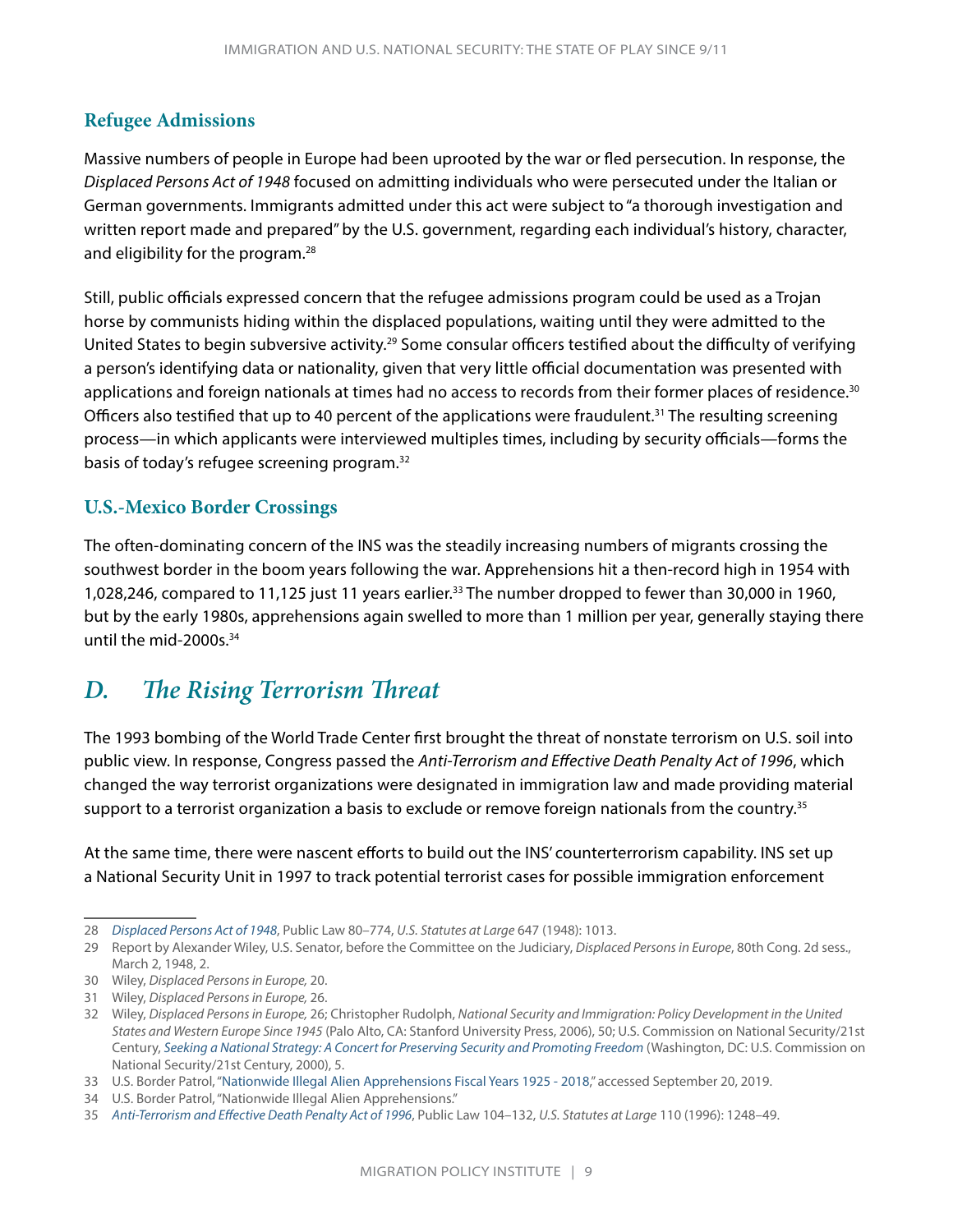#### <span id="page-11-0"></span>**Refugee Admissions**

Massive numbers of people in Europe had been uprooted by the war or fled persecution. In response, the *Displaced Persons Act of 1948* focused on admitting individuals who were persecuted under the Italian or German governments. Immigrants admitted under this act were subject to "a thorough investigation and written report made and prepared" by the U.S. government, regarding each individual's history, character, and eligibility for the program.28

Still, public officials expressed concern that the refugee admissions program could be used as a Trojan horse by communists hiding within the displaced populations, waiting until they were admitted to the United States to begin subversive activity.29 Some consular officers testified about the difficulty of verifying a person's identifying data or nationality, given that very little official documentation was presented with applications and foreign nationals at times had no access to records from their former places of residence.<sup>30</sup> Officers also testified that up to 40 percent of the applications were fraudulent.31 The resulting screening process—in which applicants were interviewed multiples times, including by security officials—forms the basis of today's refugee screening program.32

#### **U.S.-Mexico Border Crossings**

The often-dominating concern of the INS was the steadily increasing numbers of migrants crossing the southwest border in the boom years following the war. Apprehensions hit a then-record high in 1954 with 1,028,246, compared to 11,125 just 11 years earlier.33 The number dropped to fewer than 30,000 in 1960, but by the early 1980s, apprehensions again swelled to more than 1 million per year, generally staying there until the mid-2000s.34

### *D. The Rising Terrorism Threat*

The 1993 bombing of the World Trade Center first brought the threat of nonstate terrorism on U.S. soil into public view. In response, Congress passed the *Anti-Terrorism and Effective Death Penalty Act of 1996*, which changed the way terrorist organizations were designated in immigration law and made providing material support to a terrorist organization a basis to exclude or remove foreign nationals from the country.<sup>35</sup>

At the same time, there were nascent efforts to build out the INS' counterterrorism capability. INS set up a National Security Unit in 1997 to track potential terrorist cases for possible immigration enforcement

<sup>28</sup> *[Displaced Persons Act of 1948](http://www.loc.gov/law/help/statutes-at-large/80th-congress/session-2/c80s2ch647.pdf)*, Public Law 80–774, *U.S. Statutes at Large* 647 (1948): 1013.

<sup>29</sup> Report by Alexander Wiley, U.S. Senator, before the Committee on the Judiciary, *Displaced Persons in Europe*, 80th Cong. 2d sess., March 2, 1948, 2.

<sup>30</sup> Wiley, *Displaced Persons in Europe,* 20.

<sup>31</sup> Wiley, *Displaced Persons in Europe,* 26.

<sup>32</sup> Wiley, *Displaced Persons in Europe,* 26; Christopher Rudolph, *National Security and Immigration: Policy Development in the United States and Western Europe Since 1945* (Palo Alto, CA: Stanford University Press, 2006), 50; U.S. Commission on National Security/21st Century, *[Seeking a National Strategy: A Concert for Preserving Security and Promoting Freedom](https://govinfo.library.unt.edu/nssg/PhaseII.pdf)* (Washington, DC: U.S. Commission on National Security/21st Century, 2000), 5.

<sup>33</sup> U.S. Border Patrol, "[Nationwide Illegal Alien Apprehensions Fiscal Years 1925 - 2018,](https://www.cbp.gov/sites/default/files/assets/documents/2019-Mar/bp-total-apps-fy1925-fy2018.pdf)" accessed September 20, 2019.

<sup>34</sup> U.S. Border Patrol, "Nationwide Illegal Alien Apprehensions."

<sup>35</sup> *[Anti-Terrorism and Effective Death Penalty Act of 1996](https://www.congress.gov/bill/104th-congress/senate-bill/735/text)*, Public Law 104–132, *U.S. Statutes at Large* 110 (1996): 1248–49.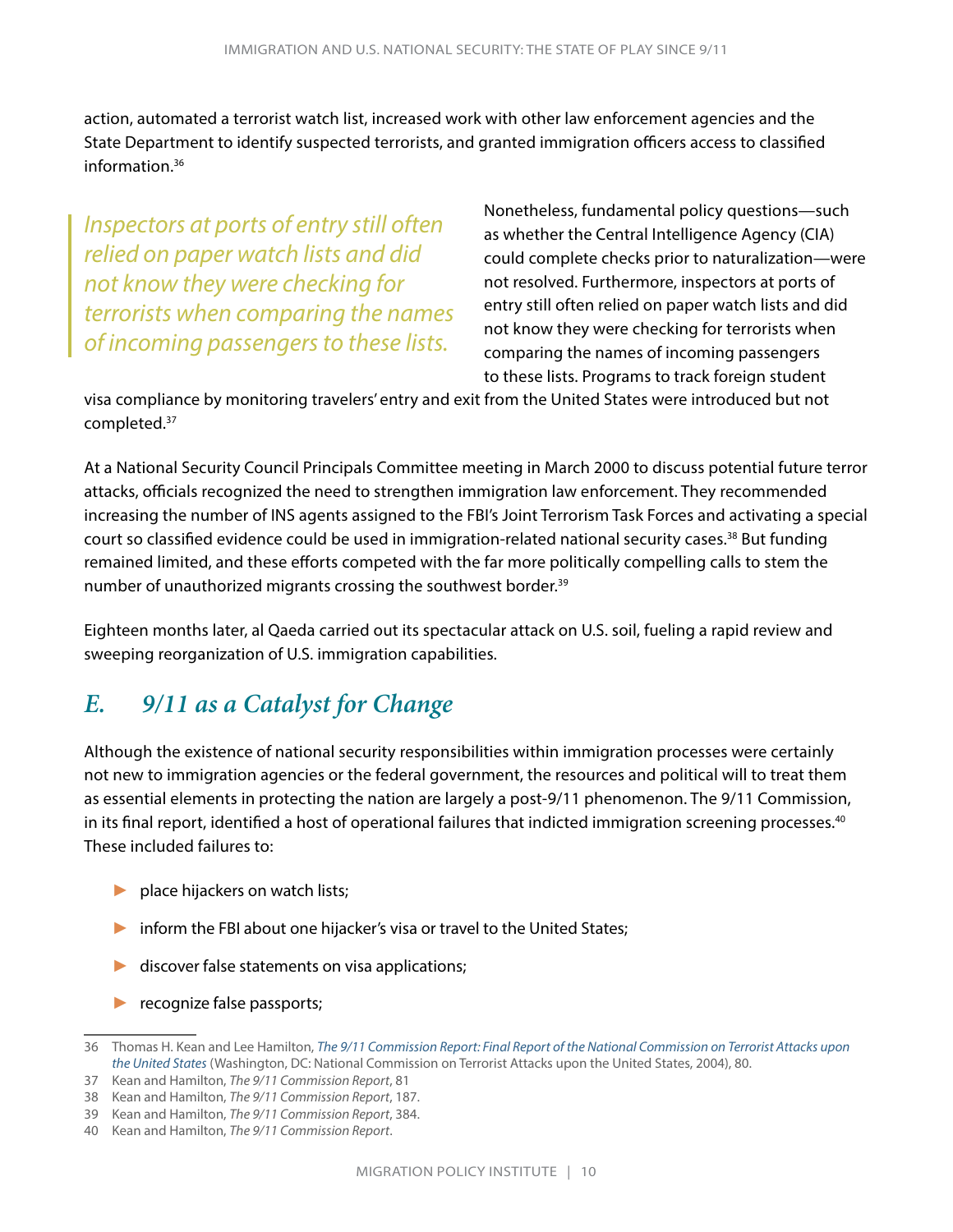<span id="page-12-0"></span>action, automated a terrorist watch list, increased work with other law enforcement agencies and the State Department to identify suspected terrorists, and granted immigration officers access to classified information.36

*Inspectors at ports of entry still often relied on paper watch lists and did not know they were checking for terrorists when comparing the names of incoming passengers to these lists.* 

Nonetheless, fundamental policy questions—such as whether the Central Intelligence Agency (CIA) could complete checks prior to naturalization—were not resolved. Furthermore, inspectors at ports of entry still often relied on paper watch lists and did not know they were checking for terrorists when comparing the names of incoming passengers to these lists. Programs to track foreign student

visa compliance by monitoring travelers' entry and exit from the United States were introduced but not completed.37

At a National Security Council Principals Committee meeting in March 2000 to discuss potential future terror attacks, officials recognized the need to strengthen immigration law enforcement. They recommended increasing the number of INS agents assigned to the FBI's Joint Terrorism Task Forces and activating a special court so classified evidence could be used in immigration-related national security cases.<sup>38</sup> But funding remained limited, and these efforts competed with the far more politically compelling calls to stem the number of unauthorized migrants crossing the southwest border.<sup>39</sup>

Eighteen months later, al Qaeda carried out its spectacular attack on U.S. soil, fueling a rapid review and sweeping reorganization of U.S. immigration capabilities.

### *E. 9/11 as a Catalyst for Change*

Although the existence of national security responsibilities within immigration processes were certainly not new to immigration agencies or the federal government, the resources and political will to treat them as essential elements in protecting the nation are largely a post-9/11 phenomenon. The 9/11 Commission, in its final report, identified a host of operational failures that indicted immigration screening processes.<sup>40</sup> These included failures to:

- place hijackers on watch lists;
- ► inform the FBI about one hijacker's visa or travel to the United States;
- ► discover false statements on visa applications;
- ► recognize false passports;

<sup>36</sup> Thomas H. Kean and Lee Hamilton, *[The 9/11 Commission Report: Final Report of the National Commission on Terrorist Attacks upon](https://www.govinfo.gov/content/pkg/GPO-911REPORT/pdf/GPO-911REPORT.pdf)  [the United States](https://www.govinfo.gov/content/pkg/GPO-911REPORT/pdf/GPO-911REPORT.pdf)* (Washington, DC: National Commission on Terrorist Attacks upon the United States, 2004), 80.

<sup>37</sup> Kean and Hamilton, *The 9/11 Commission Report*, 81

<sup>38</sup> Kean and Hamilton, *The 9/11 Commission Report*, 187.

<sup>39</sup> Kean and Hamilton, *The 9/11 Commission Report*, 384.

<sup>40</sup> Kean and Hamilton, *The 9/11 Commission Report*.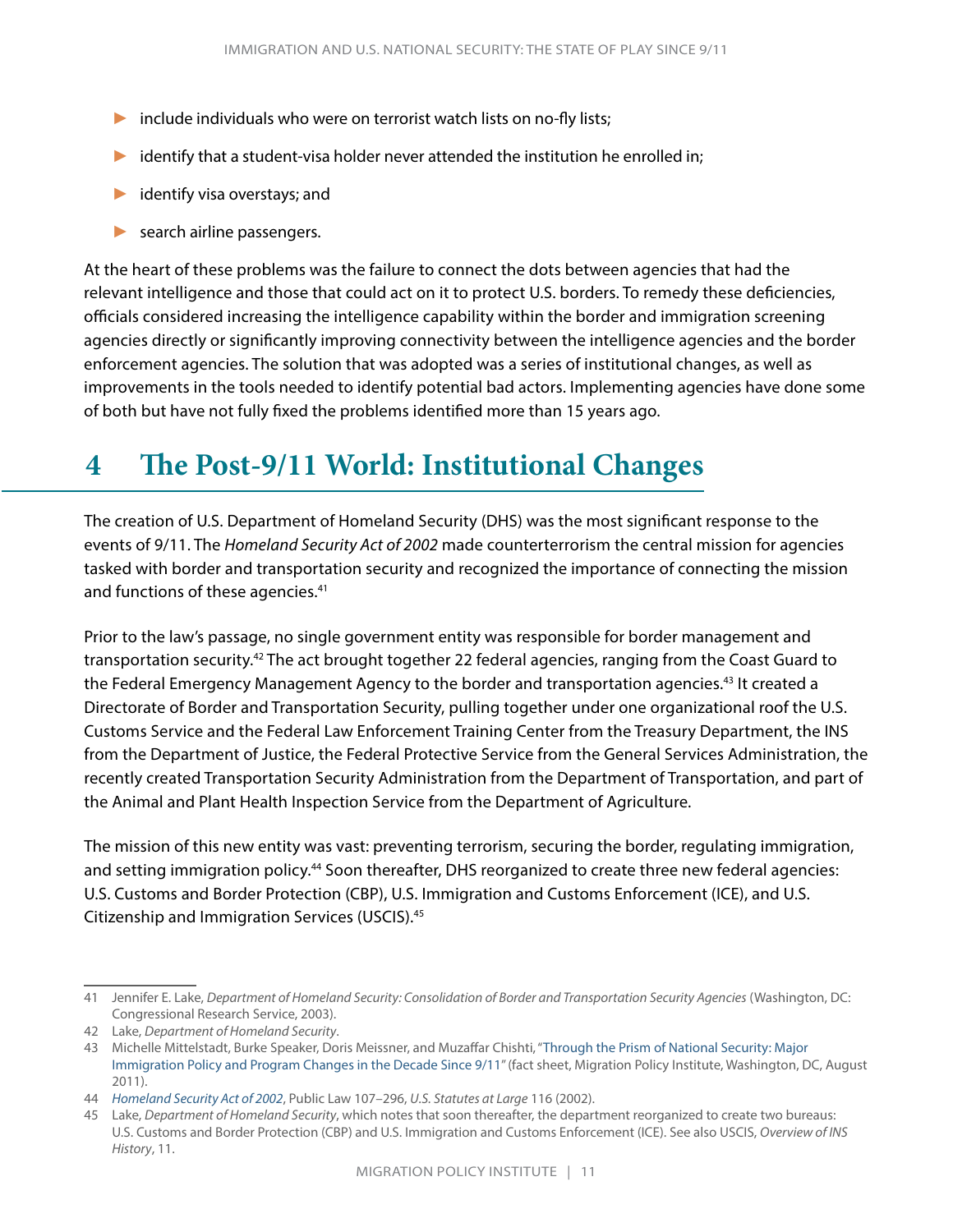- <span id="page-13-0"></span>► include individuals who were on terrorist watch lists on no-fly lists;
- $\blacktriangleright$  identify that a student-visa holder never attended the institution he enrolled in;
- ► identify visa overstays; and
- ► search airline passengers.

At the heart of these problems was the failure to connect the dots between agencies that had the relevant intelligence and those that could act on it to protect U.S. borders. To remedy these deficiencies, officials considered increasing the intelligence capability within the border and immigration screening agencies directly or significantly improving connectivity between the intelligence agencies and the border enforcement agencies. The solution that was adopted was a series of institutional changes, as well as improvements in the tools needed to identify potential bad actors. Implementing agencies have done some of both but have not fully fixed the problems identified more than 15 years ago.

# **4 The Post-9/11 World: Institutional Changes**

The creation of U.S. Department of Homeland Security (DHS) was the most significant response to the events of 9/11. The *Homeland Security Act of 2002* made counterterrorism the central mission for agencies tasked with border and transportation security and recognized the importance of connecting the mission and functions of these agencies.<sup>41</sup>

Prior to the law's passage, no single government entity was responsible for border management and transportation security.42 The act brought together 22 federal agencies, ranging from the Coast Guard to the Federal Emergency Management Agency to the border and transportation agencies.<sup>43</sup> It created a Directorate of Border and Transportation Security, pulling together under one organizational roof the U.S. Customs Service and the Federal Law Enforcement Training Center from the Treasury Department, the INS from the Department of Justice, the Federal Protective Service from the General Services Administration, the recently created Transportation Security Administration from the Department of Transportation, and part of the Animal and Plant Health Inspection Service from the Department of Agriculture.

The mission of this new entity was vast: preventing terrorism, securing the border, regulating immigration, and setting immigration policy.<sup>44</sup> Soon thereafter, DHS reorganized to create three new federal agencies: U.S. Customs and Border Protection (CBP), U.S. Immigration and Customs Enforcement (ICE), and U.S. Citizenship and Immigration Services (USCIS).45

<sup>41</sup> Jennifer E. Lake, *Department of Homeland Security: Consolidation of Border and Transportation Security Agencies* (Washington, DC: Congressional Research Service, 2003).

<sup>42</sup> Lake, *Department of Homeland Security*.

<sup>43</sup> Michelle Mittelstadt, Burke Speaker, Doris Meissner, and Muzaffar Chishti, "[Through the Prism of National Security: Major](https://www.migrationpolicy.org/research/post-9-11-immigration-policy-program-changes)  [Immigration Policy and Program Changes in the Decade Since 9/11](https://www.migrationpolicy.org/research/post-9-11-immigration-policy-program-changes)" (fact sheet, Migration Policy Institute, Washington, DC, August 2011).

<sup>44</sup> *[Homeland Security Act of 2002](https://www.dhs.gov/xlibrary/assets/hr_5005_enr.pdf)*, Public Law 107–296, *U.S. Statutes at Large* 116 (2002).

<sup>45</sup> Lake, *Department of Homeland Security*, which notes that soon thereafter, the department reorganized to create two bureaus: U.S. Customs and Border Protection (CBP) and U.S. Immigration and Customs Enforcement (ICE). See also USCIS, *Overview of INS History*, 11.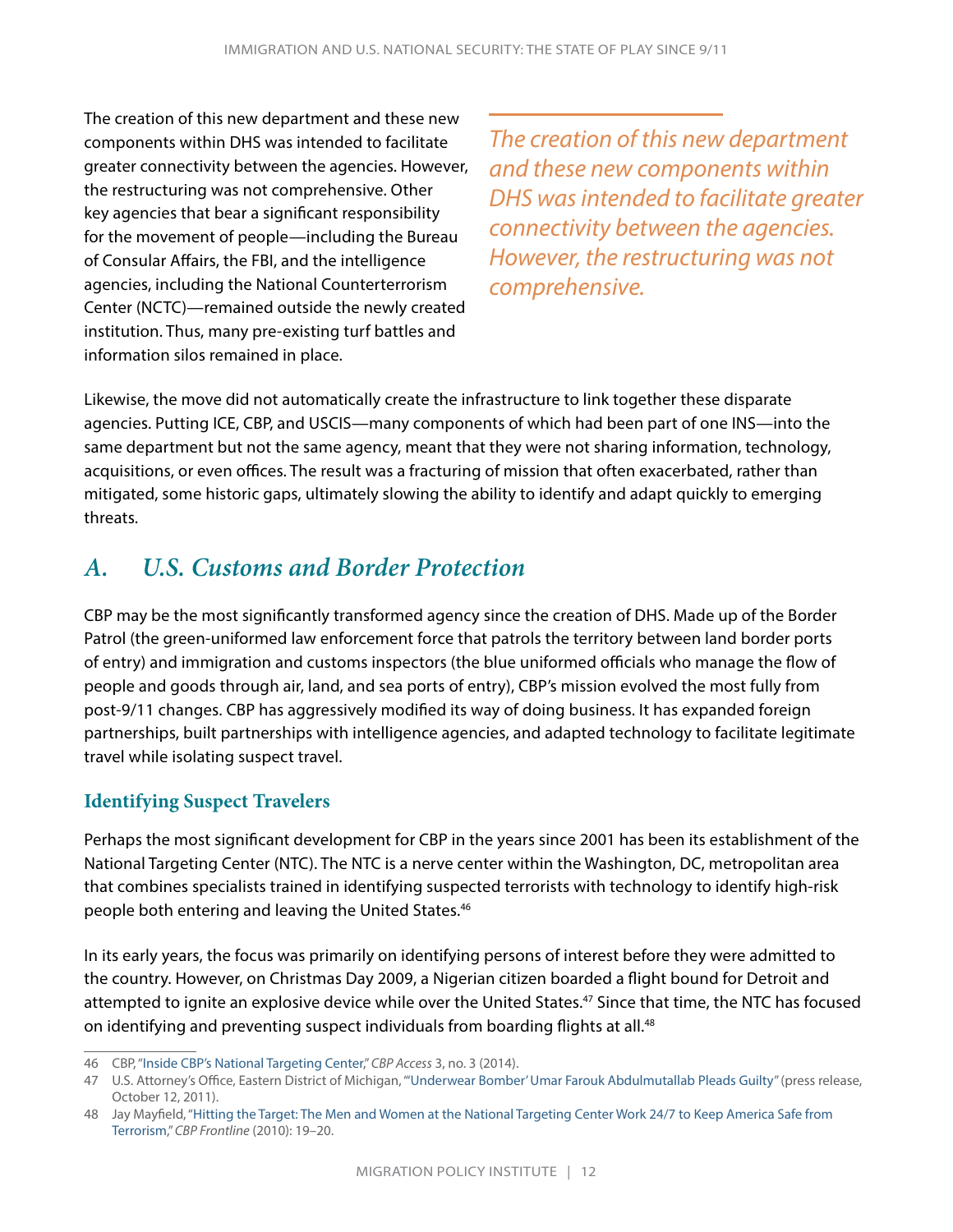<span id="page-14-0"></span>The creation of this new department and these new components within DHS was intended to facilitate greater connectivity between the agencies. However, the restructuring was not comprehensive. Other key agencies that bear a significant responsibility for the movement of people—including the Bureau of Consular Affairs, the FBI, and the intelligence agencies, including the National Counterterrorism Center (NCTC)—remained outside the newly created institution. Thus, many pre-existing turf battles and information silos remained in place.

*The creation of this new department and these new components within DHS was intended to facilitate greater connectivity between the agencies. However, the restructuring was not comprehensive.* 

Likewise, the move did not automatically create the infrastructure to link together these disparate agencies. Putting ICE, CBP, and USCIS—many components of which had been part of one INS—into the same department but not the same agency, meant that they were not sharing information, technology, acquisitions, or even offices. The result was a fracturing of mission that often exacerbated, rather than mitigated, some historic gaps, ultimately slowing the ability to identify and adapt quickly to emerging threats.

### *A. U.S. Customs and Border Protection*

CBP may be the most significantly transformed agency since the creation of DHS. Made up of the Border Patrol (the green-uniformed law enforcement force that patrols the territory between land border ports of entry) and immigration and customs inspectors (the blue uniformed officials who manage the flow of people and goods through air, land, and sea ports of entry), CBP's mission evolved the most fully from post-9/11 changes. CBP has aggressively modified its way of doing business. It has expanded foreign partnerships, built partnerships with intelligence agencies, and adapted technology to facilitate legitimate travel while isolating suspect travel.

#### **Identifying Suspect Travelers**

Perhaps the most significant development for CBP in the years since 2001 has been its establishment of the National Targeting Center (NTC). The NTC is a nerve center within the Washington, DC, metropolitan area that combines specialists trained in identifying suspected terrorists with technology to identify high-risk people both entering and leaving the United States.<sup>46</sup>

In its early years, the focus was primarily on identifying persons of interest before they were admitted to the country. However, on Christmas Day 2009, a Nigerian citizen boarded a flight bound for Detroit and attempted to ignite an explosive device while over the United States.47 Since that time, the NTC has focused on identifying and preventing suspect individuals from boarding flights at all.<sup>48</sup>

<sup>46</sup> CBP, "[Inside CBP's National Targeting Center](https://www.cbp.gov/sites/default/files/assets/documents/2017-Mar/cbpaccessv3.3-021114.pdf)," *CBP Access* 3, no. 3 (2014).

<sup>47</sup> U.S. Attorney's Office, Eastern District of Michigan, ["'Underwear Bomber' Umar Farouk Abdulmutallab Pleads Guilty"](https://archives.fbi.gov/archives/detroit/press-releases/2011/underwear-bomber-umar-farouk-abdulmutallab-pleads-guilty) (press release, October 12, 2011).

<sup>48</sup> Jay Mayfield, ["Hitting the Target: The Men and Women at the National Targeting Center Work 24/7 to Keep America Safe from](https://www.cbp.gov/sites/default/files/documents/frontline_vol3_issue3.pdf)  [Terrorism](https://www.cbp.gov/sites/default/files/documents/frontline_vol3_issue3.pdf)," *CBP Frontline* (2010): 19–20.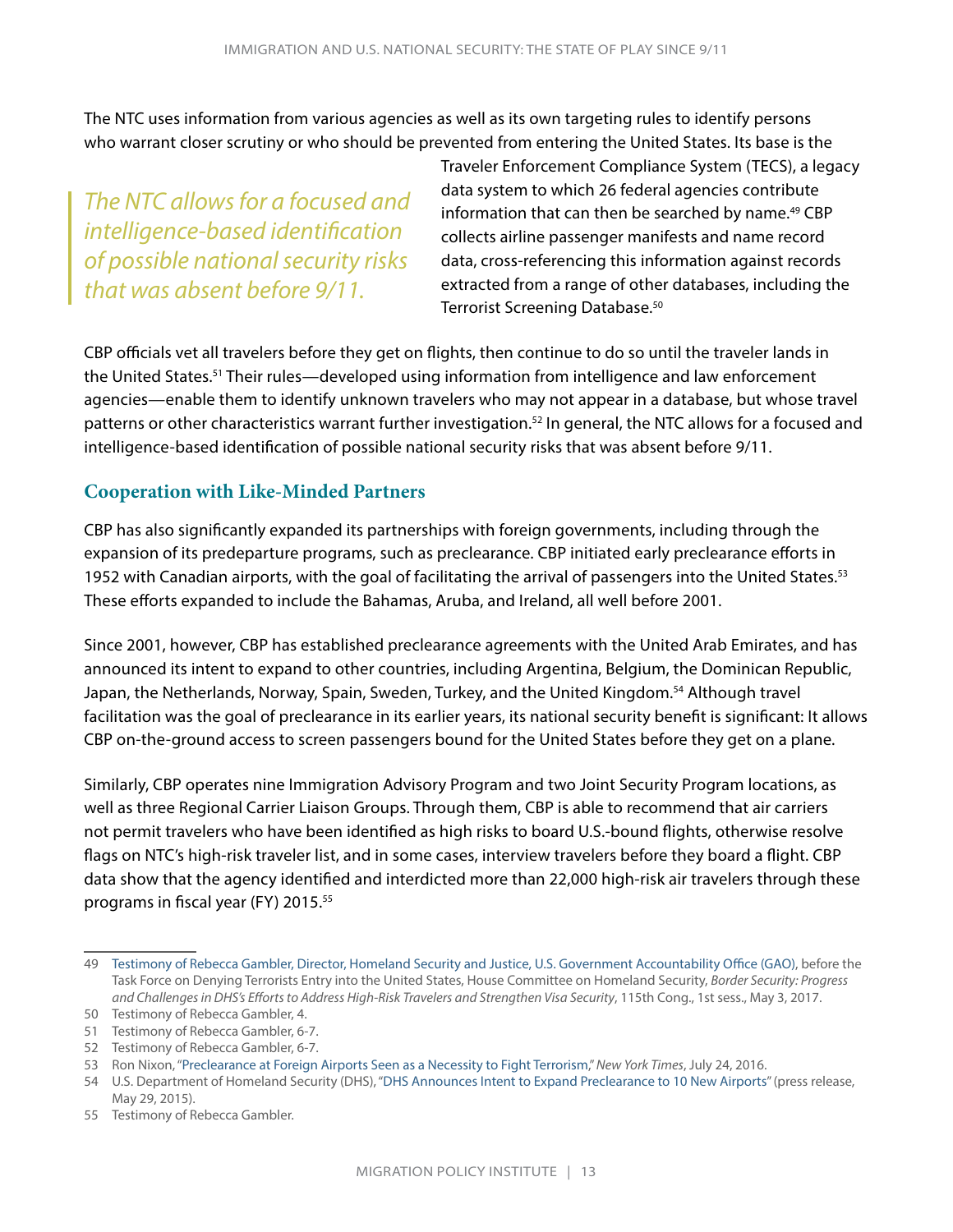The NTC uses information from various agencies as well as its own targeting rules to identify persons who warrant closer scrutiny or who should be prevented from entering the United States. Its base is the

*The NTC allows for a focused and intelligence-based identification of possible national security risks that was absent before 9/11.*

Traveler Enforcement Compliance System (TECS), a legacy data system to which 26 federal agencies contribute information that can then be searched by name.<sup>49</sup> CBP collects airline passenger manifests and name record data, cross-referencing this information against records extracted from a range of other databases, including the Terrorist Screening Database.<sup>50</sup>

CBP officials vet all travelers before they get on flights, then continue to do so until the traveler lands in the United States.<sup>51</sup> Their rules—developed using information from intelligence and law enforcement agencies—enable them to identify unknown travelers who may not appear in a database, but whose travel patterns or other characteristics warrant further investigation.<sup>52</sup> In general, the NTC allows for a focused and intelligence-based identification of possible national security risks that was absent before 9/11.

#### **Cooperation with Like-Minded Partners**

CBP has also significantly expanded its partnerships with foreign governments, including through the expansion of its predeparture programs, such as preclearance. CBP initiated early preclearance efforts in 1952 with Canadian airports, with the goal of facilitating the arrival of passengers into the United States.<sup>53</sup> These efforts expanded to include the Bahamas, Aruba, and Ireland, all well before 2001.

Since 2001, however, CBP has established preclearance agreements with the United Arab Emirates, and has announced its intent to expand to other countries, including Argentina, Belgium, the Dominican Republic, Japan, the Netherlands, Norway, Spain, Sweden, Turkey, and the United Kingdom.<sup>54</sup> Although travel facilitation was the goal of preclearance in its earlier years, its national security benefit is significant: It allows CBP on-the-ground access to screen passengers bound for the United States before they get on a plane.

Similarly, CBP operates nine Immigration Advisory Program and two Joint Security Program locations, as well as three Regional Carrier Liaison Groups. Through them, CBP is able to recommend that air carriers not permit travelers who have been identified as high risks to board U.S.-bound flights, otherwise resolve flags on NTC's high-risk traveler list, and in some cases, interview travelers before they board a flight. CBP data show that the agency identified and interdicted more than 22,000 high-risk air travelers through these programs in fiscal year (FY) 2015.55

55 Testimony of Rebecca Gambler.

<sup>49</sup> [Testimony of Rebecca Gambler, Director, Homeland Security and Justice, U.S. Government Accountability Office \(GAO\)](https://www.gao.gov/assets/690/684443.pdf), before the Task Force on Denying Terrorists Entry into the United States, House Committee on Homeland Security, *Border Security: Progress and Challenges in DHS's Efforts to Address High-Risk Travelers and Strengthen Visa Security*, 115th Cong., 1st sess., May 3, 2017.

<sup>50</sup> Testimony of Rebecca Gambler, 4.

<sup>51</sup> Testimony of Rebecca Gambler, 6-7.

<sup>52</sup> Testimony of Rebecca Gambler, 6-7.

<sup>53</sup> Ron Nixon, ["Preclearance at Foreign Airports Seen as a Necessity to Fight Terrorism](https://www.nytimes.com/2016/07/25/us/politics/preclearance-at-foreign-airports-seen-as-a-necessity-to-fight-terrorism.html)," *New York Times*, July 24, 2016.

<sup>54</sup> U.S. Department of Homeland Security (DHS), ["DHS Announces Intent to Expand Preclearance to 10 New Airports"](https://www.dhs.gov/news/2015/05/29/dhs-announces-intent-expand-preclearance-10-new-airports) (press release, May 29, 2015).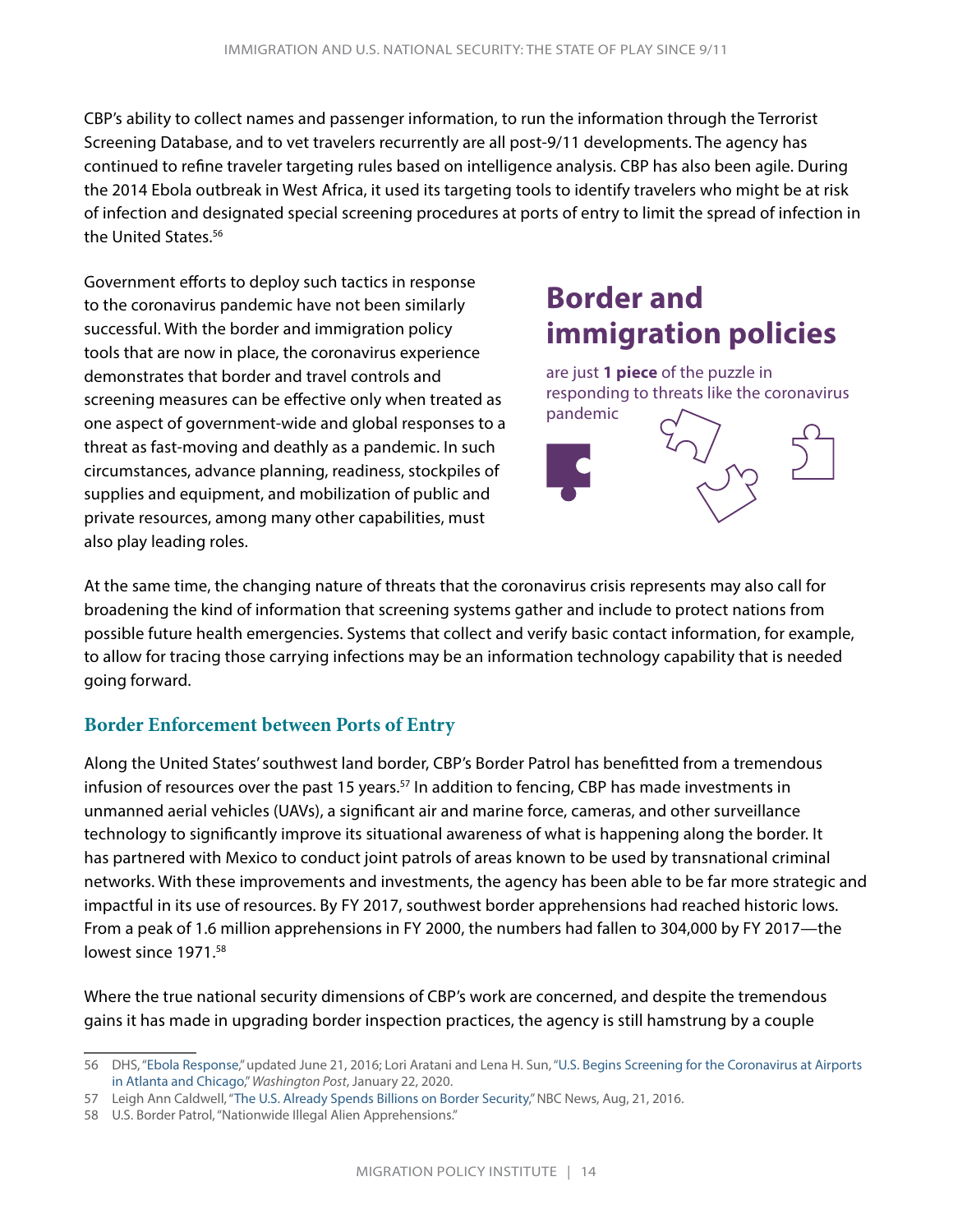CBP's ability to collect names and passenger information, to run the information through the Terrorist Screening Database, and to vet travelers recurrently are all post-9/11 developments. The agency has continued to refine traveler targeting rules based on intelligence analysis. CBP has also been agile. During the 2014 Ebola outbreak in West Africa, it used its targeting tools to identify travelers who might be at risk of infection and designated special screening procedures at ports of entry to limit the spread of infection in the United States.56

Government efforts to deploy such tactics in response to the coronavirus pandemic have not been similarly successful. With the border and immigration policy tools that are now in place, the coronavirus experience demonstrates that border and travel controls and screening measures can be effective only when treated as one aspect of government-wide and global responses to a threat as fast-moving and deathly as a pandemic. In such circumstances, advance planning, readiness, stockpiles of supplies and equipment, and mobilization of public and private resources, among many other capabilities, must also play leading roles.

# **Border and immigration policies**



At the same time, the changing nature of threats that the coronavirus crisis represents may also call for broadening the kind of information that screening systems gather and include to protect nations from possible future health emergencies. Systems that collect and verify basic contact information, for example, to allow for tracing those carrying infections may be an information technology capability that is needed going forward.

#### **Border Enforcement between Ports of Entry**

Along the United States' southwest land border, CBP's Border Patrol has benefitted from a tremendous infusion of resources over the past 15 years.<sup>57</sup> In addition to fencing, CBP has made investments in unmanned aerial vehicles (UAVs), a significant air and marine force, cameras, and other surveillance technology to significantly improve its situational awareness of what is happening along the border. It has partnered with Mexico to conduct joint patrols of areas known to be used by transnational criminal networks. With these improvements and investments, the agency has been able to be far more strategic and impactful in its use of resources. By FY 2017, southwest border apprehensions had reached historic lows. From a peak of 1.6 million apprehensions in FY 2000, the numbers had fallen to 304,000 by FY 2017—the lowest since 1971.<sup>58</sup>

Where the true national security dimensions of CBP's work are concerned, and despite the tremendous gains it has made in upgrading border inspection practices, the agency is still hamstrung by a couple

<sup>56</sup> DHS, "[Ebola Response](https://www.dhs.gov/archive/ebola-response)," updated June 21, 2016; Lori Aratani and Lena H. Sun, "[U.S. Begins Screening for the Coronavirus at Airports](https://www.washingtonpost.com/nation/2020/01/21/us-screenings-coronavirus-expanded-airports-atlanta-chicago/)  [in Atlanta and Chicago,](https://www.washingtonpost.com/nation/2020/01/21/us-screenings-coronavirus-expanded-airports-atlanta-chicago/)" *Washington Post*, January 22, 2020.

<sup>57</sup> Leigh Ann Caldwell, "[The U.S. Already Spends Billions on Border Security,](https://www.nbcnews.com/politics/2016-election/trump-s-wall-would-add-billions-u-s-spends-border-n640251)" NBC News, Aug, 21, 2016.

<sup>58</sup> U.S. Border Patrol, "Nationwide Illegal Alien Apprehensions."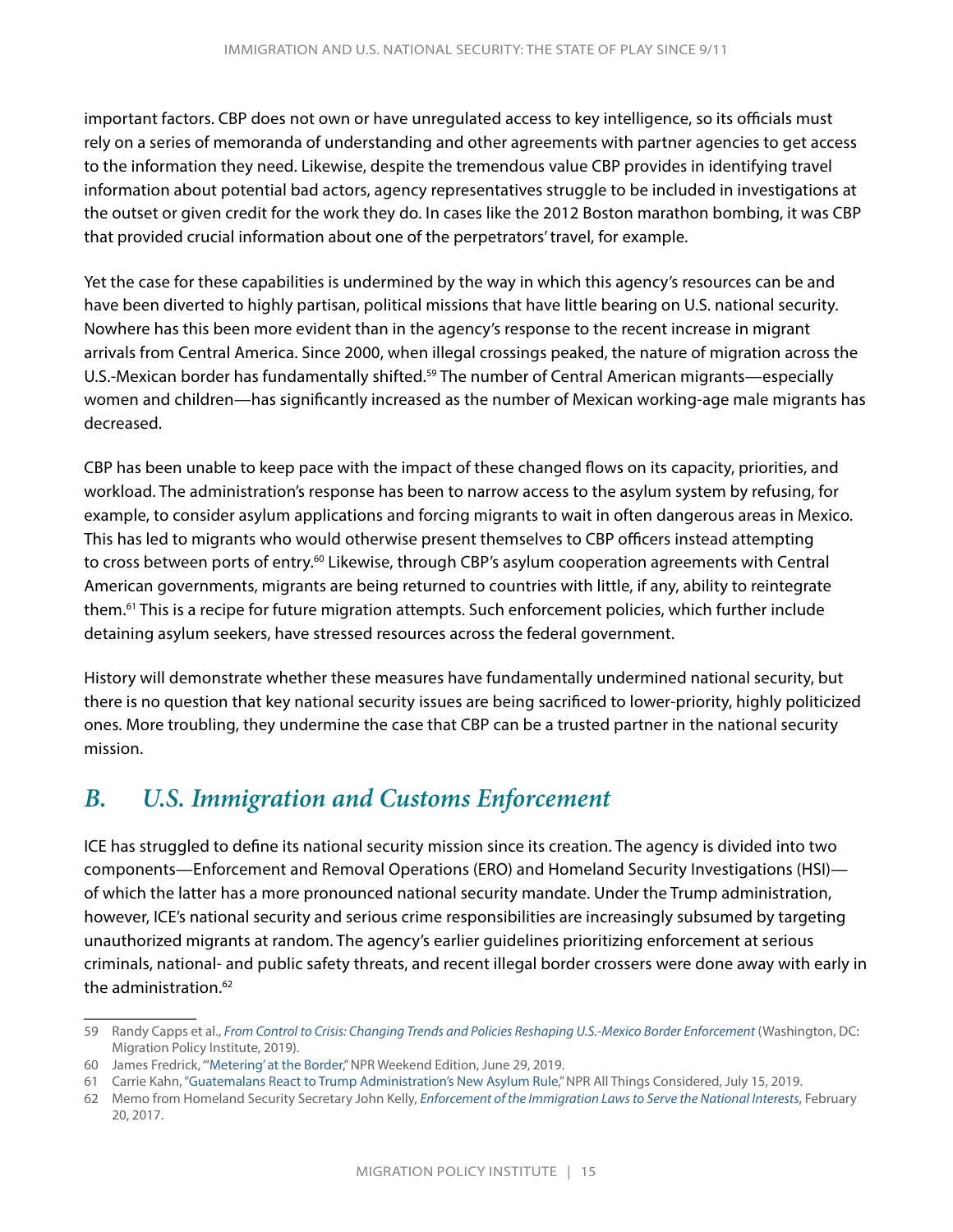<span id="page-17-0"></span>important factors. CBP does not own or have unregulated access to key intelligence, so its officials must rely on a series of memoranda of understanding and other agreements with partner agencies to get access to the information they need. Likewise, despite the tremendous value CBP provides in identifying travel information about potential bad actors, agency representatives struggle to be included in investigations at the outset or given credit for the work they do. In cases like the 2012 Boston marathon bombing, it was CBP that provided crucial information about one of the perpetrators' travel, for example.

Yet the case for these capabilities is undermined by the way in which this agency's resources can be and have been diverted to highly partisan, political missions that have little bearing on U.S. national security. Nowhere has this been more evident than in the agency's response to the recent increase in migrant arrivals from Central America. Since 2000, when illegal crossings peaked, the nature of migration across the U.S.-Mexican border has fundamentally shifted.<sup>59</sup> The number of Central American migrants—especially women and children—has significantly increased as the number of Mexican working-age male migrants has decreased.

CBP has been unable to keep pace with the impact of these changed flows on its capacity, priorities, and workload. The administration's response has been to narrow access to the asylum system by refusing, for example, to consider asylum applications and forcing migrants to wait in often dangerous areas in Mexico. This has led to migrants who would otherwise present themselves to CBP officers instead attempting to cross between ports of entry.<sup>60</sup> Likewise, through CBP's asylum cooperation agreements with Central American governments, migrants are being returned to countries with little, if any, ability to reintegrate them.61 This is a recipe for future migration attempts. Such enforcement policies, which further include detaining asylum seekers, have stressed resources across the federal government.

History will demonstrate whether these measures have fundamentally undermined national security, but there is no question that key national security issues are being sacrificed to lower-priority, highly politicized ones. More troubling, they undermine the case that CBP can be a trusted partner in the national security mission.

### *B. U.S. Immigration and Customs Enforcement*

ICE has struggled to define its national security mission since its creation. The agency is divided into two components—Enforcement and Removal Operations (ERO) and Homeland Security Investigations (HSI) of which the latter has a more pronounced national security mandate. Under the Trump administration, however, ICE's national security and serious crime responsibilities are increasingly subsumed by targeting unauthorized migrants at random. The agency's earlier guidelines prioritizing enforcement at serious criminals, national- and public safety threats, and recent illegal border crossers were done away with early in the administration.<sup>62</sup>

<sup>59</sup> Randy Capps et al., *[From Control to Crisis: Changing Trends and Policies Reshaping U.S.-Mexico Border Enforcement](https://www.migrationpolicy.org/research/changing-trends-policies-reshaping-us-mexico-border-enforcement)* (Washington, DC: Migration Policy Institute, 2019).

<sup>60</sup> James Fredrick, ["'Metering' at the Border](https://www.npr.org/2019/06/29/737268856/metering-at-the-border)," NPR Weekend Edition, June 29, 2019.

<sup>61</sup> Carrie Kahn, ["Guatemalans React to Trump Administration's New Asylum Rule,](https://www.npr.org/2019/07/15/741967324/guatemalans-react-to-trump-administrations-new-asylum-rule)" NPR All Things Considered, July 15, 2019.

<sup>62</sup> Memo from Homeland Security Secretary John Kelly, *[Enforcement of the Immigration Laws to Serve the National Interests](https://www.dhs.gov/sites/default/files/publications/17_0220_S1_Enforcement-of-the-Immigration-Laws-to-Serve-the-National-Interest.pdf)*, February 20, 2017.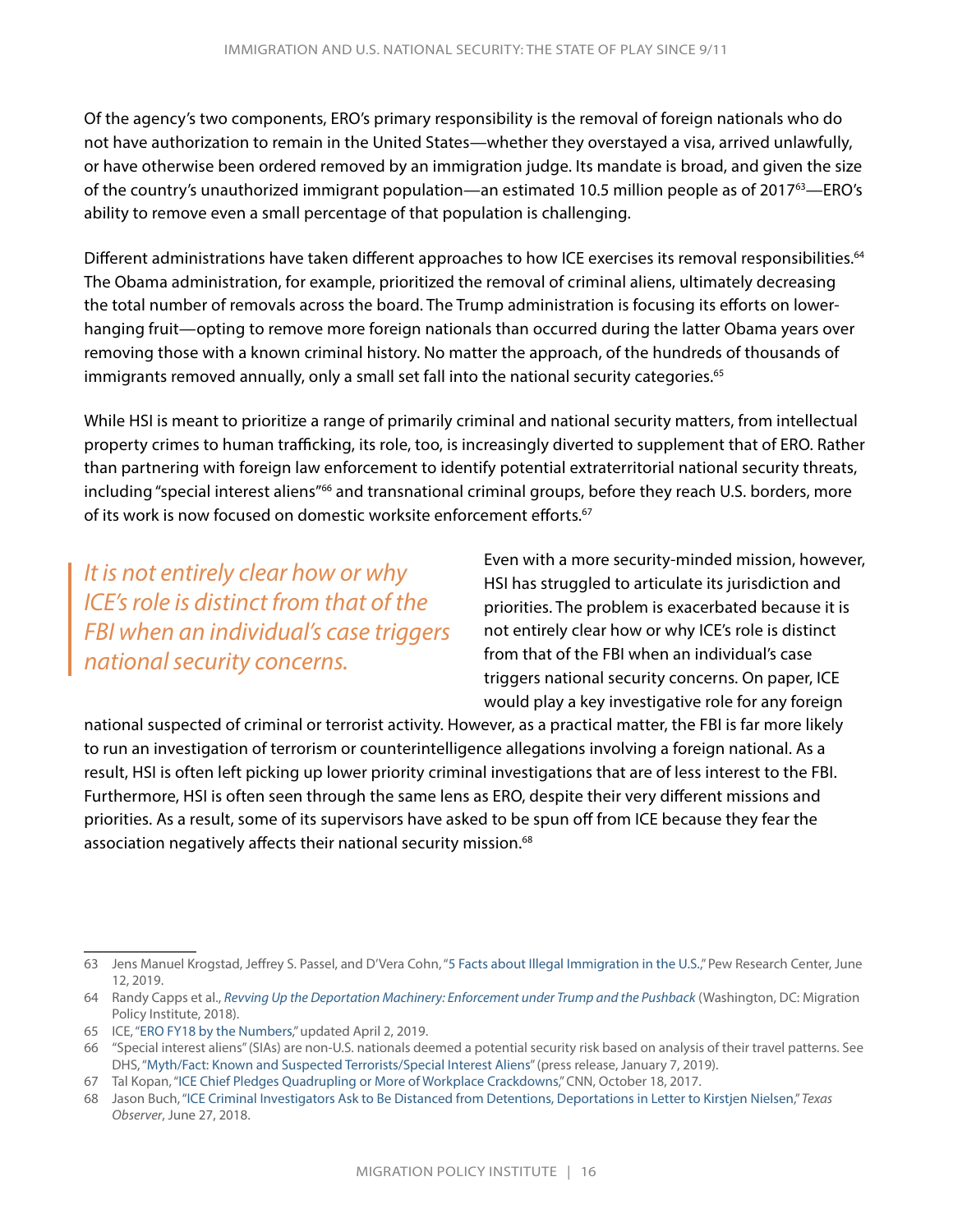Of the agency's two components, ERO's primary responsibility is the removal of foreign nationals who do not have authorization to remain in the United States—whether they overstayed a visa, arrived unlawfully, or have otherwise been ordered removed by an immigration judge. Its mandate is broad, and given the size of the country's unauthorized immigrant population—an estimated 10.5 million people as of 201763—ERO's ability to remove even a small percentage of that population is challenging.

Different administrations have taken different approaches to how ICE exercises its removal responsibilities.<sup>64</sup> The Obama administration, for example, prioritized the removal of criminal aliens, ultimately decreasing the total number of removals across the board. The Trump administration is focusing its efforts on lowerhanging fruit—opting to remove more foreign nationals than occurred during the latter Obama years over removing those with a known criminal history. No matter the approach, of the hundreds of thousands of immigrants removed annually, only a small set fall into the national security categories.<sup>65</sup>

While HSI is meant to prioritize a range of primarily criminal and national security matters, from intellectual property crimes to human trafficking, its role, too, is increasingly diverted to supplement that of ERO. Rather than partnering with foreign law enforcement to identify potential extraterritorial national security threats, including "special interest aliens"<sup>66</sup> and transnational criminal groups, before they reach U.S. borders, more of its work is now focused on domestic worksite enforcement efforts.<sup>67</sup>

*It is not entirely clear how or why ICE's role is distinct from that of the FBI when an individual's case triggers national security concerns.*

Even with a more security-minded mission, however, HSI has struggled to articulate its jurisdiction and priorities. The problem is exacerbated because it is not entirely clear how or why ICE's role is distinct from that of the FBI when an individual's case triggers national security concerns. On paper, ICE would play a key investigative role for any foreign

national suspected of criminal or terrorist activity. However, as a practical matter, the FBI is far more likely to run an investigation of terrorism or counterintelligence allegations involving a foreign national. As a result, HSI is often left picking up lower priority criminal investigations that are of less interest to the FBI. Furthermore, HSI is often seen through the same lens as ERO, despite their very different missions and priorities. As a result, some of its supervisors have asked to be spun off from ICE because they fear the association negatively affects their national security mission.<sup>68</sup>

<sup>63</sup> Jens Manuel Krogstad, Jeffrey S. Passel, and D'Vera Cohn, ["5 Facts about Illegal Immigration in the U.S.,](https://www.pewresearch.org/fact-tank/2019/06/12/5-facts-about-illegal-immigration-in-the-u-s/)" Pew Research Center, June 12, 2019.

<sup>64</sup> Randy Capps et al., *[Revving Up the Deportation Machinery: Enforcement under Trump and the Pushback](https://www.migrationpolicy.org/research/revving-deportation-machinery-under-trump-and-pushback)* (Washington, DC: Migration Policy Institute, 2018).

<sup>65</sup> ICE, "[ERO FY18 by the Numbers,](https://www.ice.gov/features/ERO-2018)" updated April 2, 2019.

<sup>66</sup> "Special interest aliens" (SIAs) are non-U.S. nationals deemed a potential security risk based on analysis of their travel patterns. See DHS, ["Myth/Fact: Known and Suspected Terrorists/Special Interest Aliens"](https://www.dhs.gov/news/2019/01/07/mythfact-known-and-suspected-terroristsspecial-interest-aliens#wcm-survey-target-id) (press release, January 7, 2019).

<sup>67</sup> Tal Kopan, "[ICE Chief Pledges Quadrupling or More of Workplace Crackdowns,](https://edition.cnn.com/2017/10/17/politics/ice-crackdown-workplaces/index.html)" CNN, October 18, 2017.

<sup>68</sup> Jason Buch, ["ICE Criminal Investigators Ask to Be Distanced from Detentions, Deportations in Letter to Kirstjen Nielsen](https://www.texasobserver.org/ice-hsi-letter-kirstjen-nielsen-criminal-civil-deportation-zero-tolerance/)," *Texas Observer*, June 27, 2018.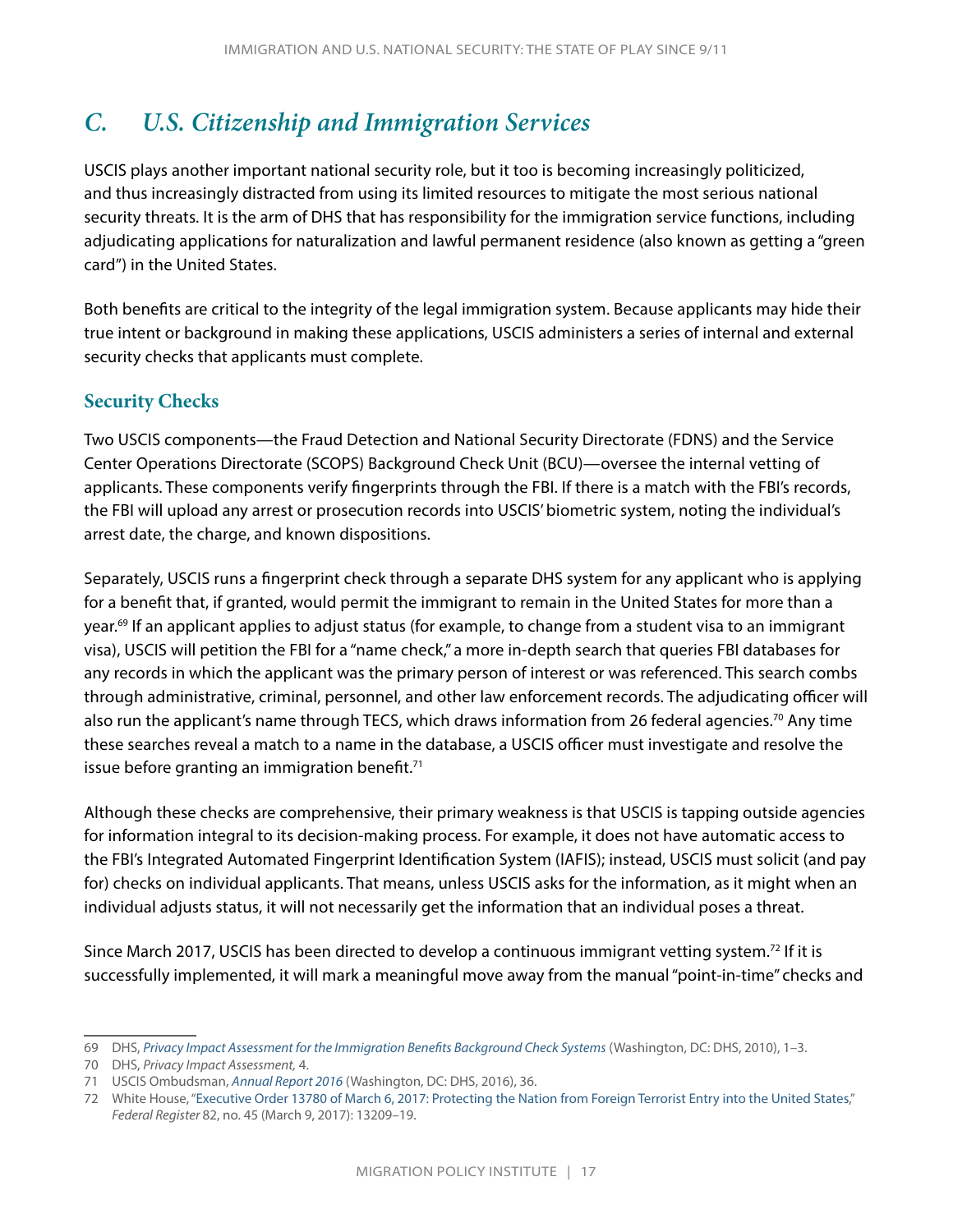# <span id="page-19-0"></span>*C. U.S. Citizenship and Immigration Services*

USCIS plays another important national security role, but it too is becoming increasingly politicized, and thus increasingly distracted from using its limited resources to mitigate the most serious national security threats. It is the arm of DHS that has responsibility for the immigration service functions, including adjudicating applications for naturalization and lawful permanent residence (also known as getting a "green card") in the United States.

Both benefits are critical to the integrity of the legal immigration system. Because applicants may hide their true intent or background in making these applications, USCIS administers a series of internal and external security checks that applicants must complete.

#### **Security Checks**

Two USCIS components—the Fraud Detection and National Security Directorate (FDNS) and the Service Center Operations Directorate (SCOPS) Background Check Unit (BCU)—oversee the internal vetting of applicants. These components verify fingerprints through the FBI. If there is a match with the FBI's records, the FBI will upload any arrest or prosecution records into USCIS' biometric system, noting the individual's arrest date, the charge, and known dispositions.

Separately, USCIS runs a fingerprint check through a separate DHS system for any applicant who is applying for a benefit that, if granted, would permit the immigrant to remain in the United States for more than a year.69 If an applicant applies to adjust status (for example, to change from a student visa to an immigrant visa), USCIS will petition the FBI for a "name check," a more in-depth search that queries FBI databases for any records in which the applicant was the primary person of interest or was referenced. This search combs through administrative, criminal, personnel, and other law enforcement records. The adjudicating officer will also run the applicant's name through TECS, which draws information from 26 federal agencies.<sup>70</sup> Any time these searches reveal a match to a name in the database, a USCIS officer must investigate and resolve the issue before granting an immigration benefit. $71$ 

Although these checks are comprehensive, their primary weakness is that USCIS is tapping outside agencies for information integral to its decision-making process. For example, it does not have automatic access to the FBI's Integrated Automated Fingerprint Identification System (IAFIS); instead, USCIS must solicit (and pay for) checks on individual applicants. That means, unless USCIS asks for the information, as it might when an individual adjusts status, it will not necessarily get the information that an individual poses a threat.

Since March 2017, USCIS has been directed to develop a continuous immigrant vetting system.72 If it is successfully implemented, it will mark a meaningful move away from the manual "point-in-time" checks and

<sup>69</sup> DHS, *[Privacy Impact Assessment for the Immigration Benefits Background Check Systems](https://www.dhs.gov/xlibrary/assets/privacy/privacy_pia_uscis_ibbcs.pdf)* (Washington, DC: DHS, 2010), 1–3.

<sup>70</sup> DHS, *Privacy Impact Assessment,* 4.

<sup>71</sup> USCIS Ombudsman, *[Annual Report 2016](https://www.dhs.gov/topic/prior-annual-reports)* (Washington, DC: DHS, 2016), 36.

<sup>72</sup> White House, "[Executive Order 13780 of March 6, 2017: Protecting the Nation from Foreign Terrorist Entry into the United States,](https://www.govinfo.gov/content/pkg/FR-2017-03-09/pdf/2017-04837.pdf)" *Federal Register* 82, no. 45 (March 9, 2017): 13209–19.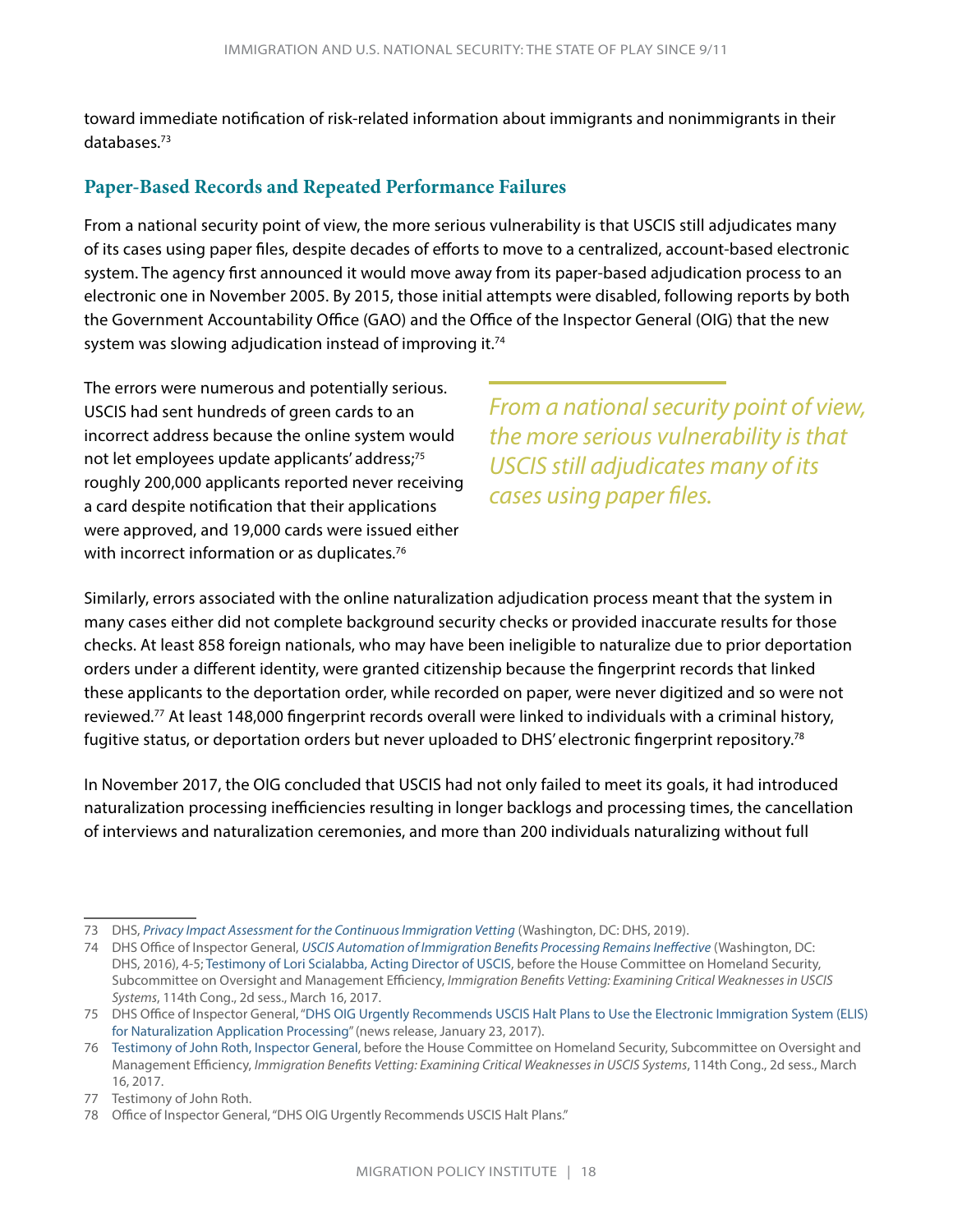toward immediate notification of risk-related information about immigrants and nonimmigrants in their databases.73

#### **Paper-Based Records and Repeated Performance Failures**

From a national security point of view, the more serious vulnerability is that USCIS still adjudicates many of its cases using paper files, despite decades of efforts to move to a centralized, account-based electronic system. The agency first announced it would move away from its paper-based adjudication process to an electronic one in November 2005. By 2015, those initial attempts were disabled, following reports by both the Government Accountability Office (GAO) and the Office of the Inspector General (OIG) that the new system was slowing adjudication instead of improving it.<sup>74</sup>

The errors were numerous and potentially serious. USCIS had sent hundreds of green cards to an incorrect address because the online system would not let employees update applicants' address;<sup>75</sup> roughly 200,000 applicants reported never receiving a card despite notification that their applications were approved, and 19,000 cards were issued either with incorrect information or as duplicates.<sup>76</sup>

*From a national security point of view, the more serious vulnerability is that USCIS still adjudicates many of its cases using paper files.*

Similarly, errors associated with the online naturalization adjudication process meant that the system in many cases either did not complete background security checks or provided inaccurate results for those checks. At least 858 foreign nationals, who may have been ineligible to naturalize due to prior deportation orders under a different identity, were granted citizenship because the fingerprint records that linked these applicants to the deportation order, while recorded on paper, were never digitized and so were not reviewed.77 At least 148,000 fingerprint records overall were linked to individuals with a criminal history, fugitive status, or deportation orders but never uploaded to DHS' electronic fingerprint repository.<sup>78</sup>

In November 2017, the OIG concluded that USCIS had not only failed to meet its goals, it had introduced naturalization processing inefficiencies resulting in longer backlogs and processing times, the cancellation of interviews and naturalization ceremonies, and more than 200 individuals naturalizing without full

<sup>73</sup> DHS, *[Privacy Impact Assessment for the Continuous Immigration Vetting](https://www.dhs.gov/sites/default/files/publications/pia-uscis-fdnsciv-february2019_0.pdf)* (Washington, DC: DHS, 2019).

<sup>74</sup> DHS Office of Inspector General, *[USCIS Automation of Immigration Benefits Processing Remains Ineffective](https://www.oig.dhs.gov/assets/Mgmt/2016/OIG-16-48-Mar16.pdf)* (Washington, DC: DHS, 2016), 4-5; [Testimony of Lori Scialabba, Acting Director of USCIS](https://docs.house.gov/meetings/HM/HM09/20170316/105629/HHRG-115-HM09-Wstate-ScialabbaL-20170316.pdf), before the House Committee on Homeland Security, Subcommittee on Oversight and Management Efficiency, *Immigration Benefits Vetting: Examining Critical Weaknesses in USCIS Systems*, 114th Cong., 2d sess., March 16, 2017.

<sup>75</sup> DHS Office of Inspector General, ["DHS OIG Urgently Recommends USCIS Halt Plans to Use the Electronic Immigration System \(ELIS\)](https://www.oig.dhs.gov/assets/pr/2017/oigpr-012317.pdf)  [for Naturalization Application Processing](https://www.oig.dhs.gov/assets/pr/2017/oigpr-012317.pdf)" (news release, January 23, 2017).

<sup>76</sup> [Testimony of John Roth, Inspector General](https://docs.house.gov/meetings/HM/HM09/20170316/105629/HHRG-115-HM09-Wstate-RothJ-20170316.pdf), before the House Committee on Homeland Security, Subcommittee on Oversight and Management Efficiency, *Immigration Benefits Vetting: Examining Critical Weaknesses in USCIS Systems*, 114th Cong., 2d sess., March 16, 2017.

<sup>77</sup> Testimony of John Roth.

<sup>78</sup> Office of Inspector General, "DHS OIG Urgently Recommends USCIS Halt Plans."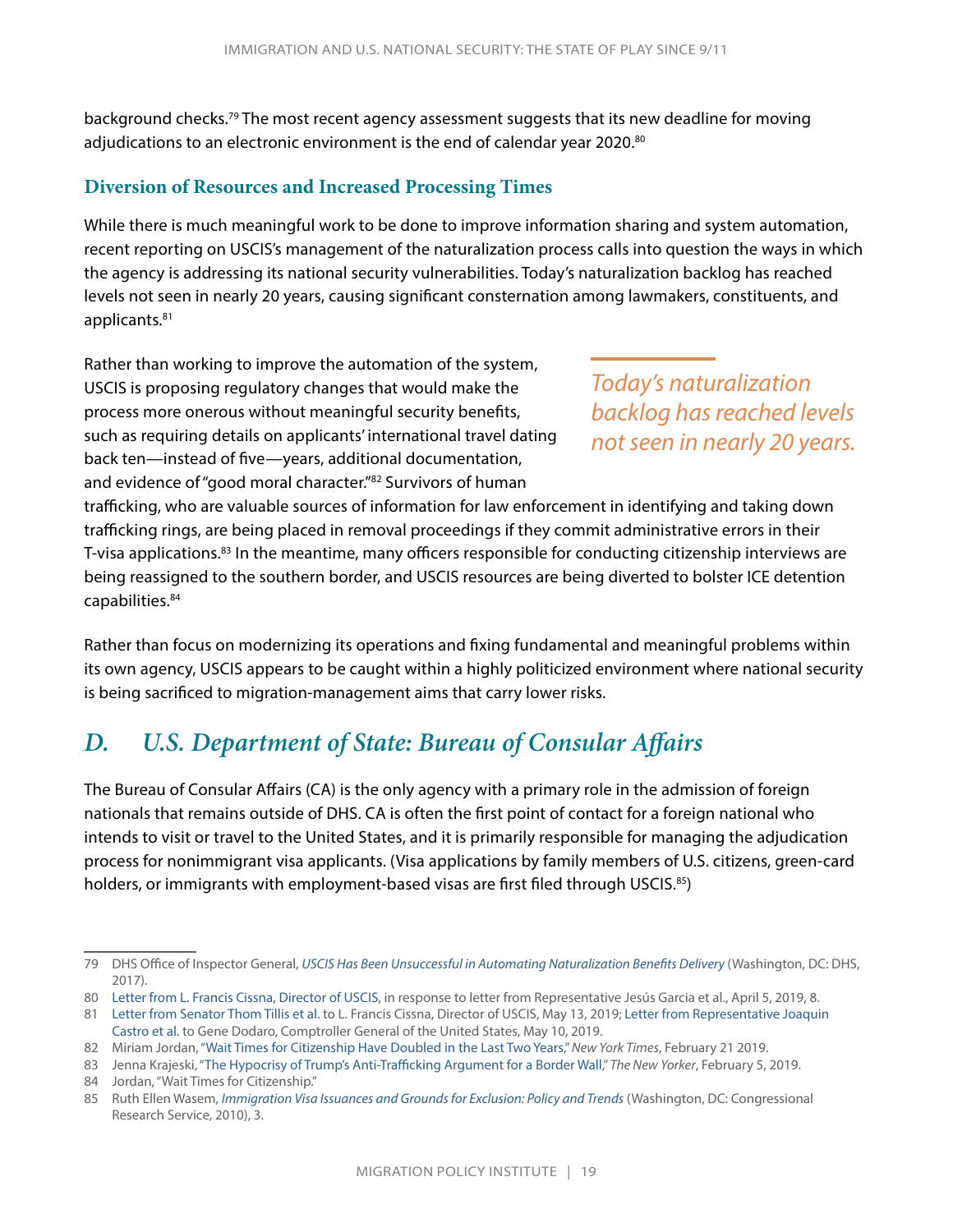<span id="page-21-0"></span>background checks.<sup>79</sup> The most recent agency assessment suggests that its new deadline for moving adjudications to an electronic environment is the end of calendar year 2020.80

#### **Diversion of Resources and Increased Processing Times**

While there is much meaningful work to be done to improve information sharing and system automation, recent reporting on USCIS's management of the naturalization process calls into question the ways in which the agency is addressing its national security vulnerabilities. Today's naturalization backlog has reached levels not seen in nearly 20 years, causing significant consternation among lawmakers, constituents, and applicants.81

Rather than working to improve the automation of the system, USCIS is proposing regulatory changes that would make the process more onerous without meaningful security benefits, such as requiring details on applicants' international travel dating back ten—instead of five—years, additional documentation, and evidence of "good moral character."82 Survivors of human

*Today's naturalization backlog has reached levels not seen in nearly 20 years.*

trafficking, who are valuable sources of information for law enforcement in identifying and taking down trafficking rings, are being placed in removal proceedings if they commit administrative errors in their T-visa applications.<sup>83</sup> In the meantime, many officers responsible for conducting citizenship interviews are being reassigned to the southern border, and USCIS resources are being diverted to bolster ICE detention capabilities.84

Rather than focus on modernizing its operations and fixing fundamental and meaningful problems within its own agency, USCIS appears to be caught within a highly politicized environment where national security is being sacrificed to migration-management aims that carry lower risks.

## *D. U.S. Department of State: Bureau of Consular Affairs*

The Bureau of Consular Affairs (CA) is the only agency with a primary role in the admission of foreign nationals that remains outside of DHS. CA is often the first point of contact for a foreign national who intends to visit or travel to the United States, and it is primarily responsible for managing the adjudication process for nonimmigrant visa applicants. (Visa applications by family members of U.S. citizens, green-card holders, or immigrants with employment-based visas are first filed through USCIS.<sup>85</sup>)

<sup>79</sup> DHS Office of Inspector General, *[USCIS Has Been Unsuccessful in Automating Naturalization Benefits Delivery](https://www.oig.dhs.gov/sites/default/files/assets/2017-12/OIG-18-23-Nov17.pdf)* (Washington, DC: DHS, 2017).

<sup>80</sup> [Letter from L. Francis Cissna, Director of USCIS](https://www.uscis.gov/sites/default/files/files/nativedocuments/Processing_Delays_-_Representative_Garcia.pdf), in response to letter from Representative Jesús Garcia et al., April 5, 2019, 8.

<sup>81</sup> [Letter from Senator Thom Tillis et al.](https://www.aila.org/advo-media/whats-happening-in-congress/congressional-updates/bipartisan-letter-senators-uscis-backlog) to L. Francis Cissna, Director of USCIS, May 13, 2019; [Letter from Representative Joaquin](https://www.aila.org/advo-media/whats-happening-in-congress/congressional-updates/82-house-members-request-gao-investigation)  [Castro et al.](https://www.aila.org/advo-media/whats-happening-in-congress/congressional-updates/82-house-members-request-gao-investigation) to Gene Dodaro, Comptroller General of the United States, May 10, 2019.

<sup>82</sup> Miriam Jordan, ["Wait Times for Citizenship Have Doubled in the Last Two Years](https://www.nytimes.com/2019/02/21/us/immigrant-citizenship-naturalization.html)," *New York Times*, February 21 2019.

<sup>83</sup> Jenna Krajeski, "[The Hypocrisy of Trump's Anti-Trafficking Argument for a Border Wall,](https://www.newyorker.com/news/news-desk/the-hypocrisy-of-trumps-anti-trafficking-argument-for-a-border-wall)" *The New Yorker*, February 5, 2019. 84 Jordan, "Wait Times for Citizenship."

<sup>85</sup> Ruth Ellen Wasem, *[Immigration Visa Issuances and Grounds for Exclusion: Policy and Trends](http://nationalaglawcenter.org/wp-content/uploads/assets/crs/R41104.pdf)* (Washington, DC: Congressional Research Service, 2010), 3.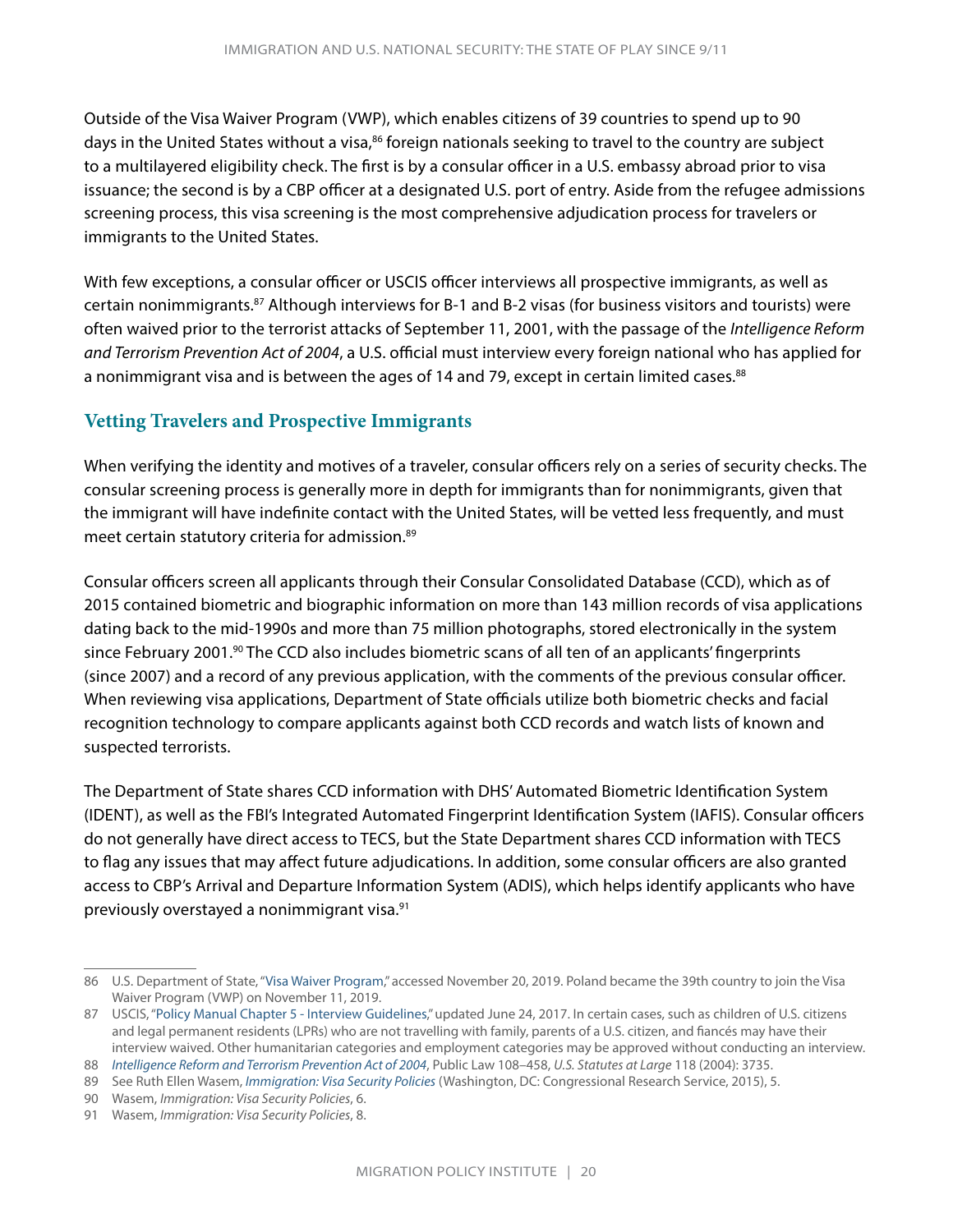Outside of the Visa Waiver Program (VWP), which enables citizens of 39 countries to spend up to 90 days in the United States without a visa,<sup>86</sup> foreign nationals seeking to travel to the country are subject to a multilayered eligibility check. The first is by a consular officer in a U.S. embassy abroad prior to visa issuance; the second is by a CBP officer at a designated U.S. port of entry. Aside from the refugee admissions screening process, this visa screening is the most comprehensive adjudication process for travelers or immigrants to the United States.

With few exceptions, a consular officer or USCIS officer interviews all prospective immigrants, as well as certain nonimmigrants.87 Although interviews for B-1 and B-2 visas (for business visitors and tourists) were often waived prior to the terrorist attacks of September 11, 2001, with the passage of the *Intelligence Reform and Terrorism Prevention Act of 2004*, a U.S. official must interview every foreign national who has applied for a nonimmigrant visa and is between the ages of 14 and 79, except in certain limited cases.<sup>88</sup>

#### **Vetting Travelers and Prospective Immigrants**

When verifying the identity and motives of a traveler, consular officers rely on a series of security checks. The consular screening process is generally more in depth for immigrants than for nonimmigrants, given that the immigrant will have indefinite contact with the United States, will be vetted less frequently, and must meet certain statutory criteria for admission.89

Consular officers screen all applicants through their Consular Consolidated Database (CCD), which as of 2015 contained biometric and biographic information on more than 143 million records of visa applications dating back to the mid-1990s and more than 75 million photographs, stored electronically in the system since February 2001.<sup>90</sup> The CCD also includes biometric scans of all ten of an applicants' fingerprints (since 2007) and a record of any previous application, with the comments of the previous consular officer. When reviewing visa applications, Department of State officials utilize both biometric checks and facial recognition technology to compare applicants against both CCD records and watch lists of known and suspected terrorists.

The Department of State shares CCD information with DHS' Automated Biometric Identification System (IDENT), as well as the FBI's Integrated Automated Fingerprint Identification System (IAFIS). Consular officers do not generally have direct access to TECS, but the State Department shares CCD information with TECS to flag any issues that may affect future adjudications. In addition, some consular officers are also granted access to CBP's Arrival and Departure Information System (ADIS), which helps identify applicants who have previously overstayed a nonimmigrant visa.<sup>91</sup>

<sup>86</sup> U.S. Department of State, "[Visa Waiver Program,](https://travel.state.gov/content/travel/en/us-visas/tourism-visit/visa-waiver-program.html)" accessed November 20, 2019. Poland became the 39th country to join the Visa Waiver Program (VWP) on November 11, 2019.

<sup>87</sup> USCIS, ["Policy Manual Chapter 5 - Interview Guidelines](https://www.uscis.gov/policy-manual/volume-7-part-a-chapter-5)," updated June 24, 2017. In certain cases, such as children of U.S. citizens and legal permanent residents (LPRs) who are not travelling with family, parents of a U.S. citizen, and fiancés may have their interview waived. Other humanitarian categories and employment categories may be approved without conducting an interview.

<sup>88</sup> *[Intelligence Reform and Terrorism Prevention Act of 2004](https://www.govinfo.gov/content/pkg/STATUTE-118/pdf/STATUTE-118-Pg3638.pdf)*, Public Law 108–458, *U.S. Statutes at Large* 118 (2004): 3735.

<sup>89</sup> See Ruth Ellen Wasem, *[Immigration: Visa Security Policies](https://fas.org/sgp/crs/homesec/R43589.pdf)* (Washington, DC: Congressional Research Service, 2015), 5.

<sup>90</sup> Wasem, *Immigration: Visa Security Policies*, 6.

<sup>91</sup> Wasem, *Immigration: Visa Security Policies*, 8.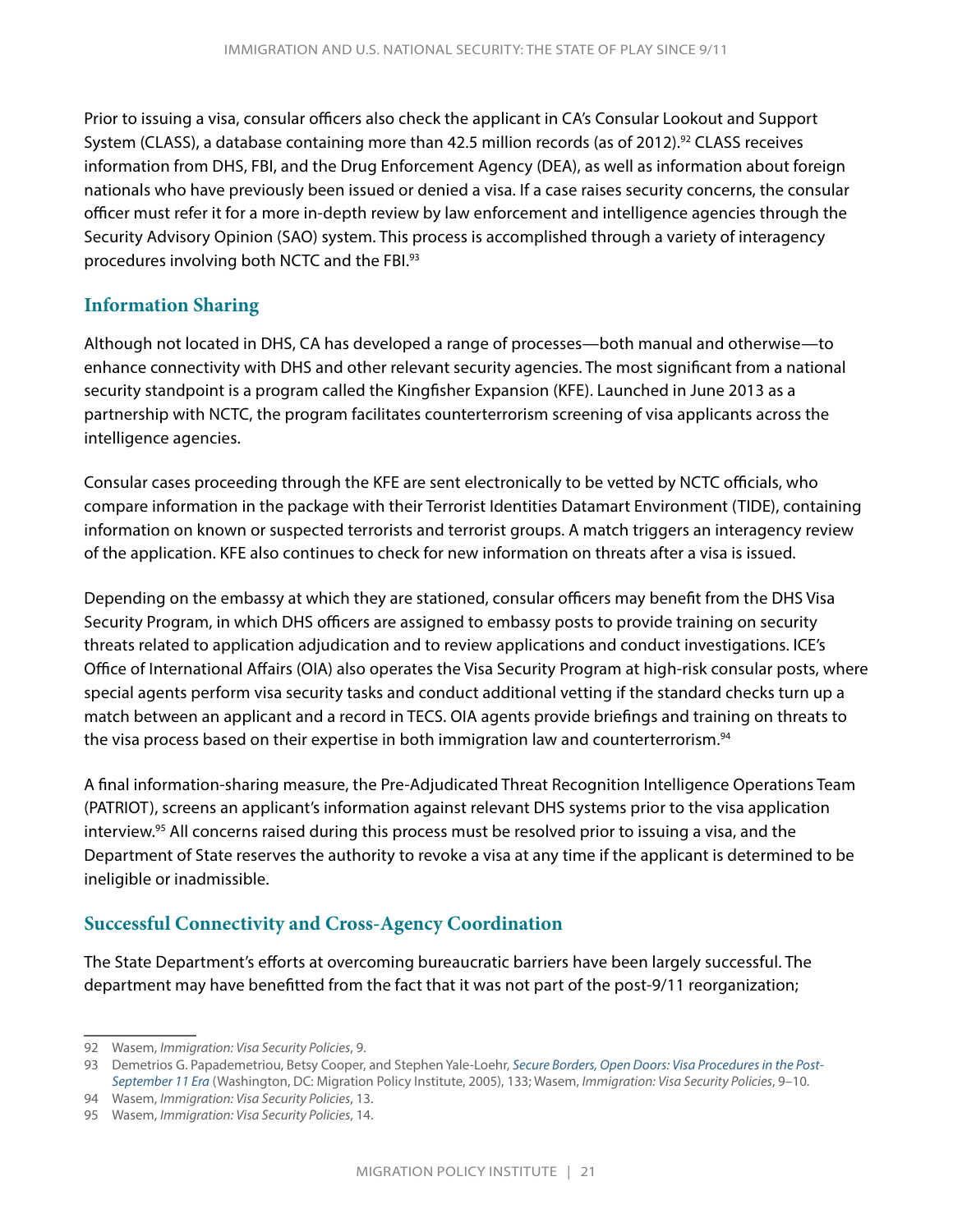Prior to issuing a visa, consular officers also check the applicant in CA's Consular Lookout and Support System (CLASS), a database containing more than 42.5 million records (as of 2012).<sup>92</sup> CLASS receives information from DHS, FBI, and the Drug Enforcement Agency (DEA), as well as information about foreign nationals who have previously been issued or denied a visa. If a case raises security concerns, the consular officer must refer it for a more in-depth review by law enforcement and intelligence agencies through the Security Advisory Opinion (SAO) system. This process is accomplished through a variety of interagency procedures involving both NCTC and the FBI.93

#### **Information Sharing**

Although not located in DHS, CA has developed a range of processes—both manual and otherwise—to enhance connectivity with DHS and other relevant security agencies. The most significant from a national security standpoint is a program called the Kingfisher Expansion (KFE). Launched in June 2013 as a partnership with NCTC, the program facilitates counterterrorism screening of visa applicants across the intelligence agencies.

Consular cases proceeding through the KFE are sent electronically to be vetted by NCTC officials, who compare information in the package with their Terrorist Identities Datamart Environment (TIDE), containing information on known or suspected terrorists and terrorist groups. A match triggers an interagency review of the application. KFE also continues to check for new information on threats after a visa is issued.

Depending on the embassy at which they are stationed, consular officers may benefit from the DHS Visa Security Program, in which DHS officers are assigned to embassy posts to provide training on security threats related to application adjudication and to review applications and conduct investigations. ICE's Office of International Affairs (OIA) also operates the Visa Security Program at high-risk consular posts, where special agents perform visa security tasks and conduct additional vetting if the standard checks turn up a match between an applicant and a record in TECS. OIA agents provide briefings and training on threats to the visa process based on their expertise in both immigration law and counterterrorism.<sup>94</sup>

A final information-sharing measure, the Pre-Adjudicated Threat Recognition Intelligence Operations Team (PATRIOT), screens an applicant's information against relevant DHS systems prior to the visa application interview.95 All concerns raised during this process must be resolved prior to issuing a visa, and the Department of State reserves the authority to revoke a visa at any time if the applicant is determined to be ineligible or inadmissible.

#### **Successful Connectivity and Cross-Agency Coordination**

The State Department's efforts at overcoming bureaucratic barriers have been largely successful. The department may have benefitted from the fact that it was not part of the post-9/11 reorganization;

<sup>92</sup> Wasem, *Immigration: Visa Security Policies*, 9.

<sup>93</sup> Demetrios G. Papademetriou, Betsy Cooper, and Stephen Yale-Loehr, *[Secure Borders, Open Doors: Visa Procedures in the Post-](https://www.migrationpolicy.org/research/secure-borders-open-doors-visa-procedures-post-september-11-era)[September 11 Era](https://www.migrationpolicy.org/research/secure-borders-open-doors-visa-procedures-post-september-11-era)* (Washington, DC: Migration Policy Institute, 2005), 133; Wasem, *Immigration: Visa Security Policies*, 9–10.

<sup>94</sup> Wasem, *Immigration: Visa Security Policies*, 13.

<sup>95</sup> Wasem, *Immigration: Visa Security Policies*, 14.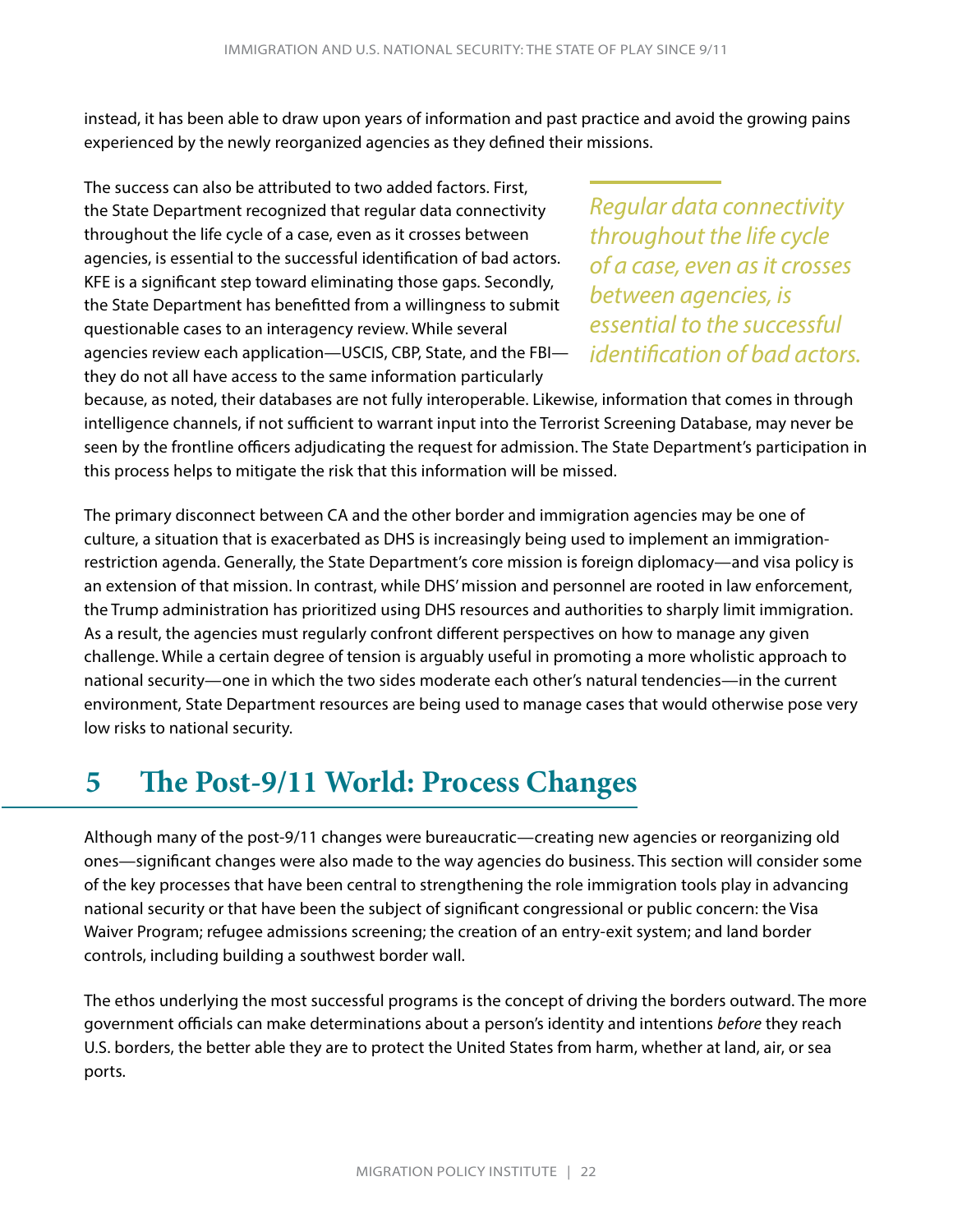<span id="page-24-0"></span>instead, it has been able to draw upon years of information and past practice and avoid the growing pains experienced by the newly reorganized agencies as they defined their missions.

The success can also be attributed to two added factors. First, the State Department recognized that regular data connectivity throughout the life cycle of a case, even as it crosses between agencies, is essential to the successful identification of bad actors. KFE is a significant step toward eliminating those gaps. Secondly, the State Department has benefitted from a willingness to submit questionable cases to an interagency review. While several agencies review each application—USCIS, CBP, State, and the FBI they do not all have access to the same information particularly

*Regular data connectivity throughout the life cycle of a case, even as it crosses between agencies, is essential to the successful identification of bad actors.* 

because, as noted, their databases are not fully interoperable. Likewise, information that comes in through intelligence channels, if not sufficient to warrant input into the Terrorist Screening Database, may never be seen by the frontline officers adjudicating the request for admission. The State Department's participation in this process helps to mitigate the risk that this information will be missed.

The primary disconnect between CA and the other border and immigration agencies may be one of culture, a situation that is exacerbated as DHS is increasingly being used to implement an immigrationrestriction agenda. Generally, the State Department's core mission is foreign diplomacy—and visa policy is an extension of that mission. In contrast, while DHS' mission and personnel are rooted in law enforcement, the Trump administration has prioritized using DHS resources and authorities to sharply limit immigration. As a result, the agencies must regularly confront different perspectives on how to manage any given challenge. While a certain degree of tension is arguably useful in promoting a more wholistic approach to national security—one in which the two sides moderate each other's natural tendencies—in the current environment, State Department resources are being used to manage cases that would otherwise pose very low risks to national security.

# **5 The Post-9/11 World: Process Changes**

Although many of the post-9/11 changes were bureaucratic—creating new agencies or reorganizing old ones—significant changes were also made to the way agencies do business. This section will consider some of the key processes that have been central to strengthening the role immigration tools play in advancing national security or that have been the subject of significant congressional or public concern: the Visa Waiver Program; refugee admissions screening; the creation of an entry-exit system; and land border controls, including building a southwest border wall.

The ethos underlying the most successful programs is the concept of driving the borders outward. The more government officials can make determinations about a person's identity and intentions *before* they reach U.S. borders, the better able they are to protect the United States from harm, whether at land, air, or sea ports.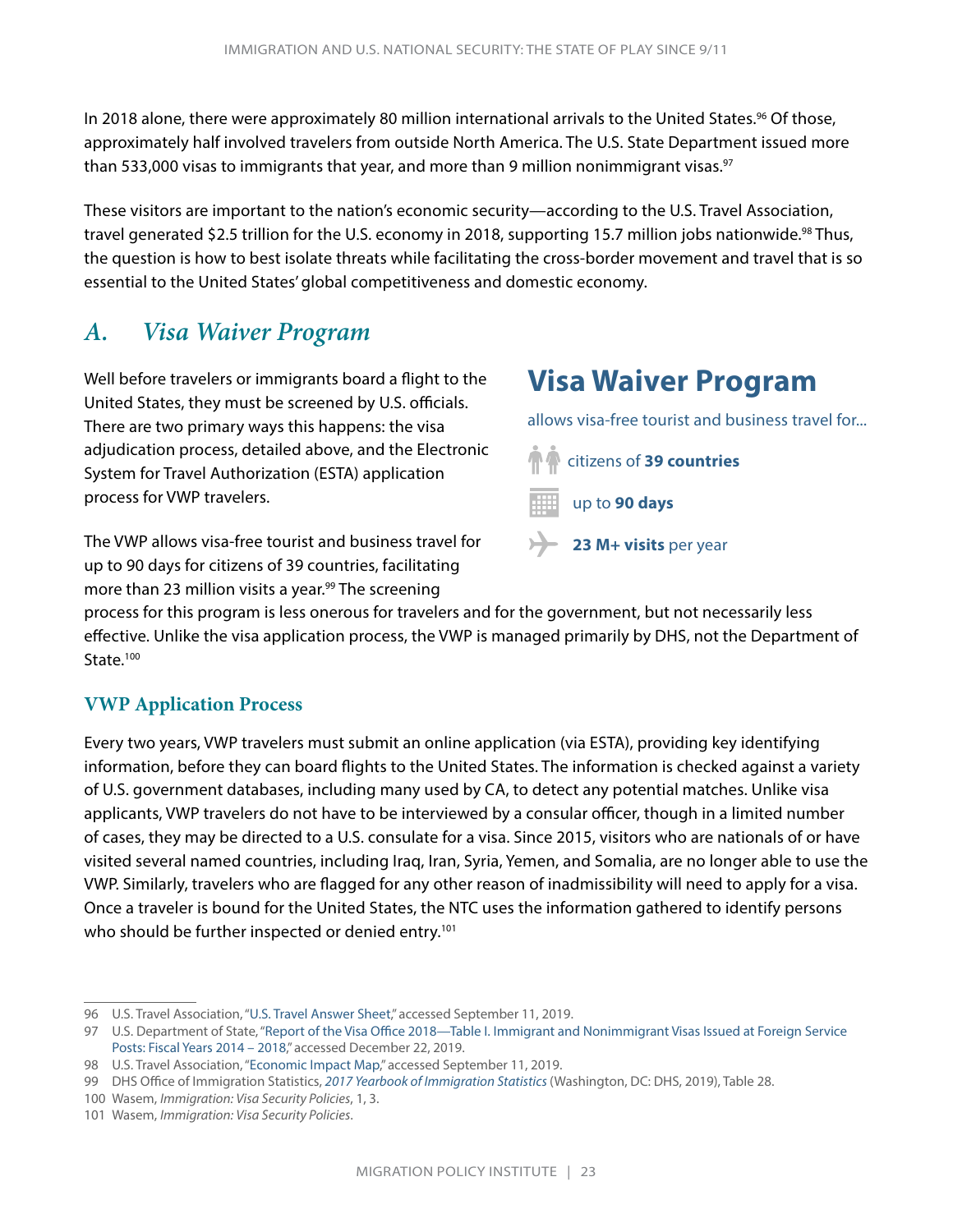<span id="page-25-0"></span>In 2018 alone, there were approximately 80 million international arrivals to the United States.<sup>96</sup> Of those, approximately half involved travelers from outside North America. The U.S. State Department issued more than 533,000 visas to immigrants that year, and more than 9 million nonimmigrant visas.<sup>97</sup>

These visitors are important to the nation's economic security—according to the U.S. Travel Association, travel generated \$2.5 trillion for the U.S. economy in 2018, supporting 15.7 million jobs nationwide.<sup>98</sup> Thus, the question is how to best isolate threats while facilitating the cross-border movement and travel that is so essential to the United States' global competitiveness and domestic economy.

### *A. Visa Waiver Program*

Well before travelers or immigrants board a flight to the United States, they must be screened by U.S. officials. There are two primary ways this happens: the visa adjudication process, detailed above, and the Electronic System for Travel Authorization (ESTA) application process for VWP travelers.

The VWP allows visa-free tourist and business travel for up to 90 days for citizens of 39 countries, facilitating more than 23 million visits a year.<sup>99</sup> The screening

# **Visa Waiver Program**

allows visa-free tourist and business travel for...



**23 M+ visits** per year

process for this program is less onerous for travelers and for the government, but not necessarily less effective. Unlike the visa application process, the VWP is managed primarily by DHS, not the Department of State.<sup>100</sup>

#### **VWP Application Process**

Every two years, VWP travelers must submit an online application (via ESTA), providing key identifying information, before they can board flights to the United States. The information is checked against a variety of U.S. government databases, including many used by CA, to detect any potential matches. Unlike visa applicants, VWP travelers do not have to be interviewed by a consular officer, though in a limited number of cases, they may be directed to a U.S. consulate for a visa. Since 2015, visitors who are nationals of or have visited several named countries, including Iraq, Iran, Syria, Yemen, and Somalia, are no longer able to use the VWP. Similarly, travelers who are flagged for any other reason of inadmissibility will need to apply for a visa. Once a traveler is bound for the United States, the NTC uses the information gathered to identify persons who should be further inspected or denied entry.<sup>101</sup>

<sup>96</sup> U.S. Travel Association, ["U.S. Travel Answer Sheet](https://www.ustravel.org/answersheet)," accessed September 11, 2019.

<sup>97</sup> U.S. Department of State, ["Report of the Visa Office 2018—Table I. Immigrant and Nonimmigrant Visas Issued at Foreign Service](https://travel.state.gov/content/dam/visas/Statistics/AnnualReports/FY2018AnnualReport/FY18AnnualReport%20- TableI.pdf)  [Posts: Fiscal Years 2014 – 2018,](https://travel.state.gov/content/dam/visas/Statistics/AnnualReports/FY2018AnnualReport/FY18AnnualReport%20- TableI.pdf)" accessed December 22, 2019.

<sup>98</sup> U.S. Travel Association, ["Economic Impact Map](https://www.ustravel.org/economic-impact)," accessed September 11, 2019.

<sup>99</sup> DHS Office of Immigration Statistics, *[2017 Yearbook of Immigration Statistics](https://www.dhs.gov/sites/default/files/publications/yearbook_immigration_statistics_2017_0.pdf)*(Washington, DC: DHS, 2019), Table 28.

<sup>100</sup> Wasem, *Immigration: Visa Security Policies*, 1, 3.

<sup>101</sup> Wasem, *Immigration: Visa Security Policies*.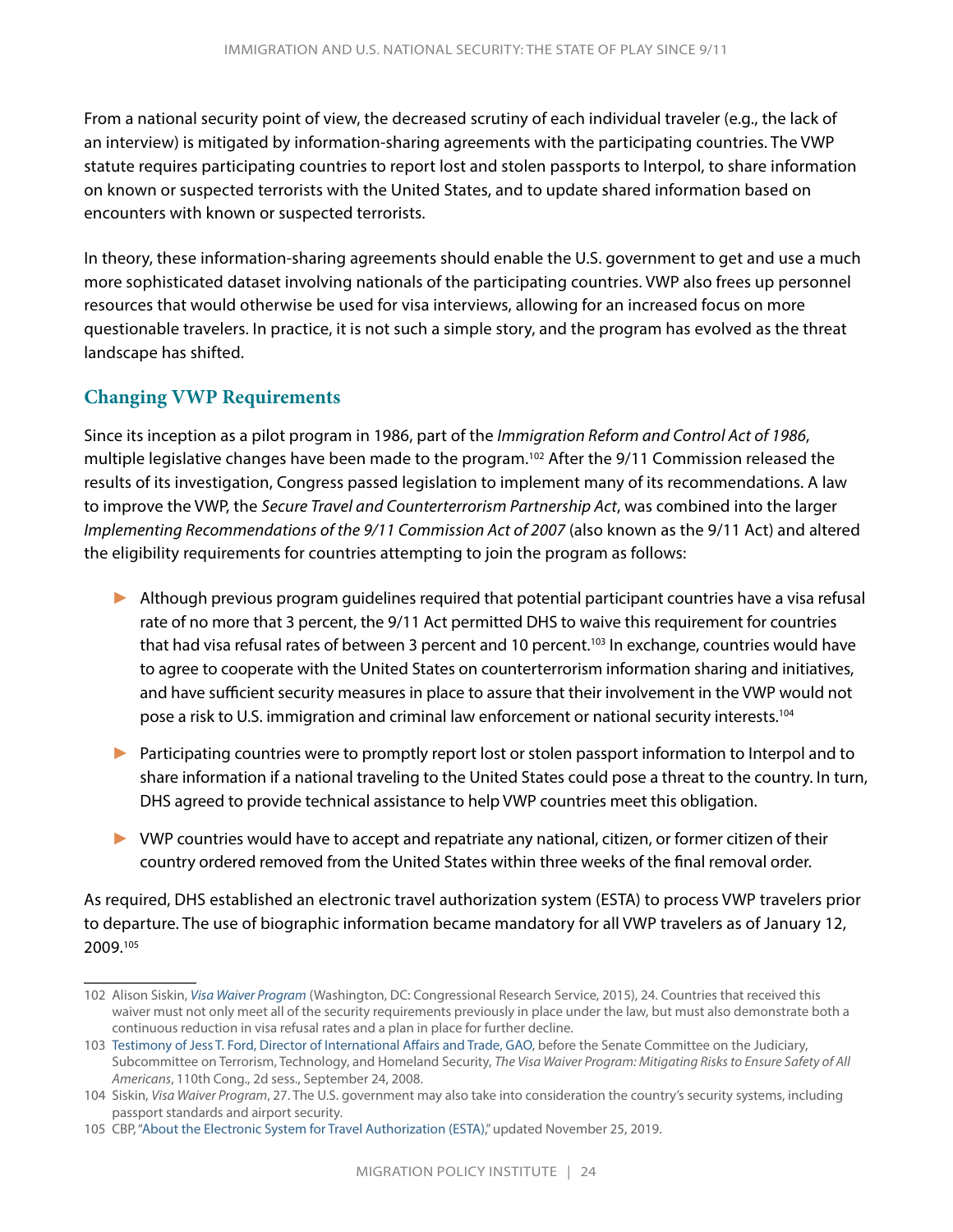From a national security point of view, the decreased scrutiny of each individual traveler (e.g., the lack of an interview) is mitigated by information-sharing agreements with the participating countries. The VWP statute requires participating countries to report lost and stolen passports to Interpol, to share information on known or suspected terrorists with the United States, and to update shared information based on encounters with known or suspected terrorists.

In theory, these information-sharing agreements should enable the U.S. government to get and use a much more sophisticated dataset involving nationals of the participating countries. VWP also frees up personnel resources that would otherwise be used for visa interviews, allowing for an increased focus on more questionable travelers. In practice, it is not such a simple story, and the program has evolved as the threat landscape has shifted.

#### **Changing VWP Requirements**

Since its inception as a pilot program in 1986, part of the *Immigration Reform and Control Act of 1986*, multiple legislative changes have been made to the program.102 After the 9/11 Commission released the results of its investigation, Congress passed legislation to implement many of its recommendations. A law to improve the VWP, the *Secure Travel and Counterterrorism Partnership Act*, was combined into the larger *Implementing Recommendations of the 9/11 Commission Act of 2007* (also known as the 9/11 Act) and altered the eligibility requirements for countries attempting to join the program as follows:

- ► Although previous program guidelines required that potential participant countries have a visa refusal rate of no more that 3 percent, the 9/11 Act permitted DHS to waive this requirement for countries that had visa refusal rates of between 3 percent and 10 percent.<sup>103</sup> In exchange, countries would have to agree to cooperate with the United States on counterterrorism information sharing and initiatives, and have sufficient security measures in place to assure that their involvement in the VWP would not pose a risk to U.S. immigration and criminal law enforcement or national security interests.<sup>104</sup>
- ► Participating countries were to promptly report lost or stolen passport information to Interpol and to share information if a national traveling to the United States could pose a threat to the country. In turn, DHS agreed to provide technical assistance to help VWP countries meet this obligation.
- ► VWP countries would have to accept and repatriate any national, citizen, or former citizen of their country ordered removed from the United States within three weeks of the final removal order.

As required, DHS established an electronic travel authorization system (ESTA) to process VWP travelers prior to departure. The use of biographic information became mandatory for all VWP travelers as of January 12, 2009.105

<sup>102</sup> Alison Siskin, *[Visa Waiver Program](https://fas.org/sgp/crs/homesec/RL32221.pdf)* (Washington, DC: Congressional Research Service, 2015), 24. Countries that received this waiver must not only meet all of the security requirements previously in place under the law, but must also demonstrate both a continuous reduction in visa refusal rates and a plan in place for further decline.

<sup>103</sup> [Testimony of Jess T. Ford, Director of International Affairs and Trade, GAO](https://www.judiciary.senate.gov/imo/media/doc/08-09-24FordTestimony.pdf), before the Senate Committee on the Judiciary, Subcommittee on Terrorism, Technology, and Homeland Security, *The Visa Waiver Program: Mitigating Risks to Ensure Safety of All Americans*, 110th Cong., 2d sess., September 24, 2008.

<sup>104</sup> Siskin, *Visa Waiver Program*, 27. The U.S. government may also take into consideration the country's security systems, including passport standards and airport security.

<sup>105</sup> CBP, ["About the Electronic System for Travel Authorization \(ESTA\),](https://help.cbp.gov/s/article/Article-1072?language=en_US)" updated November 25, 2019.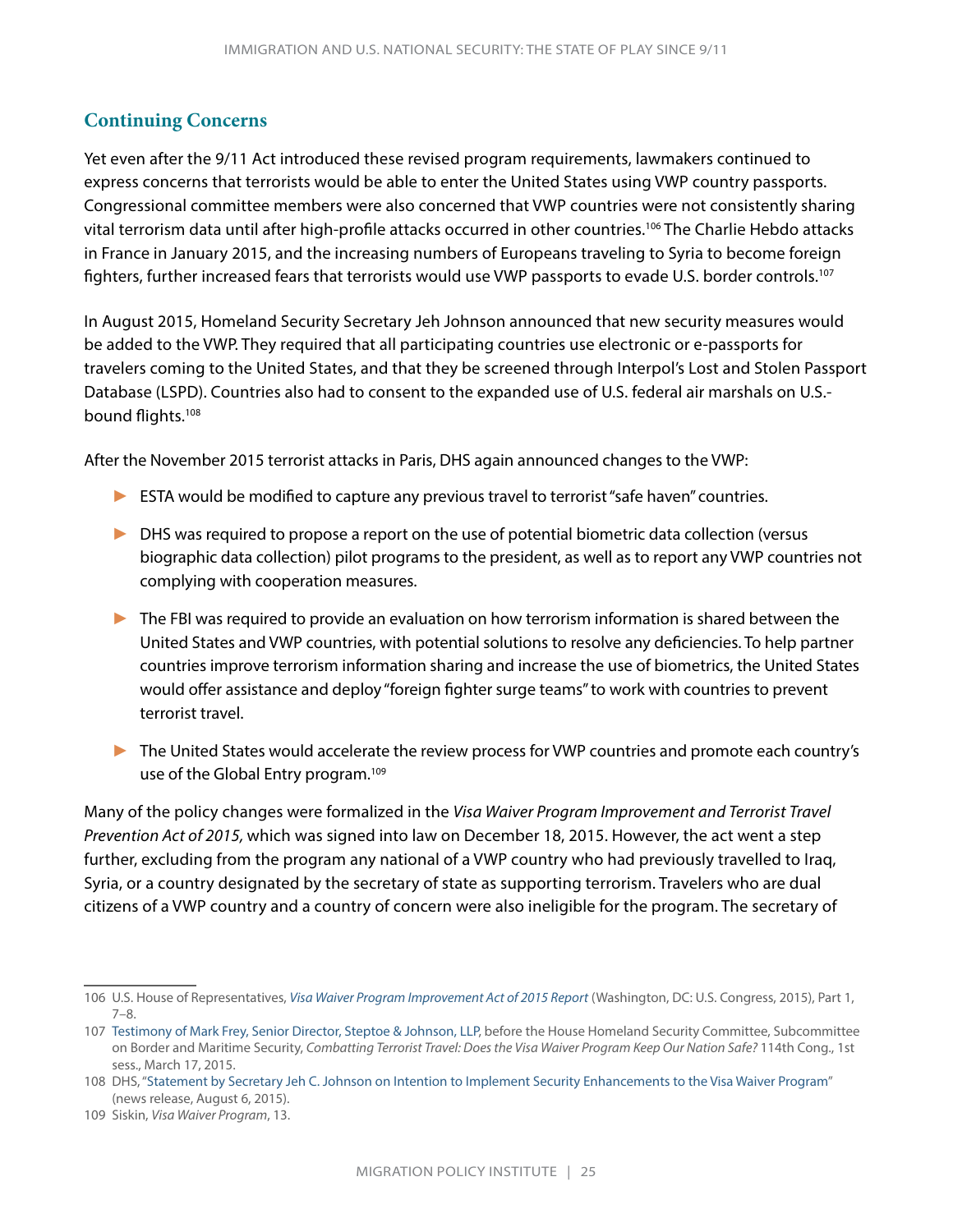#### **Continuing Concerns**

Yet even after the 9/11 Act introduced these revised program requirements, lawmakers continued to express concerns that terrorists would be able to enter the United States using VWP country passports. Congressional committee members were also concerned that VWP countries were not consistently sharing vital terrorism data until after high-profile attacks occurred in other countries.106 The Charlie Hebdo attacks in France in January 2015, and the increasing numbers of Europeans traveling to Syria to become foreign fighters, further increased fears that terrorists would use VWP passports to evade U.S. border controls.<sup>107</sup>

In August 2015, Homeland Security Secretary Jeh Johnson announced that new security measures would be added to the VWP. They required that all participating countries use electronic or e-passports for travelers coming to the United States, and that they be screened through Interpol's Lost and Stolen Passport Database (LSPD). Countries also had to consent to the expanded use of U.S. federal air marshals on U.S. bound flights.108

After the November 2015 terrorist attacks in Paris, DHS again announced changes to the VWP:

- ► ESTA would be modified to capture any previous travel to terrorist "safe haven" countries.
- ► DHS was required to propose a report on the use of potential biometric data collection (versus biographic data collection) pilot programs to the president, as well as to report any VWP countries not complying with cooperation measures.
- ► The FBI was required to provide an evaluation on how terrorism information is shared between the United States and VWP countries, with potential solutions to resolve any deficiencies. To help partner countries improve terrorism information sharing and increase the use of biometrics, the United States would offer assistance and deploy "foreign fighter surge teams" to work with countries to prevent terrorist travel.
- ► The United States would accelerate the review process for VWP countries and promote each country's use of the Global Entry program.<sup>109</sup>

Many of the policy changes were formalized in the *Visa Waiver Program Improvement and Terrorist Travel Prevention Act of 2015,* which was signed into law on December 18, 2015. However, the act went a step further, excluding from the program any national of a VWP country who had previously travelled to Iraq, Syria, or a country designated by the secretary of state as supporting terrorism. Travelers who are dual citizens of a VWP country and a country of concern were also ineligible for the program. The secretary of

<sup>106</sup> U.S. House of Representatives, *[Visa Waiver Program Improvement Act of 2015 Report](https://permanent.access.gpo.gov/gpo63633/pt.1/CRPT-114hrpt369-pt1.pdf)* (Washington, DC: U.S. Congress, 2015), Part 1, 7–8.

<sup>107</sup> [Testimony of Mark Frey, Senior Director, Steptoe & Johnson, LLP,](https://docs.house.gov/meetings/HM/HM11/20150317/103101/HHRG-114-HM11-Wstate-FreyM-20150317.pdf) before the House Homeland Security Committee, Subcommittee on Border and Maritime Security, *Combatting Terrorist Travel: Does the Visa Waiver Program Keep Our Nation Safe?* 114th Cong., 1st sess., March 17, 2015.

<sup>108</sup> DHS, "[Statement by Secretary Jeh C. Johnson on Intention to Implement Security Enhancements to the Visa Waiver Program](https://www.dhs.gov/news/2015/08/06/statement-secretary-jeh-c-johnson-intention-implement-security-enhancements-visa)" (news release, August 6, 2015).

<sup>109</sup> Siskin, *Visa Waiver Program*, 13.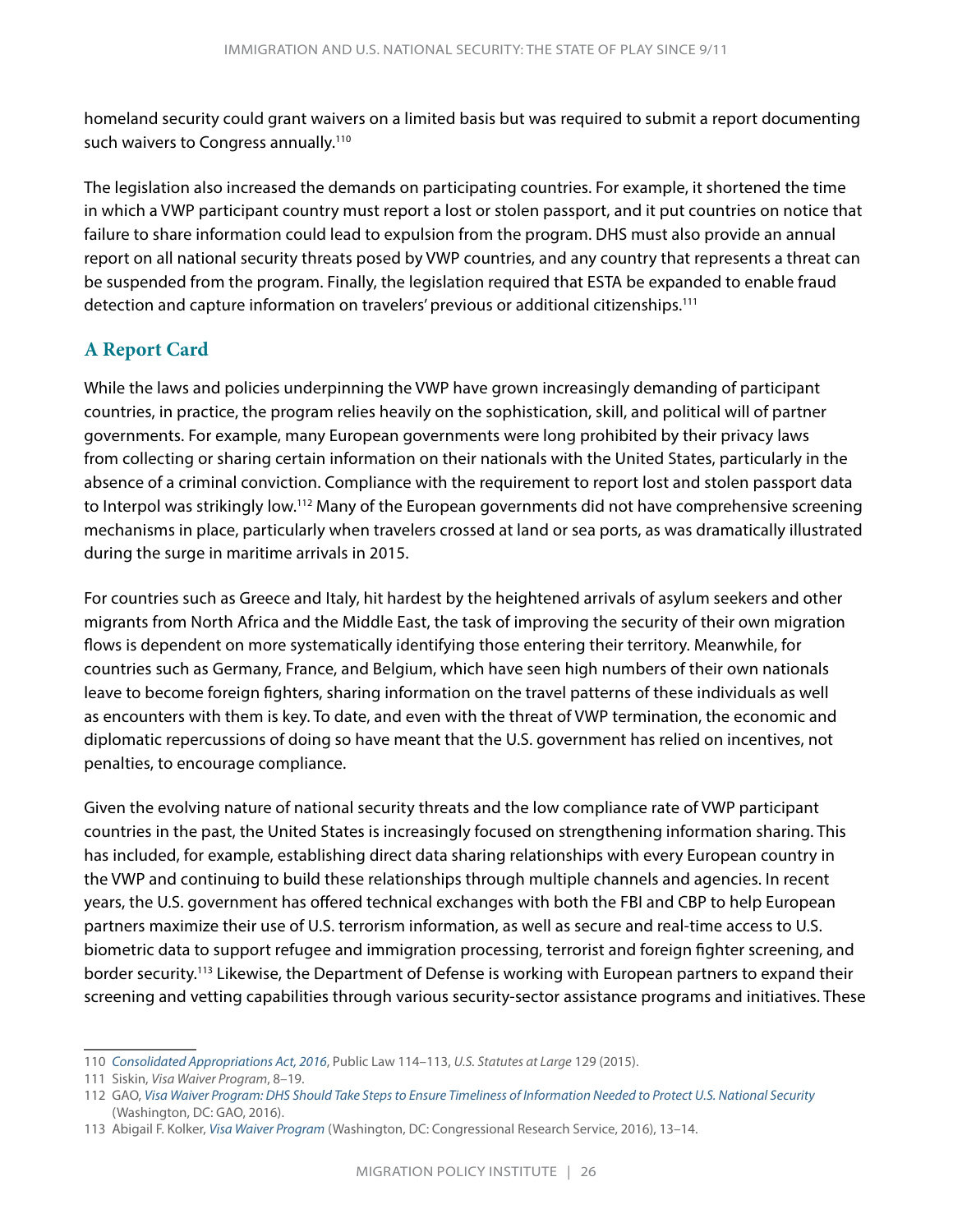homeland security could grant waivers on a limited basis but was required to submit a report documenting such waivers to Congress annually.<sup>110</sup>

The legislation also increased the demands on participating countries. For example, it shortened the time in which a VWP participant country must report a lost or stolen passport, and it put countries on notice that failure to share information could lead to expulsion from the program. DHS must also provide an annual report on all national security threats posed by VWP countries, and any country that represents a threat can be suspended from the program. Finally, the legislation required that ESTA be expanded to enable fraud detection and capture information on travelers' previous or additional citizenships.111

#### **A Report Card**

While the laws and policies underpinning the VWP have grown increasingly demanding of participant countries, in practice, the program relies heavily on the sophistication, skill, and political will of partner governments. For example, many European governments were long prohibited by their privacy laws from collecting or sharing certain information on their nationals with the United States, particularly in the absence of a criminal conviction. Compliance with the requirement to report lost and stolen passport data to Interpol was strikingly low.112 Many of the European governments did not have comprehensive screening mechanisms in place, particularly when travelers crossed at land or sea ports, as was dramatically illustrated during the surge in maritime arrivals in 2015.

For countries such as Greece and Italy, hit hardest by the heightened arrivals of asylum seekers and other migrants from North Africa and the Middle East, the task of improving the security of their own migration flows is dependent on more systematically identifying those entering their territory. Meanwhile, for countries such as Germany, France, and Belgium, which have seen high numbers of their own nationals leave to become foreign fighters, sharing information on the travel patterns of these individuals as well as encounters with them is key. To date, and even with the threat of VWP termination, the economic and diplomatic repercussions of doing so have meant that the U.S. government has relied on incentives, not penalties, to encourage compliance.

Given the evolving nature of national security threats and the low compliance rate of VWP participant countries in the past, the United States is increasingly focused on strengthening information sharing. This has included, for example, establishing direct data sharing relationships with every European country in the VWP and continuing to build these relationships through multiple channels and agencies. In recent years, the U.S. government has offered technical exchanges with both the FBI and CBP to help European partners maximize their use of U.S. terrorism information, as well as secure and real-time access to U.S. biometric data to support refugee and immigration processing, terrorist and foreign fighter screening, and border security.113 Likewise, the Department of Defense is working with European partners to expand their screening and vetting capabilities through various security-sector assistance programs and initiatives. These

<sup>110</sup> *[Consolidated Appropriations Act, 2016](https://www.congress.gov/114/plaws/publ113/PLAW-114publ113.pdf)*, Public Law 114–113, *U.S. Statutes at Large* 129 (2015).

<sup>111</sup> Siskin, *Visa Waiver Program*, 8–19.

<sup>112</sup> GAO, *[Visa Waiver Program: DHS Should Take Steps to Ensure Timeliness of Information Needed to Protect U.S. National Security](https://www.gao.gov/assets/680/676948.pdf)* (Washington, DC: GAO, 2016).

<sup>113</sup> Abigail F. Kolker, *[Visa Waiver Program](https://www.everycrsreport.com/files/20160801_RL32221_d08477f620e9b36070cf6eda3b36938c9acd3ffe.pdf)* (Washington, DC: Congressional Research Service, 2016), 13–14.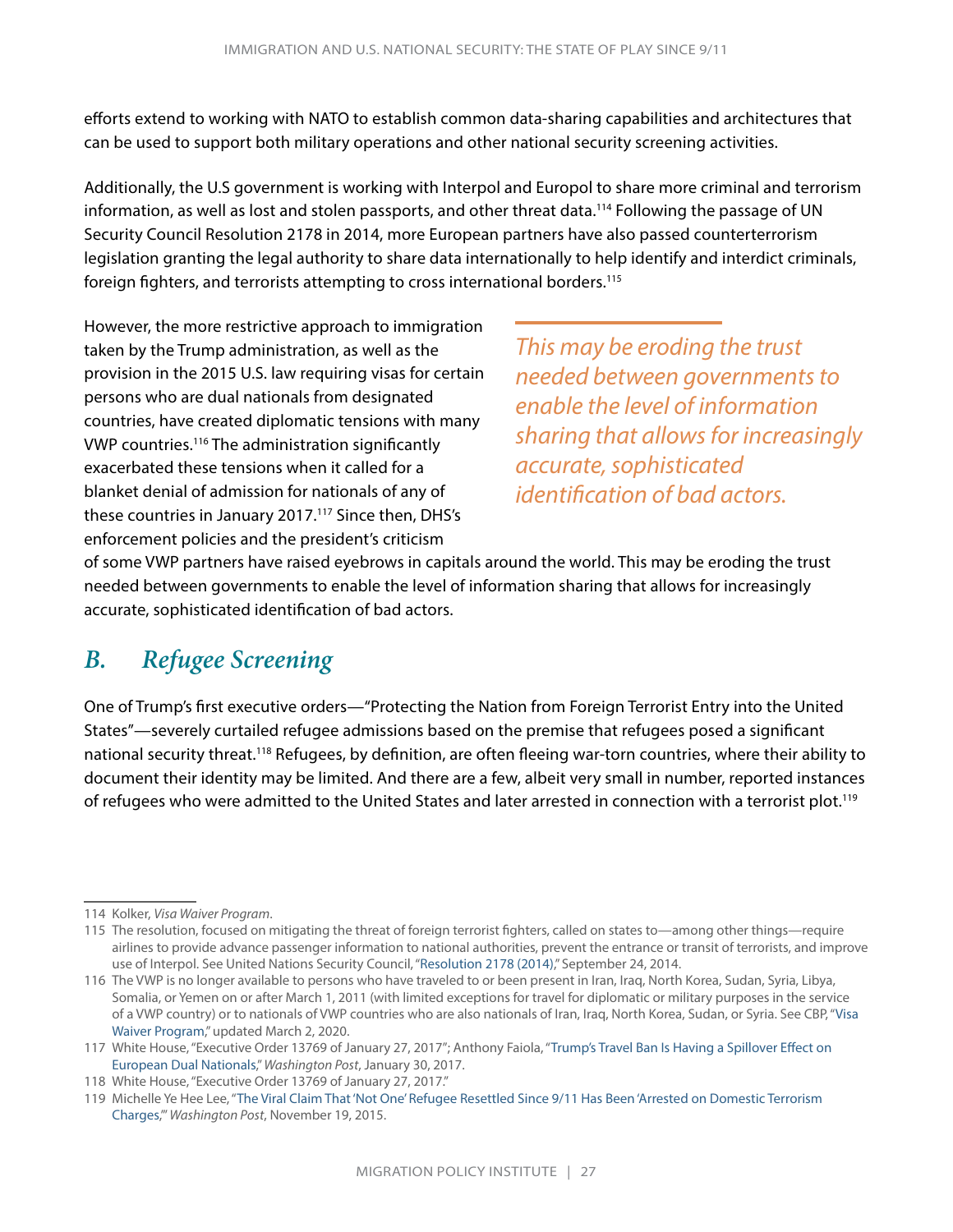<span id="page-29-0"></span>efforts extend to working with NATO to establish common data-sharing capabilities and architectures that can be used to support both military operations and other national security screening activities.

Additionally, the U.S government is working with Interpol and Europol to share more criminal and terrorism information, as well as lost and stolen passports, and other threat data.<sup>114</sup> Following the passage of UN Security Council Resolution 2178 in 2014, more European partners have also passed counterterrorism legislation granting the legal authority to share data internationally to help identify and interdict criminals, foreign fighters, and terrorists attempting to cross international borders.<sup>115</sup>

However, the more restrictive approach to immigration taken by the Trump administration, as well as the provision in the 2015 U.S. law requiring visas for certain persons who are dual nationals from designated countries, have created diplomatic tensions with many VWP countries.116 The administration significantly exacerbated these tensions when it called for a blanket denial of admission for nationals of any of these countries in January 2017.<sup>117</sup> Since then, DHS's enforcement policies and the president's criticism

*This may be eroding the trust needed between governments to enable the level of information sharing that allows for increasingly accurate, sophisticated identification of bad actors.* 

of some VWP partners have raised eyebrows in capitals around the world. This may be eroding the trust needed between governments to enable the level of information sharing that allows for increasingly accurate, sophisticated identification of bad actors.

## *B. Refugee Screening*

One of Trump's first executive orders—"Protecting the Nation from Foreign Terrorist Entry into the United States"—severely curtailed refugee admissions based on the premise that refugees posed a significant national security threat.118 Refugees, by definition, are often fleeing war-torn countries, where their ability to document their identity may be limited. And there are a few, albeit very small in number, reported instances of refugees who were admitted to the United States and later arrested in connection with a terrorist plot.<sup>119</sup>

<sup>114</sup> Kolker, *Visa Waiver Program*.

<sup>115</sup> The resolution, focused on mitigating the threat of foreign terrorist fighters, called on states to—among other things—require airlines to provide advance passenger information to national authorities, prevent the entrance or transit of terrorists, and improve use of Interpol. See United Nations Security Council, ["Resolution 2178 \(2014\),](https://www.undocs.org/S/RES/2178 (2014))" September 24, 2014.

<sup>116</sup> The VWP is no longer available to persons who have traveled to or been present in Iran, Iraq, North Korea, Sudan, Syria, Libya, Somalia, or Yemen on or after March 1, 2011 (with limited exceptions for travel for diplomatic or military purposes in the service of a VWP country) or to nationals of VWP countries who are also nationals of Iran, Iraq, North Korea, Sudan, or Syria. See CBP, "[Visa](https://www.cbp.gov/travel/international-visitors/visa-waiver-program)  [Waiver Program,](https://www.cbp.gov/travel/international-visitors/visa-waiver-program)" updated March 2, 2020.

<sup>117</sup> White House, "Executive Order 13769 of January 27, 2017"; Anthony Faiola, "[Trump's Travel Ban Is Having a Spillover Effect on](https://www.washingtonpost.com/world/europe/trumps-travel-ban-is-having-a-spillover-effect-on-european-dual-nationals/2017/01/30/7bb501c2-e6f5-11e6-acf5-4589ba203144_story.html)  [European Dual Nationals,](https://www.washingtonpost.com/world/europe/trumps-travel-ban-is-having-a-spillover-effect-on-european-dual-nationals/2017/01/30/7bb501c2-e6f5-11e6-acf5-4589ba203144_story.html)" *Washington Post*, January 30, 2017.

<sup>118</sup> White House, "Executive Order 13769 of January 27, 2017."

<sup>119</sup> Michelle Ye Hee Lee, "[The Viral Claim That 'Not One' Refugee Resettled Since 9/11 Has Been 'Arrested on Domestic Terrorism](http://www.washingtonpost.com/news/fact-checker/wp/2015/11/19/the-viral-claim-that-not-one-refugee-resettled-since-911-has-been-arrested-on-domestic-terrorism-charges/)  [Charges](http://www.washingtonpost.com/news/fact-checker/wp/2015/11/19/the-viral-claim-that-not-one-refugee-resettled-since-911-has-been-arrested-on-domestic-terrorism-charges/),'" *Washington Post*, November 19, 2015.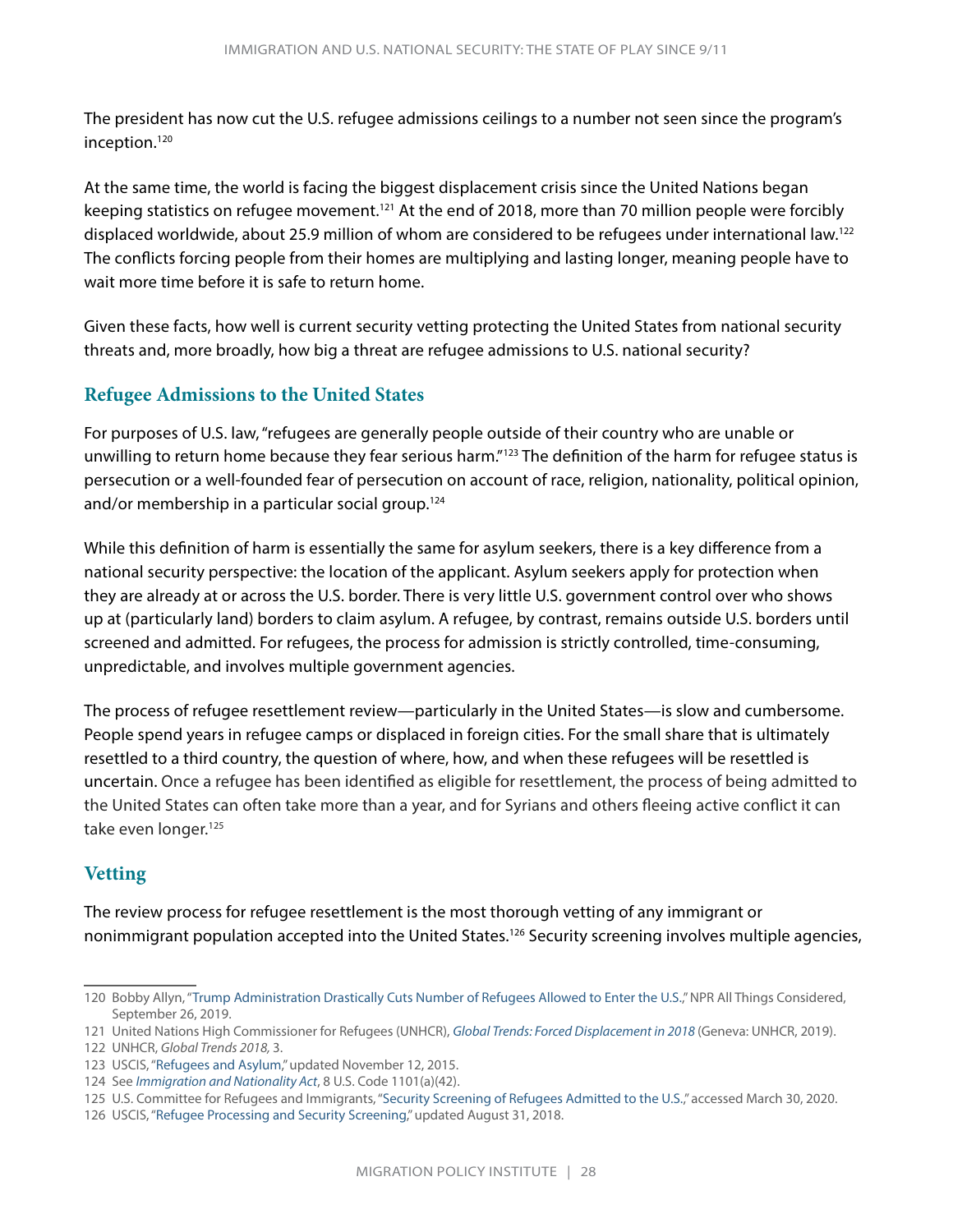The president has now cut the U.S. refugee admissions ceilings to a number not seen since the program's inception.120

At the same time, the world is facing the biggest displacement crisis since the United Nations began keeping statistics on refugee movement.<sup>121</sup> At the end of 2018, more than 70 million people were forcibly displaced worldwide, about 25.9 million of whom are considered to be refugees under international law.122 The conflicts forcing people from their homes are multiplying and lasting longer, meaning people have to wait more time before it is safe to return home.

Given these facts, how well is current security vetting protecting the United States from national security threats and, more broadly, how big a threat are refugee admissions to U.S. national security?

#### **Refugee Admissions to the United States**

For purposes of U.S. law, "refugees are generally people outside of their country who are unable or unwilling to return home because they fear serious harm."123 The definition of the harm for refugee status is persecution or a well-founded fear of persecution on account of race, religion, nationality, political opinion, and/or membership in a particular social group.<sup>124</sup>

While this definition of harm is essentially the same for asylum seekers, there is a key difference from a national security perspective: the location of the applicant. Asylum seekers apply for protection when they are already at or across the U.S. border. There is very little U.S. government control over who shows up at (particularly land) borders to claim asylum. A refugee, by contrast, remains outside U.S. borders until screened and admitted. For refugees, the process for admission is strictly controlled, time-consuming, unpredictable, and involves multiple government agencies.

The process of refugee resettlement review—particularly in the United States—is slow and cumbersome. People spend years in refugee camps or displaced in foreign cities. For the small share that is ultimately resettled to a third country, the question of where, how, and when these refugees will be resettled is uncertain. Once a refugee has been identified as eligible for resettlement, the process of being admitted to the United States can often take more than a year, and for Syrians and others fleeing active conflict it can take even longer.<sup>125</sup>

#### **Vetting**

The review process for refugee resettlement is the most thorough vetting of any immigrant or nonimmigrant population accepted into the United States.<sup>126</sup> Security screening involves multiple agencies,

<sup>120</sup> Bobby Allyn, "[Trump Administration Drastically Cuts Number of Refugees Allowed to Enter the U.S.](https://www.npr.org/2019/09/26/764839236/trump-administration-drastically-cuts-number-of-refugees-allowed-to-enter-the-u)," NPR All Things Considered, September 26, 2019.

<sup>121</sup> United Nations High Commissioner for Refugees (UNHCR), *[Global Trends: Forced Displacement in 2018](https://www.unhcr.org/en-us/statistics/unhcrstats/5d08d7ee7/unhcr-global-trends-2018.html)* (Geneva: UNHCR, 2019).

<sup>122</sup> UNHCR, *Global Trends 2018,* 3.

<sup>123</sup> USCIS, ["Refugees and Asylum,](https://www.uscis.gov/humanitarian/refugees-and-asylum)" updated November 12, 2015.

<sup>124</sup> See *[Immigration and Nationality Act](https://uscode.house.gov/view.xhtml?req=granuleid:USC-prelim-title8-section1101&num=0&edition=prelim)*, 8 U.S. Code 1101(a)(42).

<sup>125</sup> U.S. Committee for Refugees and Immigrants, "[Security Screening of Refugees Admitted to the U.S.](https://refugees.org/explore-the-issues/our-work-with-refugees/security-screening/)," accessed March 30, 2020.

<sup>126</sup> USCIS, ["Refugee Processing and Security Screening](https://www.uscis.gov/refugeescreening)," updated August 31, 2018.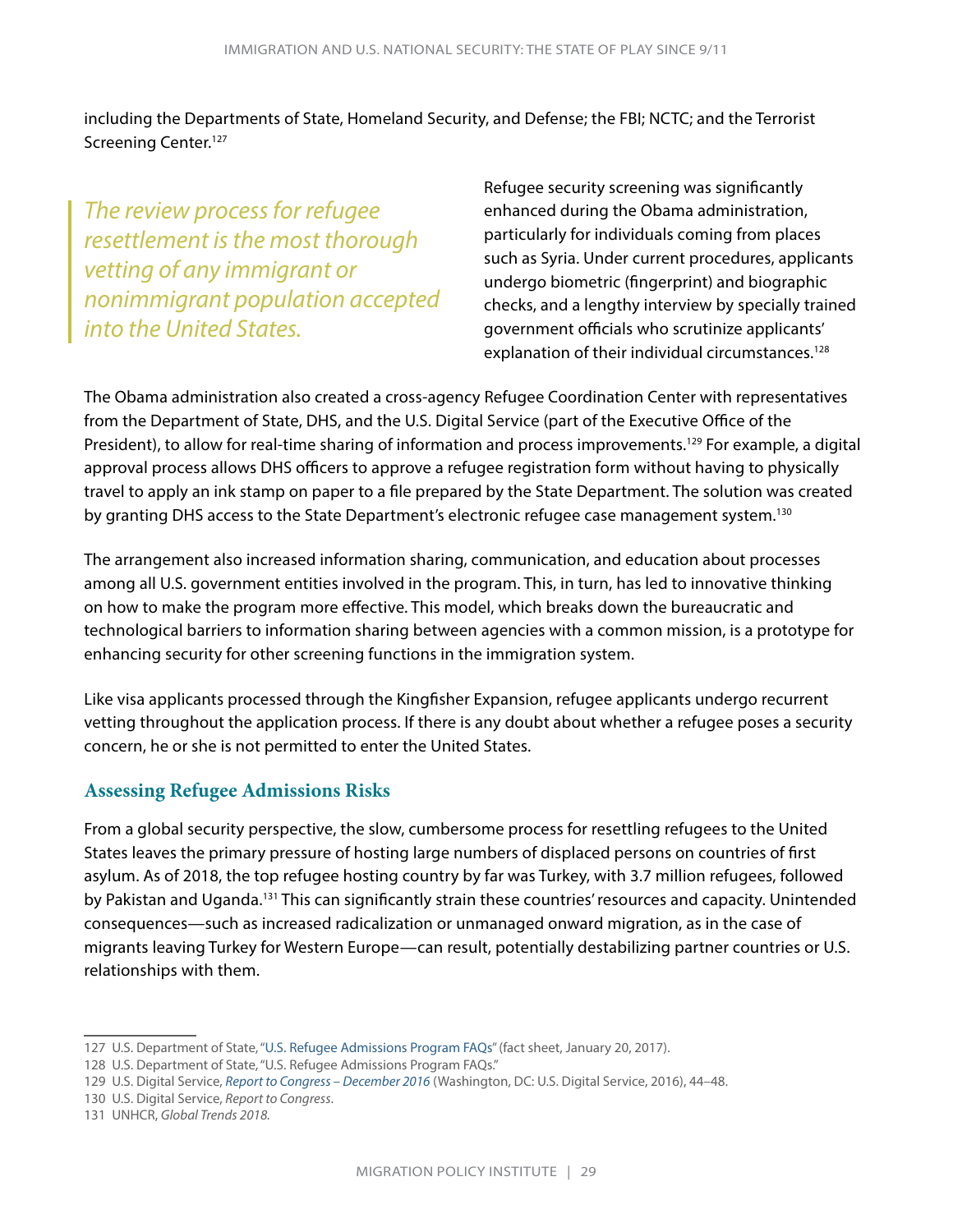including the Departments of State, Homeland Security, and Defense; the FBI; NCTC; and the Terrorist Screening Center.<sup>127</sup>

*The review process for refugee resettlement is the most thorough vetting of any immigrant or nonimmigrant population accepted into the United States.*

Refugee security screening was significantly enhanced during the Obama administration, particularly for individuals coming from places such as Syria. Under current procedures, applicants undergo biometric (fingerprint) and biographic checks, and a lengthy interview by specially trained government officials who scrutinize applicants' explanation of their individual circumstances.<sup>128</sup>

The Obama administration also created a cross-agency Refugee Coordination Center with representatives from the Department of State, DHS, and the U.S. Digital Service (part of the Executive Office of the President), to allow for real-time sharing of information and process improvements.<sup>129</sup> For example, a digital approval process allows DHS officers to approve a refugee registration form without having to physically travel to apply an ink stamp on paper to a file prepared by the State Department. The solution was created by granting DHS access to the State Department's electronic refugee case management system.130

The arrangement also increased information sharing, communication, and education about processes among all U.S. government entities involved in the program. This, in turn, has led to innovative thinking on how to make the program more effective. This model, which breaks down the bureaucratic and technological barriers to information sharing between agencies with a common mission, is a prototype for enhancing security for other screening functions in the immigration system.

Like visa applicants processed through the Kingfisher Expansion, refugee applicants undergo recurrent vetting throughout the application process. If there is any doubt about whether a refugee poses a security concern, he or she is not permitted to enter the United States.

#### **Assessing Refugee Admissions Risks**

From a global security perspective, the slow, cumbersome process for resettling refugees to the United States leaves the primary pressure of hosting large numbers of displaced persons on countries of first asylum. As of 2018, the top refugee hosting country by far was Turkey, with 3.7 million refugees, followed by Pakistan and Uganda.<sup>131</sup> This can significantly strain these countries' resources and capacity. Unintended consequences—such as increased radicalization or unmanaged onward migration, as in the case of migrants leaving Turkey for Western Europe—can result, potentially destabilizing partner countries or U.S. relationships with them.

<sup>127</sup> U.S. Department of State, ["U.S. Refugee Admissions Program FAQs](https://2009-2017.state.gov/j/prm/releases/factsheets/2016/264449.htm)" (fact sheet, January 20, 2017).

<sup>128</sup> U.S. Department of State, "U.S. Refugee Admissions Program FAQs."

<sup>129</sup> U.S. Digital Service, *[Report to Congress – December 2016](https://www.usds.gov/resources/USDS-2016-Report-to-Congress.pdf)* (Washington, DC: U.S. Digital Service, 2016), 44–48.

<sup>130</sup> U.S. Digital Service, *Report to Congress*.

<sup>131</sup> UNHCR, *Global Trends 2018.*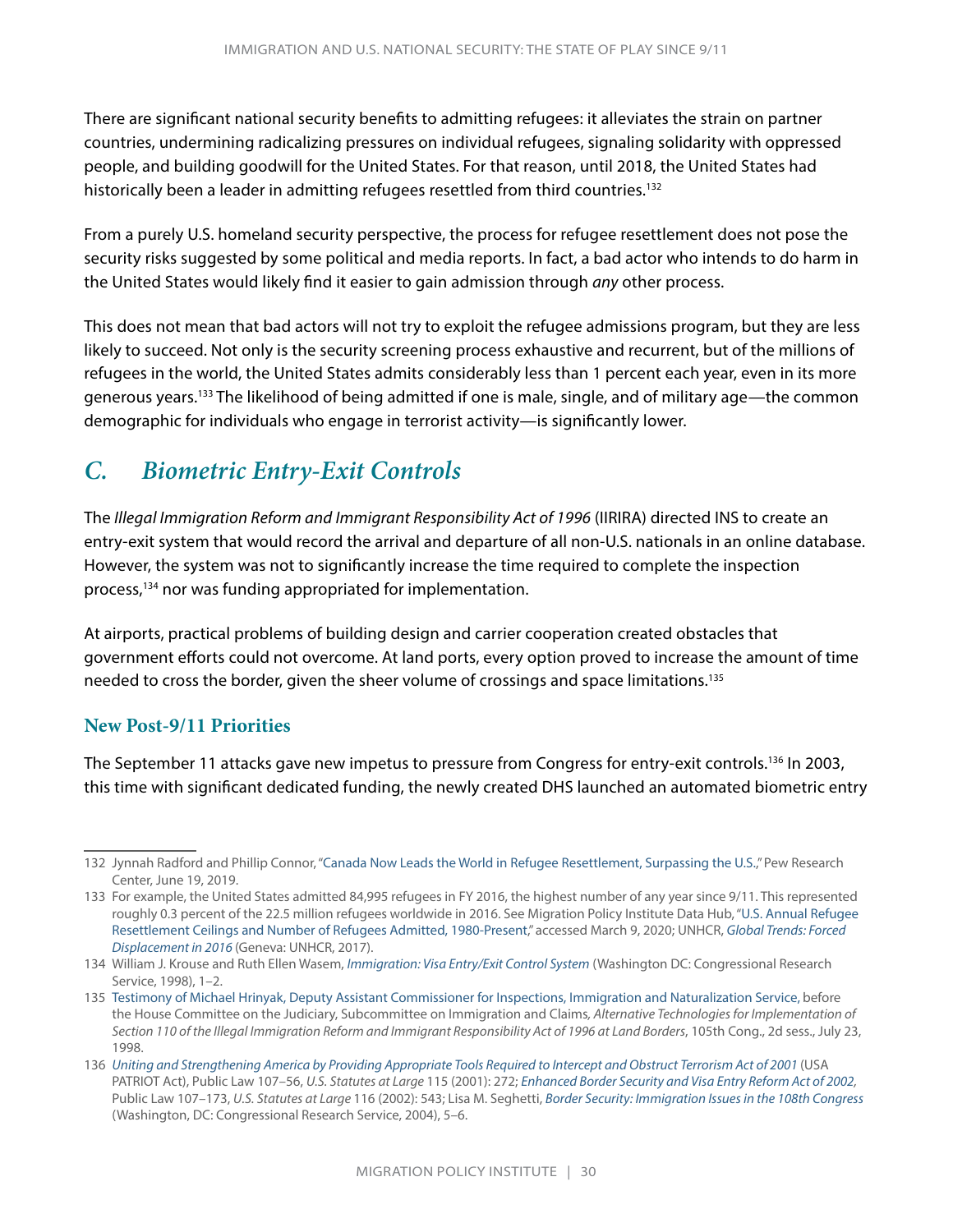<span id="page-32-0"></span>There are significant national security benefits to admitting refugees: it alleviates the strain on partner countries, undermining radicalizing pressures on individual refugees, signaling solidarity with oppressed people, and building goodwill for the United States. For that reason, until 2018, the United States had historically been a leader in admitting refugees resettled from third countries.<sup>132</sup>

From a purely U.S. homeland security perspective, the process for refugee resettlement does not pose the security risks suggested by some political and media reports. In fact, a bad actor who intends to do harm in the United States would likely find it easier to gain admission through *any* other process.

This does not mean that bad actors will not try to exploit the refugee admissions program, but they are less likely to succeed. Not only is the security screening process exhaustive and recurrent, but of the millions of refugees in the world, the United States admits considerably less than 1 percent each year, even in its more generous years.133 The likelihood of being admitted if one is male, single, and of military age—the common demographic for individuals who engage in terrorist activity—is significantly lower.

## *C. Biometric Entry-Exit Controls*

The *Illegal Immigration Reform and Immigrant Responsibility Act of 1996* (IIRIRA) directed INS to create an entry-exit system that would record the arrival and departure of all non-U.S. nationals in an online database. However, the system was not to significantly increase the time required to complete the inspection process,<sup>134</sup> nor was funding appropriated for implementation.

At airports, practical problems of building design and carrier cooperation created obstacles that government efforts could not overcome. At land ports, every option proved to increase the amount of time needed to cross the border, given the sheer volume of crossings and space limitations.135

#### **New Post-9/11 Priorities**

The September 11 attacks gave new impetus to pressure from Congress for entry-exit controls.<sup>136</sup> In 2003, this time with significant dedicated funding, the newly created DHS launched an automated biometric entry

<sup>132</sup> Jynnah Radford and Phillip Connor, "[Canada Now Leads the World in Refugee Resettlement, Surpassing the U.S.,](https://www.pewresearch.org/fact-tank/2019/06/19/canada-now-leads-the-world-in-refugee-resettlement-surpassing-the-u-s/)" Pew Research Center, June 19, 2019.

<sup>133</sup> For example, the United States admitted 84,995 refugees in FY 2016, the highest number of any year since 9/11. This represented roughly 0.3 percent of the 22.5 million refugees worldwide in 2016. See Migration Policy Institute Data Hub, ["U.S. Annual Refugee](https://www.migrationpolicy.org/programs/data-hub/charts/us-annual-refugee-resettlement-ceilings-and-number-refugees-admitted-united)  [Resettlement Ceilings and Number of Refugees Admitted, 1980-Present](https://www.migrationpolicy.org/programs/data-hub/charts/us-annual-refugee-resettlement-ceilings-and-number-refugees-admitted-united)," accessed March 9, 2020; UNHCR, *[Global Trends: Forced](https://www.unhcr.org/5943e8a34.pdf)  [Displacement in 2016](https://www.unhcr.org/5943e8a34.pdf)* (Geneva: UNHCR, 2017).

<sup>134</sup> William J. Krouse and Ruth Ellen Wasem, *[Immigration: Visa Entry/Exit Control System](https://fas.org/sgp/crs/homesec/98-89.pdf)* (Washington DC: Congressional Research Service, 1998), 1–2.

<sup>135</sup> [Testimony of Michael Hrinyak, Deputy Assistant Commissioner for Inspections, Immigration and Naturalization Service](https://www.uscis.gov/sites/default/files/files/testimony/980723.pdf), before the House Committee on the Judiciary, Subcommittee on Immigration and Claims*, Alternative Technologies for Implementation of Section 110 of the Illegal Immigration Reform and Immigrant Responsibility Act of 1996 at Land Borders*, 105th Cong., 2d sess., July 23, 1998.

<sup>136</sup> *[Uniting and Strengthening America by Providing Appropriate Tools Required to Intercept and Obstruct Terrorism Act of 2001](https://www.govinfo.gov/content/pkg/STATUTE-115/pdf/STATUTE-115-Pg272.pdf)* (USA PATRIOT Act), Public Law 107–56, *U.S. Statutes at Large* 115 (2001): 272; *[Enhanced Border Security and Visa Entry Reform Act of 2002,](https://www.govinfo.gov/app/details/PLAW-107publ173)*  Public Law 107–173, *U.S. Statutes at Large* 116 (2002): 543; Lisa M. Seghetti, *[Border Security: Immigration Issues in the 108th Congress](https://fas.org/sgp/crs/RL31727.pdf)* (Washington, DC: Congressional Research Service, 2004), 5–6.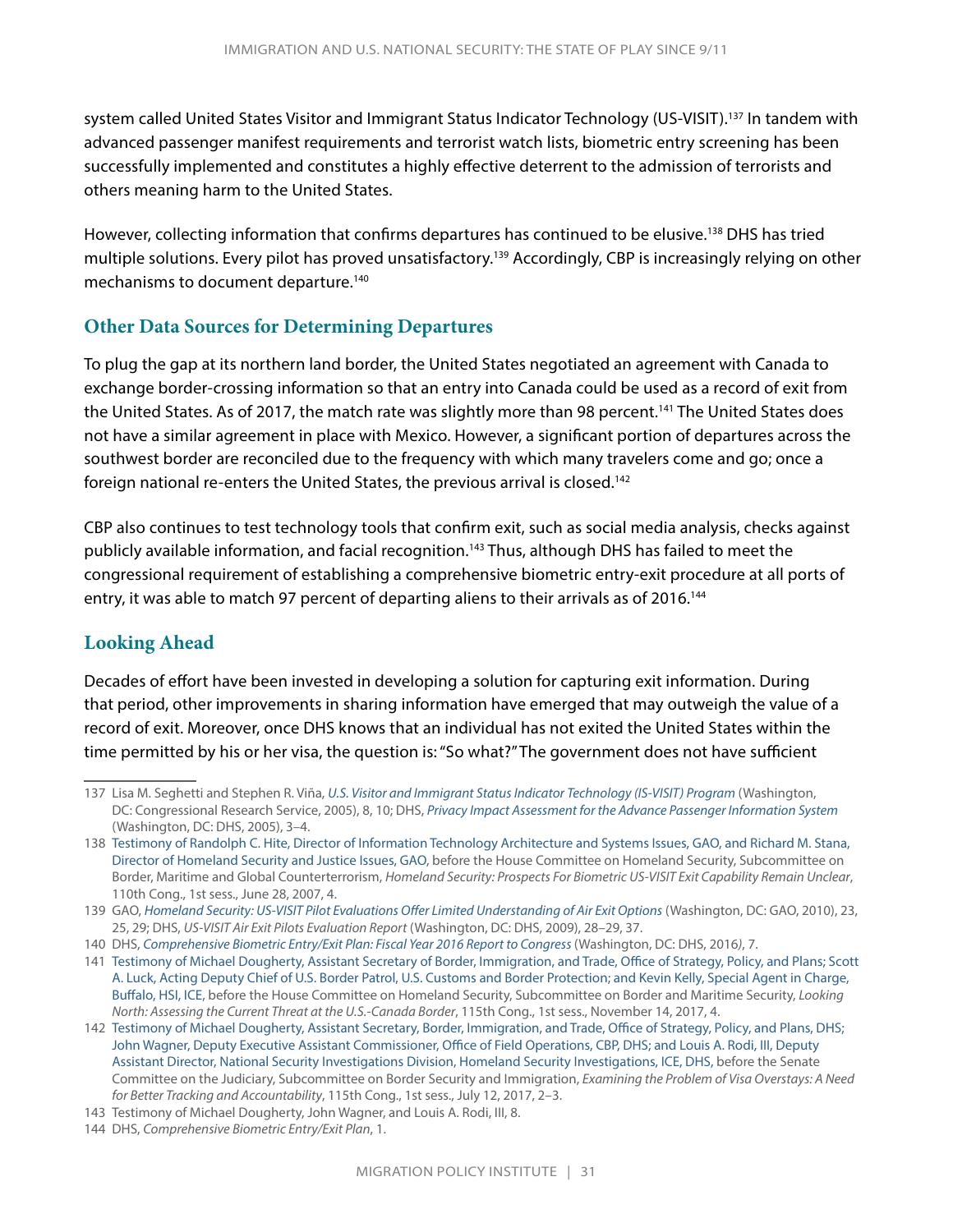system called United States Visitor and Immigrant Status Indicator Technology (US-VISIT).<sup>137</sup> In tandem with advanced passenger manifest requirements and terrorist watch lists, biometric entry screening has been successfully implemented and constitutes a highly effective deterrent to the admission of terrorists and others meaning harm to the United States.

However, collecting information that confirms departures has continued to be elusive.<sup>138</sup> DHS has tried multiple solutions. Every pilot has proved unsatisfactory.139 Accordingly, CBP is increasingly relying on other mechanisms to document departure.140

#### **Other Data Sources for Determining Departures**

To plug the gap at its northern land border, the United States negotiated an agreement with Canada to exchange border-crossing information so that an entry into Canada could be used as a record of exit from the United States. As of 2017, the match rate was slightly more than 98 percent.<sup>141</sup> The United States does not have a similar agreement in place with Mexico. However, a significant portion of departures across the southwest border are reconciled due to the frequency with which many travelers come and go; once a foreign national re-enters the United States, the previous arrival is closed.142

CBP also continues to test technology tools that confirm exit, such as social media analysis, checks against publicly available information, and facial recognition.<sup>143</sup> Thus, although DHS has failed to meet the congressional requirement of establishing a comprehensive biometric entry-exit procedure at all ports of entry, it was able to match 97 percent of departing aliens to their arrivals as of 2016.<sup>144</sup>

#### **Looking Ahead**

Decades of effort have been invested in developing a solution for capturing exit information. During that period, other improvements in sharing information have emerged that may outweigh the value of a record of exit. Moreover, once DHS knows that an individual has not exited the United States within the time permitted by his or her visa, the question is: "So what?" The government does not have sufficient

<sup>137</sup> Lisa M. Seghetti and Stephen R. Viña, *[U.S. Visitor and Immigrant Status Indicator Technology \(IS-VISIT\) Program](https://fas.org/sgp/crs/homesec/RL32234.pdf)* (Washington, DC: Congressional Research Service, 2005), 8, 10; DHS, *[Privacy Impact Assessment for the Advance Passenger Information System](https://www.dhs.gov/xlibrary/assets/privacy/privacy_pia_cbpapis.pdf)* (Washington, DC: DHS, 2005), 3–4.

<sup>138</sup> [Testimony of Randolph C. Hite, Director of Information Technology Architecture and Systems Issues, GAO, and Richard M. Stana,](https://www.gao.gov/assets/120/117187.pdf)  [Director of Homeland Security and Justice Issues, GAO](https://www.gao.gov/assets/120/117187.pdf), before the House Committee on Homeland Security, Subcommittee on Border, Maritime and Global Counterterrorism, *Homeland Security: Prospects For Biometric US-VISIT Exit Capability Remain Unclear*, 110th Cong., 1st sess., June 28, 2007, 4.

<sup>139</sup> GAO, *[Homeland Security: US-VISIT Pilot Evaluations Offer Limited Understanding of Air Exit Options](https://www.gao.gov/assets/310/308630.pdf)* (Washington, DC: GAO, 2010), 23, 25, 29; DHS, *US-VISIT Air Exit Pilots Evaluation Report* (Washington, DC: DHS, 2009), 28–29, 37.

<sup>140</sup> DHS, *[Comprehensive Biometric Entry/Exit Plan: Fiscal Year 2016 Report to Congress](https://www.dhs.gov/sites/default/files/publications/Customs and Border Protection - Comprehensive Biometric Entry and Exit Plan.pdf)* (Washington, DC: DHS, 2016*)*, 7.

<sup>141</sup> [Testimony of Michael Dougherty, Assistant Secretary of Border, Immigration, and Trade, Office of Strategy, Policy, and Plans; Scott](https://www.ice.gov/sites/default/files/documents/Speech/2017/171114kelly.pdf)  [A. Luck, Acting Deputy Chief of U.S. Border Patrol, U.S. Customs and Border Protection; and Kevin Kelly, S](https://www.ice.gov/sites/default/files/documents/Speech/2017/171114kelly.pdf)pecial Agent in Charge, Buffalo, HSI, ICE, before the House Committee on Homeland Security, Subcommittee on Border and Maritime Security, *Looking North: Assessing the Current Threat at the U.S.-Canada Border*, 115th Cong., 1st sess., November 14, 2017, 4.

<sup>142</sup> [Testimony of Michael Dougherty, Assistant Secretary, Border, Immigration, and Trade, Office of Strategy, Policy, and Plans, DHS;](https://www.judiciary.senate.gov/imo/media/doc/07-12-17 Dougherty-Wagner-Rodi Joint Testimony1.pdf)  [John Wagner, Deputy Executive Assistant Commissioner, Office of Field Operations, CBP, DHS; and Louis A. Rodi, III, Deputy](https://www.judiciary.senate.gov/imo/media/doc/07-12-17 Dougherty-Wagner-Rodi Joint Testimony1.pdf)  [Assistant Director, National Security Investigations Division, Homeland Security Investigations, ICE, DHS,](https://www.judiciary.senate.gov/imo/media/doc/07-12-17 Dougherty-Wagner-Rodi Joint Testimony1.pdf) before the Senate Committee on the Judiciary, Subcommittee on Border Security and Immigration, *Examining the Problem of Visa Overstays: A Need for Better Tracking and Accountability*, 115th Cong., 1st sess., July 12, 2017, 2–3.

<sup>143</sup> Testimony of Michael Dougherty, John Wagner, and Louis A. Rodi, III, 8.

<sup>144</sup> DHS, *Comprehensive Biometric Entry/Exit Plan*, 1.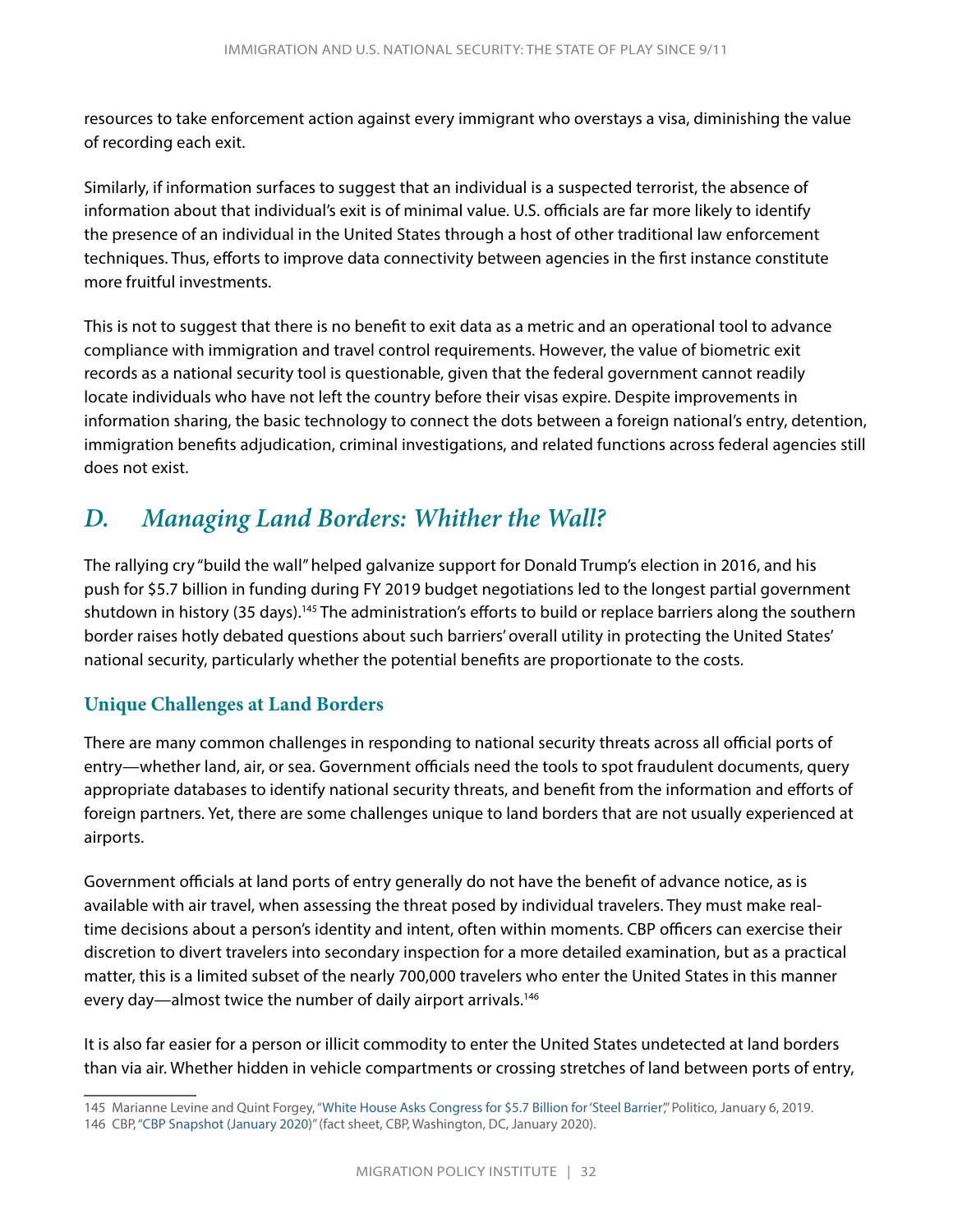<span id="page-34-0"></span>resources to take enforcement action against every immigrant who overstays a visa, diminishing the value of recording each exit.

Similarly, if information surfaces to suggest that an individual is a suspected terrorist, the absence of information about that individual's exit is of minimal value. U.S. officials are far more likely to identify the presence of an individual in the United States through a host of other traditional law enforcement techniques. Thus, efforts to improve data connectivity between agencies in the first instance constitute more fruitful investments.

This is not to suggest that there is no benefit to exit data as a metric and an operational tool to advance compliance with immigration and travel control requirements. However, the value of biometric exit records as a national security tool is questionable, given that the federal government cannot readily locate individuals who have not left the country before their visas expire. Despite improvements in information sharing, the basic technology to connect the dots between a foreign national's entry, detention, immigration benefits adjudication, criminal investigations, and related functions across federal agencies still does not exist.

### *D. Managing Land Borders: Whither the Wall?*

The rallying cry "build the wall" helped galvanize support for Donald Trump's election in 2016, and his push for \$5.7 billion in funding during FY 2019 budget negotiations led to the longest partial government shutdown in history (35 days).<sup>145</sup> The administration's efforts to build or replace barriers along the southern border raises hotly debated questions about such barriers' overall utility in protecting the United States' national security, particularly whether the potential benefits are proportionate to the costs.

#### **Unique Challenges at Land Borders**

There are many common challenges in responding to national security threats across all official ports of entry—whether land, air, or sea. Government officials need the tools to spot fraudulent documents, query appropriate databases to identify national security threats, and benefit from the information and efforts of foreign partners. Yet, there are some challenges unique to land borders that are not usually experienced at airports.

Government officials at land ports of entry generally do not have the benefit of advance notice, as is available with air travel, when assessing the threat posed by individual travelers. They must make realtime decisions about a person's identity and intent, often within moments. CBP officers can exercise their discretion to divert travelers into secondary inspection for a more detailed examination, but as a practical matter, this is a limited subset of the nearly 700,000 travelers who enter the United States in this manner every day—almost twice the number of daily airport arrivals.<sup>146</sup>

It is also far easier for a person or illicit commodity to enter the United States undetected at land borders than via air. Whether hidden in vehicle compartments or crossing stretches of land between ports of entry,

<sup>145</sup> Marianne Levine and Quint Forgey, "[White House Asks Congress for \\$5.7 Billion for 'Steel Barrier](https://www.politico.com/story/2019/01/06/trump-emergency-border-wall-government-shutdown-1082712)'," Politico, January 6, 2019. 146 CBP, "[CBP Snapshot \(January 2020\)"](https://www.cbp.gov/document/fact-sheets/cbp-snapshot) (fact sheet, CBP, Washington, DC, January 2020).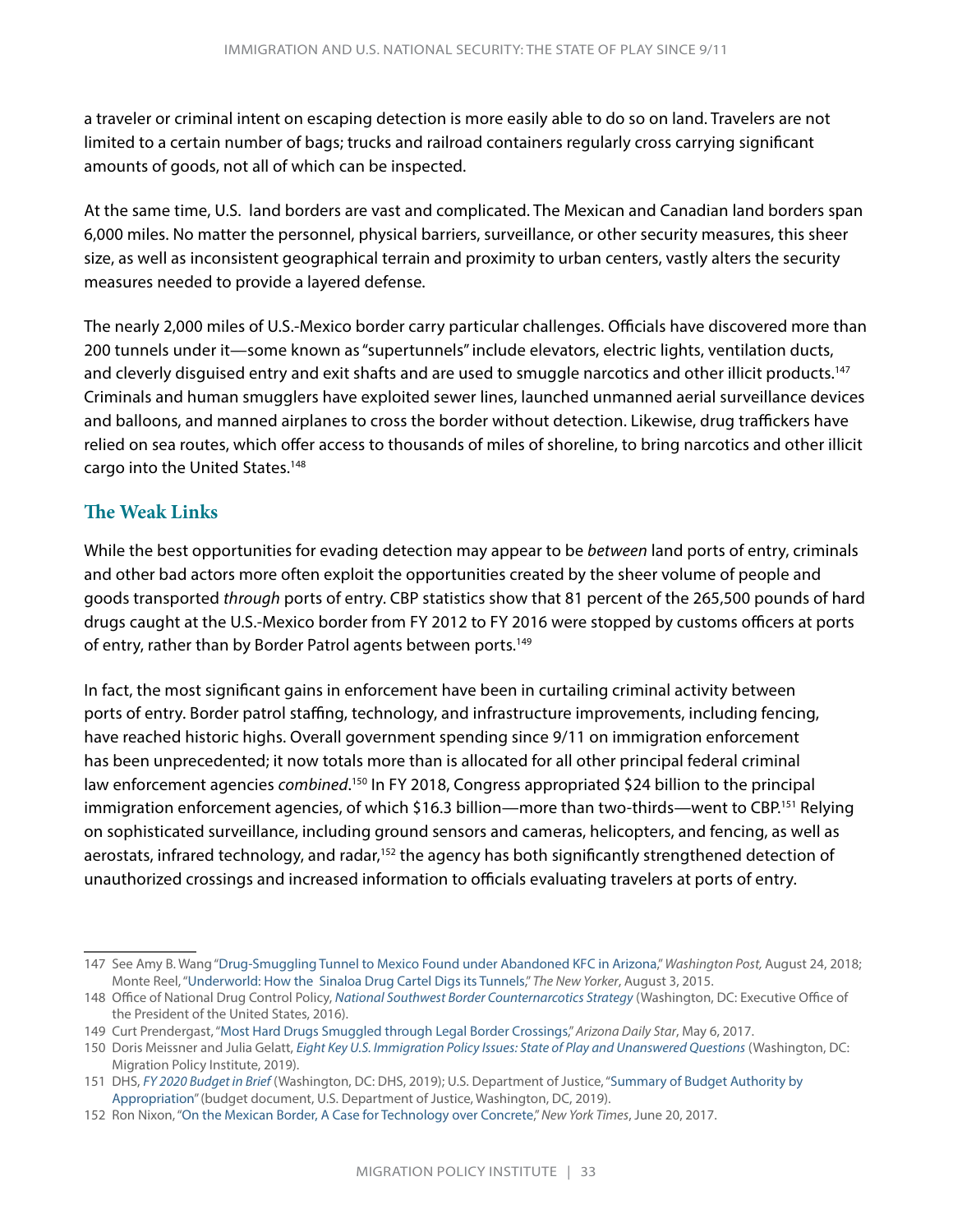a traveler or criminal intent on escaping detection is more easily able to do so on land. Travelers are not limited to a certain number of bags; trucks and railroad containers regularly cross carrying significant amounts of goods, not all of which can be inspected.

At the same time, U.S. land borders are vast and complicated. The Mexican and Canadian land borders span 6,000 miles. No matter the personnel, physical barriers, surveillance, or other security measures, this sheer size, as well as inconsistent geographical terrain and proximity to urban centers, vastly alters the security measures needed to provide a layered defense.

The nearly 2,000 miles of U.S.-Mexico border carry particular challenges. Officials have discovered more than 200 tunnels under it—some known as "supertunnels" include elevators, electric lights, ventilation ducts, and cleverly disguised entry and exit shafts and are used to smuggle narcotics and other illicit products.<sup>147</sup> Criminals and human smugglers have exploited sewer lines, launched unmanned aerial surveillance devices and balloons, and manned airplanes to cross the border without detection. Likewise, drug traffickers have relied on sea routes, which offer access to thousands of miles of shoreline, to bring narcotics and other illicit cargo into the United States.148

#### **The Weak Links**

While the best opportunities for evading detection may appear to be *between* land ports of entry, criminals and other bad actors more often exploit the opportunities created by the sheer volume of people and goods transported *through* ports of entry. CBP statistics show that 81 percent of the 265,500 pounds of hard drugs caught at the U.S.-Mexico border from FY 2012 to FY 2016 were stopped by customs officers at ports of entry, rather than by Border Patrol agents between ports.<sup>149</sup>

In fact, the most significant gains in enforcement have been in curtailing criminal activity between ports of entry. Border patrol staffing, technology, and infrastructure improvements, including fencing, have reached historic highs. Overall government spending since 9/11 on immigration enforcement has been unprecedented; it now totals more than is allocated for all other principal federal criminal law enforcement agencies *combined*.<sup>150</sup> In FY 2018, Congress appropriated \$24 billion to the principal immigration enforcement agencies, of which \$16.3 billion—more than two-thirds—went to CBP.<sup>151</sup> Relying on sophisticated surveillance, including ground sensors and cameras, helicopters, and fencing, as well as aerostats, infrared technology, and radar,<sup>152</sup> the agency has both significantly strengthened detection of unauthorized crossings and increased information to officials evaluating travelers at ports of entry.

<sup>147</sup> See Amy B. Wang "[Drug-Smuggling Tunnel to Mexico Found under Abandoned KFC in Arizona](https://www.washingtonpost.com/nation/2018/08/24/drug-smuggling-tunnel-mexico-found-under-abandoned-kfc-arizona/)," *Washington Post,* August 24, 2018; Monte Reel, "[Underworld: How the Sinaloa Drug Cartel Digs its Tunnels](https://www.newyorker.com/magazine/2015/08/03/underworld-monte-reel)," *The New Yorker*, August 3, 2015.

<sup>148</sup> Office of National Drug Control Policy, *[National Southwest Border Counternarcotics Strategy](https://obamawhitehouse.archives.gov/sites/default/files/ondcp/policy-and-research/southwest_strategy-3.pdf)* (Washington, DC: Executive Office of the President of the United States, 2016).

<sup>149</sup> Curt Prendergast, "[Most Hard Drugs Smuggled through Legal Border Crossings,](https://tucson.com/news/local/border/most-hard-drugs-smuggled-through-legal-border-crossings/article_46653d40-7f63-5102-bb38-38da58c06a76.html)" *Arizona Daily Star*, May 6, 2017.

<sup>150</sup> Doris Meissner and Julia Gelatt, *[Eight Key U.S. Immigration Policy Issues: State of Play and Unanswered Questions](https://www.migrationpolicy.org/research/eight-key-us-immigration-policy-issues)* (Washington, DC: Migration Policy Institute, 2019).

<sup>151</sup> DHS, *[FY 2020 Budget in Brief](https://www.dhs.gov/sites/default/files/publications/19_0318_MGMT_FY-2020-Budget-In-Brief.pdf)* (Washington, DC: DHS, 2019); U.S. Department of Justice, ["Summary of Budget Authority by](https://www.justice.gov/jmd/page/file/1142461/download)  [Appropriation"](https://www.justice.gov/jmd/page/file/1142461/download) (budget document, U.S. Department of Justice, Washington, DC, 2019).

<sup>152</sup> Ron Nixon, ["On the Mexican Border, A Case for Technology over Concrete,](https://www.nytimes.com/2017/06/20/us/politics/on-the-mexican-border-a-case-for-technology-over-concrete.html)" *New York Times*, June 20, 2017.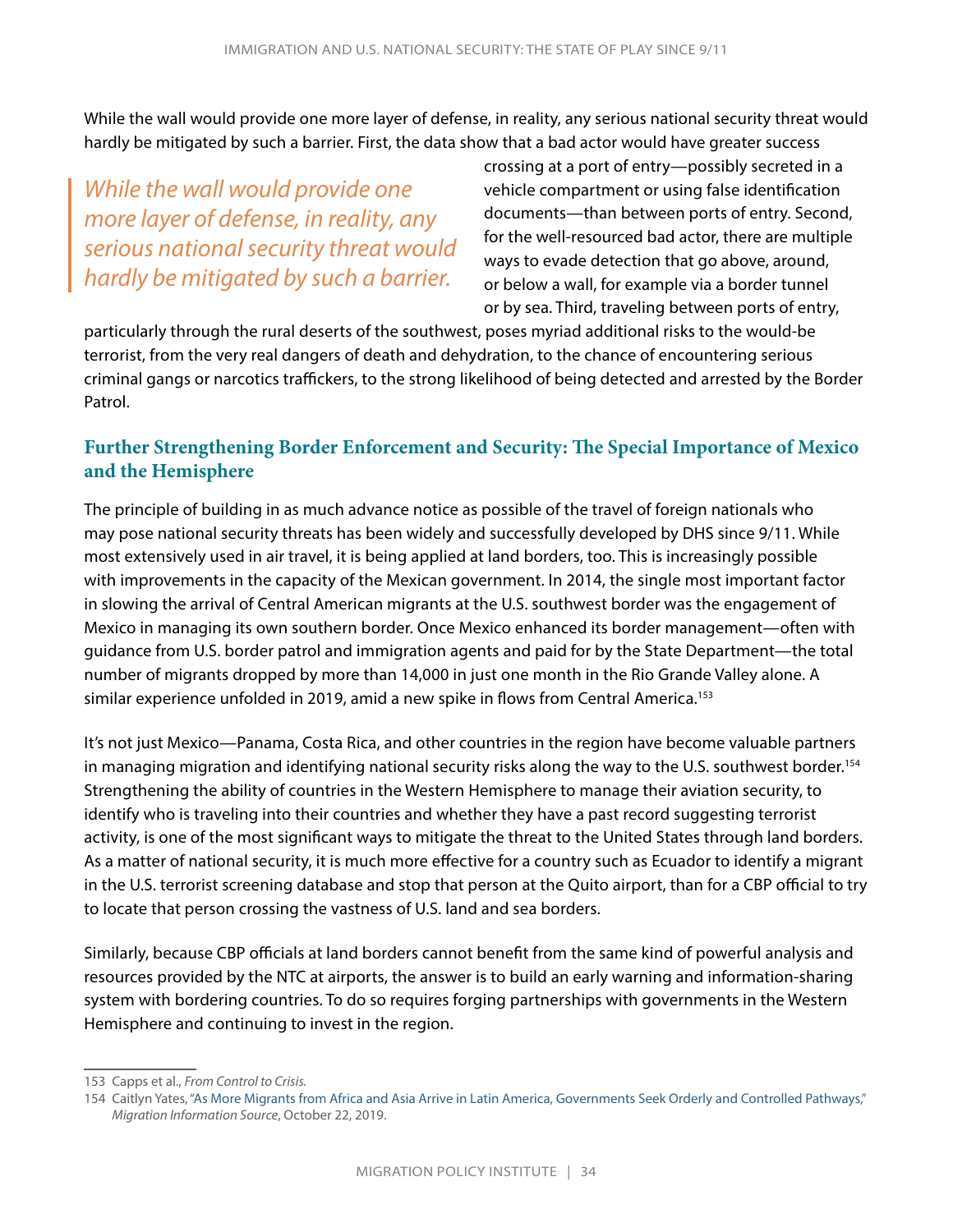While the wall would provide one more layer of defense, in reality, any serious national security threat would hardly be mitigated by such a barrier. First, the data show that a bad actor would have greater success

*While the wall would provide one more layer of defense, in reality, any serious national security threat would hardly be mitigated by such a barrier.*

crossing at a port of entry—possibly secreted in a vehicle compartment or using false identification documents—than between ports of entry. Second, for the well-resourced bad actor, there are multiple ways to evade detection that go above, around, or below a wall, for example via a border tunnel or by sea. Third, traveling between ports of entry,

particularly through the rural deserts of the southwest, poses myriad additional risks to the would-be terrorist, from the very real dangers of death and dehydration, to the chance of encountering serious criminal gangs or narcotics traffickers, to the strong likelihood of being detected and arrested by the Border Patrol.

#### **Further Strengthening Border Enforcement and Security: The Special Importance of Mexico and the Hemisphere**

The principle of building in as much advance notice as possible of the travel of foreign nationals who may pose national security threats has been widely and successfully developed by DHS since 9/11. While most extensively used in air travel, it is being applied at land borders, too. This is increasingly possible with improvements in the capacity of the Mexican government. In 2014, the single most important factor in slowing the arrival of Central American migrants at the U.S. southwest border was the engagement of Mexico in managing its own southern border. Once Mexico enhanced its border management—often with guidance from U.S. border patrol and immigration agents and paid for by the State Department—the total number of migrants dropped by more than 14,000 in just one month in the Rio Grande Valley alone. A similar experience unfolded in 2019, amid a new spike in flows from Central America.<sup>153</sup>

It's not just Mexico—Panama, Costa Rica, and other countries in the region have become valuable partners in managing migration and identifying national security risks along the way to the U.S. southwest border.<sup>154</sup> Strengthening the ability of countries in the Western Hemisphere to manage their aviation security, to identify who is traveling into their countries and whether they have a past record suggesting terrorist activity, is one of the most significant ways to mitigate the threat to the United States through land borders. As a matter of national security, it is much more effective for a country such as Ecuador to identify a migrant in the U.S. terrorist screening database and stop that person at the Quito airport, than for a CBP official to try to locate that person crossing the vastness of U.S. land and sea borders.

Similarly, because CBP officials at land borders cannot benefit from the same kind of powerful analysis and resources provided by the NTC at airports, the answer is to build an early warning and information-sharing system with bordering countries. To do so requires forging partnerships with governments in the Western Hemisphere and continuing to invest in the region.

<sup>153</sup> Capps et al., *From Control to Crisis.*

<sup>154</sup> Caitlyn Yates, ["As More Migrants from Africa and Asia Arrive in Latin America, Governments Seek Orderly and Controlled Pathways,](https://www.migrationpolicy.org/article/extracontinental-migrants-latin-america)" *Migration Information Source*, October 22, 2019.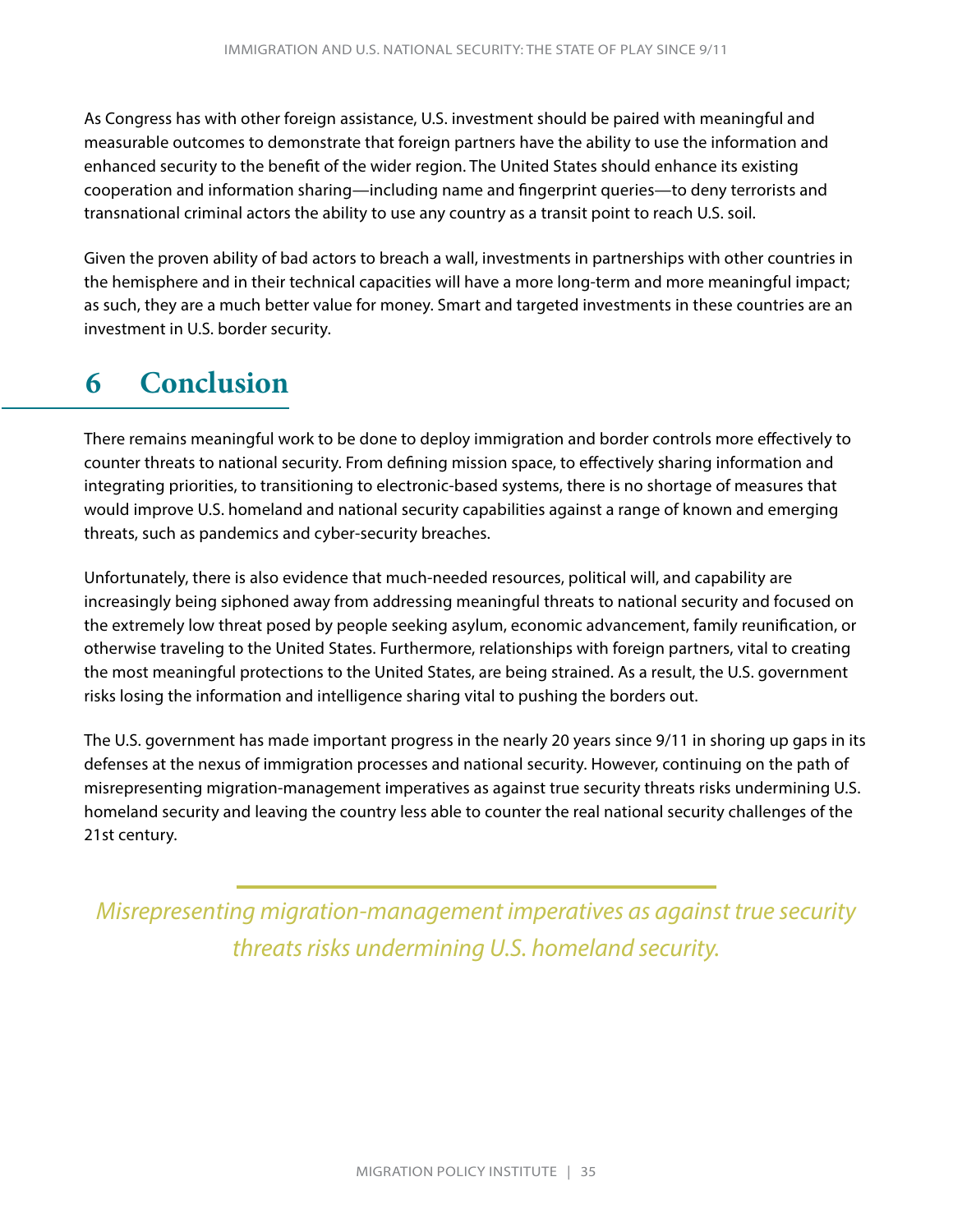<span id="page-37-0"></span>As Congress has with other foreign assistance, U.S. investment should be paired with meaningful and measurable outcomes to demonstrate that foreign partners have the ability to use the information and enhanced security to the benefit of the wider region. The United States should enhance its existing cooperation and information sharing—including name and fingerprint queries—to deny terrorists and transnational criminal actors the ability to use any country as a transit point to reach U.S. soil.

Given the proven ability of bad actors to breach a wall, investments in partnerships with other countries in the hemisphere and in their technical capacities will have a more long-term and more meaningful impact; as such, they are a much better value for money. Smart and targeted investments in these countries are an investment in U.S. border security.

# **6 Conclusion**

There remains meaningful work to be done to deploy immigration and border controls more effectively to counter threats to national security. From defining mission space, to effectively sharing information and integrating priorities, to transitioning to electronic-based systems, there is no shortage of measures that would improve U.S. homeland and national security capabilities against a range of known and emerging threats, such as pandemics and cyber-security breaches.

Unfortunately, there is also evidence that much-needed resources, political will, and capability are increasingly being siphoned away from addressing meaningful threats to national security and focused on the extremely low threat posed by people seeking asylum, economic advancement, family reunification, or otherwise traveling to the United States. Furthermore, relationships with foreign partners, vital to creating the most meaningful protections to the United States, are being strained. As a result, the U.S. government risks losing the information and intelligence sharing vital to pushing the borders out.

The U.S. government has made important progress in the nearly 20 years since 9/11 in shoring up gaps in its defenses at the nexus of immigration processes and national security. However, continuing on the path of misrepresenting migration-management imperatives as against true security threats risks undermining U.S. homeland security and leaving the country less able to counter the real national security challenges of the 21st century.

*Misrepresenting migration-management imperatives as against true security threats risks undermining U.S. homeland security.*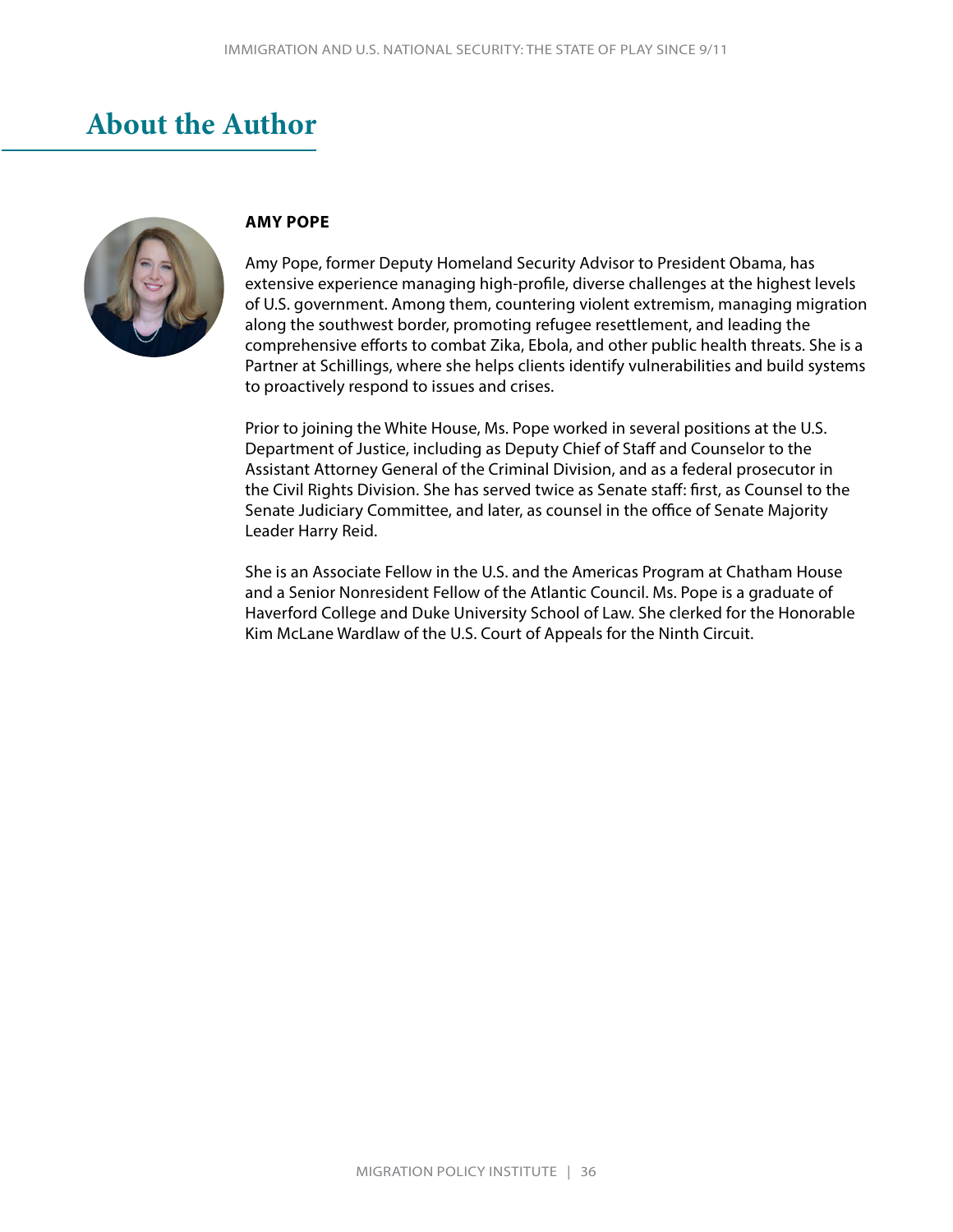# <span id="page-38-0"></span>**About the Author**



#### **AMY POPE**

Amy Pope, former Deputy Homeland Security Advisor to President Obama, has extensive experience managing high-profile, diverse challenges at the highest levels of U.S. government. Among them, countering violent extremism, managing migration along the southwest border, promoting refugee resettlement, and leading the comprehensive efforts to combat Zika, Ebola, and other public health threats. She is a Partner at Schillings, where she helps clients identify vulnerabilities and build systems to proactively respond to issues and crises.

Prior to joining the White House, Ms. Pope worked in several positions at the U.S. Department of Justice, including as Deputy Chief of Staff and Counselor to the Assistant Attorney General of the Criminal Division, and as a federal prosecutor in the Civil Rights Division. She has served twice as Senate staff: first, as Counsel to the Senate Judiciary Committee, and later, as counsel in the office of Senate Majority Leader Harry Reid.

She is an Associate Fellow in the U.S. and the Americas Program at Chatham House and a Senior Nonresident Fellow of the Atlantic Council. Ms. Pope is a graduate of Haverford College and Duke University School of Law. She clerked for the Honorable Kim McLane Wardlaw of the U.S. Court of Appeals for the Ninth Circuit.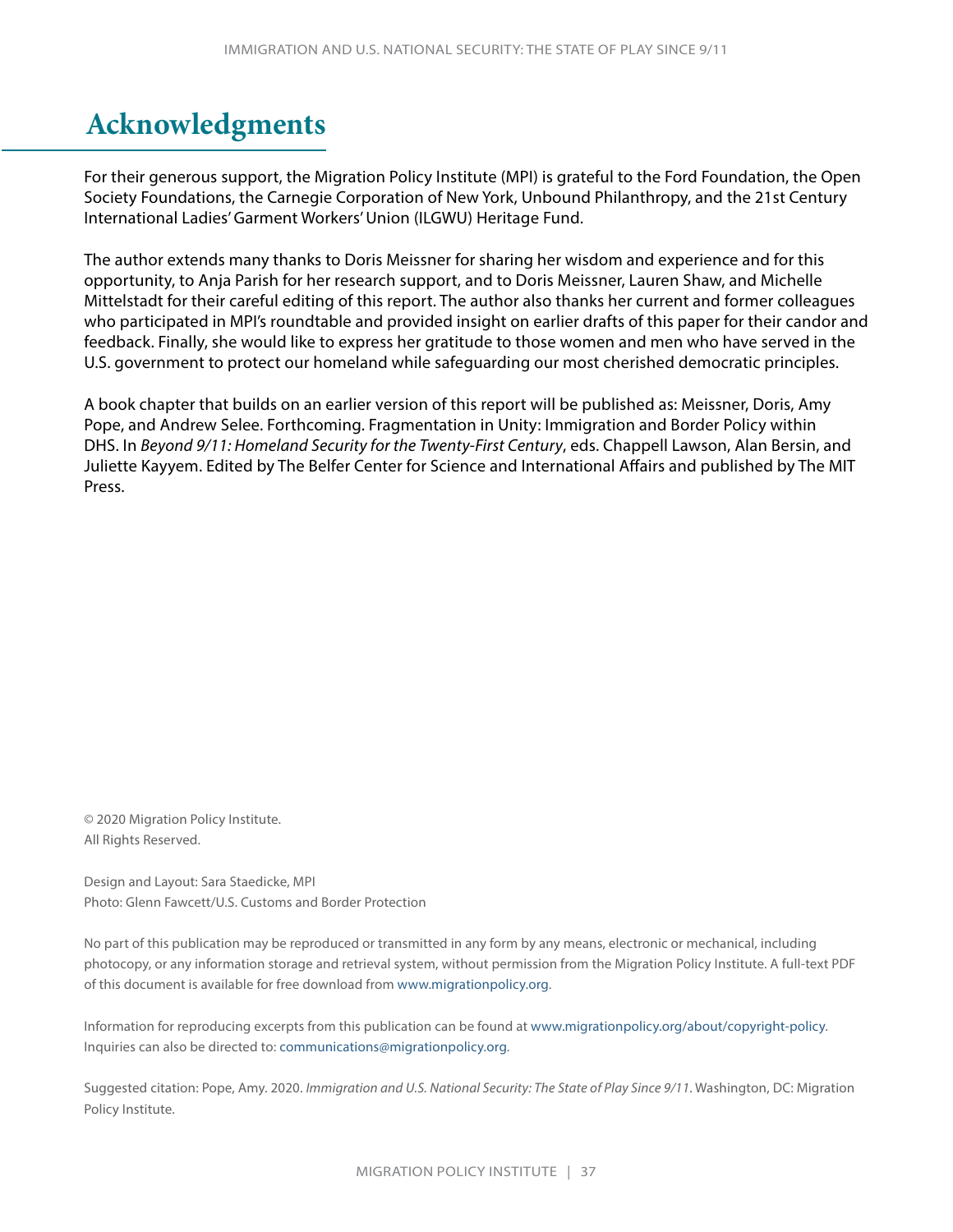# <span id="page-39-0"></span>**Acknowledgments**

For their generous support, the Migration Policy Institute (MPI) is grateful to the Ford Foundation, the Open Society Foundations, the Carnegie Corporation of New York, Unbound Philanthropy, and the 21st Century International Ladies' Garment Workers' Union (ILGWU) Heritage Fund.

The author extends many thanks to Doris Meissner for sharing her wisdom and experience and for this opportunity, to Anja Parish for her research support, and to Doris Meissner, Lauren Shaw, and Michelle Mittelstadt for their careful editing of this report. The author also thanks her current and former colleagues who participated in MPI's roundtable and provided insight on earlier drafts of this paper for their candor and feedback. Finally, she would like to express her gratitude to those women and men who have served in the U.S. government to protect our homeland while safeguarding our most cherished democratic principles.

A book chapter that builds on an earlier version of this report will be published as: Meissner, Doris, Amy Pope, and Andrew Selee. Forthcoming. Fragmentation in Unity: Immigration and Border Policy within DHS. In *Beyond 9/11: Homeland Security for the Twenty-First Century*, eds. Chappell Lawson, Alan Bersin, and Juliette Kayyem. Edited by The Belfer Center for Science and International Affairs and published by The MIT Press.

© 2020 Migration Policy Institute. All Rights Reserved.

Design and Layout: Sara Staedicke, MPI Photo: Glenn Fawcett/U.S. Customs and Border Protection

No part of this publication may be reproduced or transmitted in any form by any means, electronic or mechanical, including photocopy, or any information storage and retrieval system, without permission from the Migration Policy Institute. A full-text PDF of this document is available for free download from [www.migrationpolicy.org.](http://www.migrationpolicy.org)

Information for reproducing excerpts from this publication can be found at [www.migrationpolicy.org/about/copyright-policy](http://www.migrationpolicy.org/about/copyright-policy). Inquiries can also be directed to: [communications@migrationpolicy.org.](mailto:communications@migrationpolicy.org)

Suggested citation: Pope, Amy. 2020. *Immigration and U.S. National Security: The State of Play Since 9/11*. Washington, DC: Migration Policy Institute.